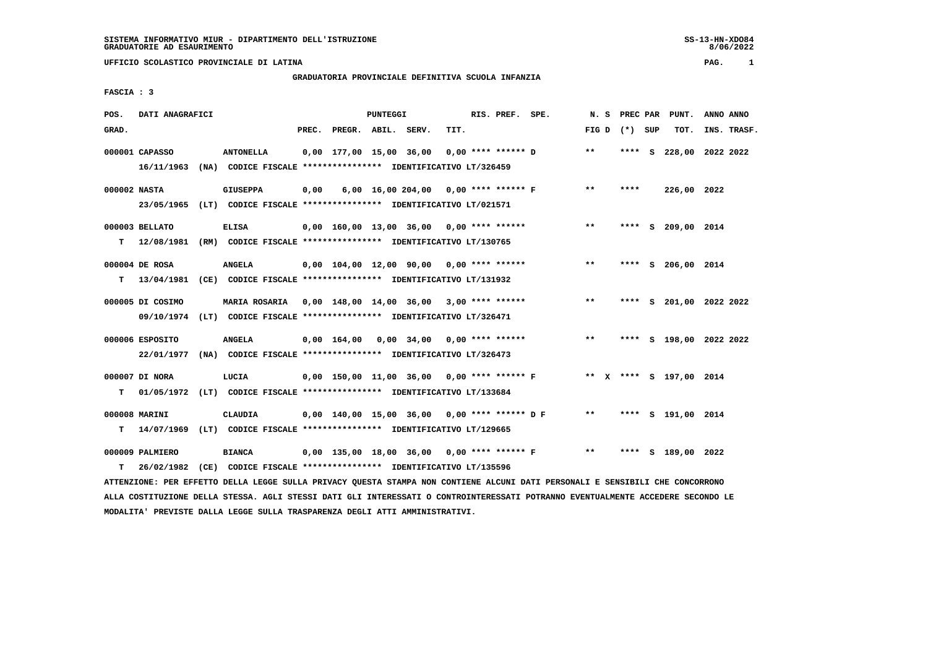# **GRADUATORIA PROVINCIALE DEFINITIVA SCUOLA INFANZIA**

 **FASCIA : 3**

| POS.         | DATI ANAGRAFICI  |                                                                                                                                 |      |                                                         | <b>PUNTEGGI</b> |                                      |      | RIS. PREF. SPE. |                                                                    |       |                   | N. S PREC PAR PUNT.     | ANNO ANNO |             |
|--------------|------------------|---------------------------------------------------------------------------------------------------------------------------------|------|---------------------------------------------------------|-----------------|--------------------------------------|------|-----------------|--------------------------------------------------------------------|-------|-------------------|-------------------------|-----------|-------------|
| GRAD.        |                  |                                                                                                                                 |      | PREC. PREGR. ABIL. SERV.                                |                 |                                      | TIT. |                 |                                                                    |       | FIG $D$ $(*)$ SUP | TOT.                    |           | INS. TRASF. |
|              | 000001 CAPASSO   | <b>ANTONELLA</b>                                                                                                                |      | $0,00$ 177,00 15,00 36,00 0,00 **** ****** D            |                 |                                      |      |                 |                                                                    | $***$ |                   | **** S 228,00 2022 2022 |           |             |
|              |                  | 16/11/1963 (NA) CODICE FISCALE *************** IDENTIFICATIVO LT/326459                                                         |      |                                                         |                 |                                      |      |                 |                                                                    |       |                   |                         |           |             |
| 000002 NASTA |                  | <b>GIUSEPPA</b>                                                                                                                 | 0,00 |                                                         |                 | 6,00 16,00 204,00 0,00 **** ****** F |      |                 |                                                                    | $***$ | ****              | 226,00 2022             |           |             |
|              |                  | 23/05/1965 (LT) CODICE FISCALE *************** IDENTIFICATIVO LT/021571                                                         |      |                                                         |                 |                                      |      |                 |                                                                    |       |                   |                         |           |             |
|              | 000003 BELLATO   | <b>ELISA</b>                                                                                                                    |      | $0,00$ 160,00 13,00 36,00 0,00 **** ******              |                 |                                      |      |                 |                                                                    | $***$ |                   | **** S 209,00 2014      |           |             |
| T.           |                  | 12/08/1981 (RM) CODICE FISCALE *************** IDENTIFICATIVO LT/130765                                                         |      |                                                         |                 |                                      |      |                 |                                                                    |       |                   |                         |           |             |
|              | 000004 DE ROSA   | <b>ANGELA</b>                                                                                                                   |      | $0,00$ $104,00$ $12,00$ $90,00$ $0,00$ $***$ **** ***** |                 |                                      |      |                 |                                                                    | **    |                   | **** S 206,00 2014      |           |             |
| т            |                  | 13/04/1981 (CE) CODICE FISCALE **************** IDENTIFICATIVO LT/131932                                                        |      |                                                         |                 |                                      |      |                 |                                                                    |       |                   |                         |           |             |
|              |                  |                                                                                                                                 |      |                                                         |                 |                                      |      |                 |                                                                    |       |                   |                         |           |             |
|              | 000005 DI COSIMO | MARIA ROSARIA 0,00 148,00 14,00 36,00 3,00 **** ******                                                                          |      |                                                         |                 |                                      |      |                 |                                                                    | $* *$ |                   | **** S 201,00 2022 2022 |           |             |
|              |                  | 09/10/1974 (LT) CODICE FISCALE *************** IDENTIFICATIVO LT/326471                                                         |      |                                                         |                 |                                      |      |                 |                                                                    |       |                   |                         |           |             |
|              | 000006 ESPOSITO  | <b>ANGELA</b>                                                                                                                   |      | $0,00$ 164,00 0,00 34,00 0,00 **** ******               |                 |                                      |      |                 |                                                                    | **    |                   | **** S 198,00 2022 2022 |           |             |
|              |                  | 22/01/1977 (NA) CODICE FISCALE *************** IDENTIFICATIVO LT/326473                                                         |      |                                                         |                 |                                      |      |                 |                                                                    |       |                   |                         |           |             |
|              | 000007 DI NORA   | LUCIA                                                                                                                           |      |                                                         |                 |                                      |      |                 | 0,00 150,00 11,00 36,00 0,00 **** ****** F ** * **** S 197,00 2014 |       |                   |                         |           |             |
| т            |                  | 01/05/1972 (LT) CODICE FISCALE **************** IDENTIFICATIVO LT/133684                                                        |      |                                                         |                 |                                      |      |                 |                                                                    |       |                   |                         |           |             |
|              |                  |                                                                                                                                 |      |                                                         |                 |                                      |      |                 |                                                                    |       |                   |                         |           |             |
|              | 000008 MARINI    | <b>CLAUDIA</b>                                                                                                                  |      | $0,00$ 140,00 15,00 36,00 0,00 **** ****** D F          |                 |                                      |      |                 |                                                                    | $***$ |                   | **** S 191,00 2014      |           |             |
| т            |                  | 14/07/1969 (LT) CODICE FISCALE *************** IDENTIFICATIVO LT/129665                                                         |      |                                                         |                 |                                      |      |                 |                                                                    |       |                   |                         |           |             |
|              | 000009 PALMIERO  | <b>BIANCA</b>                                                                                                                   |      |                                                         |                 |                                      |      |                 | 0,00 135,00 18,00 36,00 0,00 **** ****** F                         | $***$ |                   | **** S 189,00 2022      |           |             |
| т            |                  | 26/02/1982 (CE) CODICE FISCALE *************** IDENTIFICATIVO LT/135596                                                         |      |                                                         |                 |                                      |      |                 |                                                                    |       |                   |                         |           |             |
|              |                  | ATTENZIONE: PER EFFETTO DELLA LEGGE SULLA PRIVACY QUESTA STAMPA NON CONTIENE ALCUNI DATI PERSONALI E SENSIBILI CHE CONCORRONO   |      |                                                         |                 |                                      |      |                 |                                                                    |       |                   |                         |           |             |
|              |                  | ALLA COSTITUZIONE DELLA STESSA. AGLI STESSI DATI GLI INTERESSATI O CONTROINTERESSATI POTRANNO EVENTUALMENTE ACCEDERE SECONDO LE |      |                                                         |                 |                                      |      |                 |                                                                    |       |                   |                         |           |             |

 **MODALITA' PREVISTE DALLA LEGGE SULLA TRASPARENZA DEGLI ATTI AMMINISTRATIVI.**

SS-13-HN-XDO84<br>8/06/2022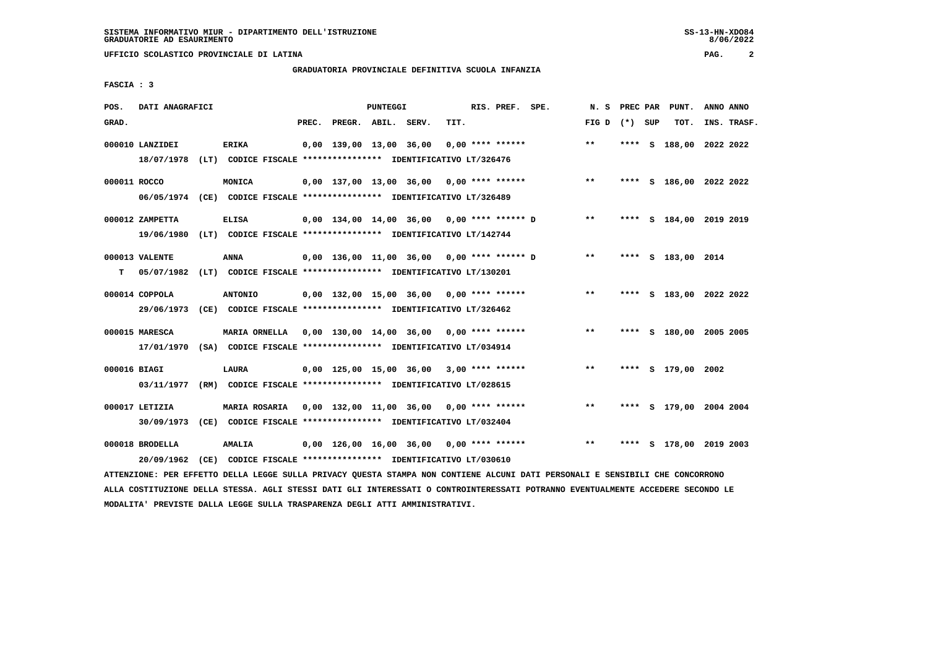#### **GRADUATORIA PROVINCIALE DEFINITIVA SCUOLA INFANZIA**

 **FASCIA : 3**

| POS.         | DATI ANAGRAFICI               |                                                                                                                                   |       |                                              | PUNTEGGI |      | RIS. PREF. SPE.    |                                              | N. S            |      | PREC PAR PUNT.          | ANNO ANNO |             |
|--------------|-------------------------------|-----------------------------------------------------------------------------------------------------------------------------------|-------|----------------------------------------------|----------|------|--------------------|----------------------------------------------|-----------------|------|-------------------------|-----------|-------------|
| GRAD.        |                               |                                                                                                                                   | PREC. | PREGR. ABIL. SERV.                           |          | TIT. |                    |                                              | FIG D $(*)$ SUP |      | TOT.                    |           | INS. TRASF. |
|              | 000010 LANZIDEI<br>18/07/1978 | <b>ERIKA</b><br>(LT) CODICE FISCALE *************** IDENTIFICATIVO LT/326476                                                      |       | 0,00 139,00 13,00 36,00                      |          |      | $0.00$ **** ****** |                                              | $***$           |      | **** S 188,00 2022 2022 |           |             |
| 000011 ROCCO |                               | MONICA<br>06/05/1974 (CE) CODICE FISCALE *************** IDENTIFICATIVO LT/326489                                                 |       |                                              |          |      |                    | $0,00$ 137,00 13,00 36,00 0,00 **** ******   | $***$           |      | **** S 186,00 2022 2022 |           |             |
|              | 000012 ZAMPETTA<br>19/06/1980 | <b>ELISA</b><br>(LT) CODICE FISCALE *************** IDENTIFICATIVO LT/142744                                                      |       | $0,00$ 134,00 14,00 36,00 0,00 **** ****** D |          |      |                    |                                              | $\star\star$    |      | **** S 184,00 2019 2019 |           |             |
| т            | 000013 VALENTE                | <b>ANNA</b><br>05/07/1982 (LT) CODICE FISCALE **************** IDENTIFICATIVO LT/130201                                           |       |                                              |          |      |                    | $0,00$ 136,00 11,00 36,00 0,00 **** ****** D | $***$           |      | **** S 183,00 2014      |           |             |
|              | 000014 COPPOLA                | <b>ANTONIO</b><br>29/06/1973 (CE) CODICE FISCALE *************** IDENTIFICATIVO LT/326462                                         |       | 0,00 132,00 15,00 36,00 0,00 **** ******     |          |      |                    |                                              | $***$           |      | **** S 183,00 2022 2022 |           |             |
|              | 000015 MARESCA                | MARIA ORNELLA 0,00 130,00 14,00 36,00 0,00 **** ******<br>17/01/1970 (SA) CODICE FISCALE *************** IDENTIFICATIVO LT/034914 |       |                                              |          |      |                    |                                              | $***$           | **** | S 180,00 2005 2005      |           |             |
| 000016 BIAGI | 03/11/1977                    | LAURA<br>(RM) CODICE FISCALE **************** IDENTIFICATIVO LT/028615                                                            |       | $0.00$ 125.00 15.00 36.00 3.00 **** ******   |          |      |                    |                                              | $\star\star$    |      | **** S 179,00 2002      |           |             |
|              | 000017 LETIZIA                | MARIA ROSARIA 0,00 132,00 11,00 36,00 0,00 **** ******<br>30/09/1973 (CE) CODICE FISCALE *************** IDENTIFICATIVO LT/032404 |       |                                              |          |      |                    |                                              | $\star\star$    |      | **** S 179,00 2004 2004 |           |             |
|              | 000018 BRODELLA<br>20/09/1962 | AMALIA<br>(CE) CODICE FISCALE **************** IDENTIFICATIVO LT/030610                                                           |       | 0,00 126,00 16,00 36,00 0,00 **** ******     |          |      |                    |                                              | $***$           |      | **** S 178,00 2019 2003 |           |             |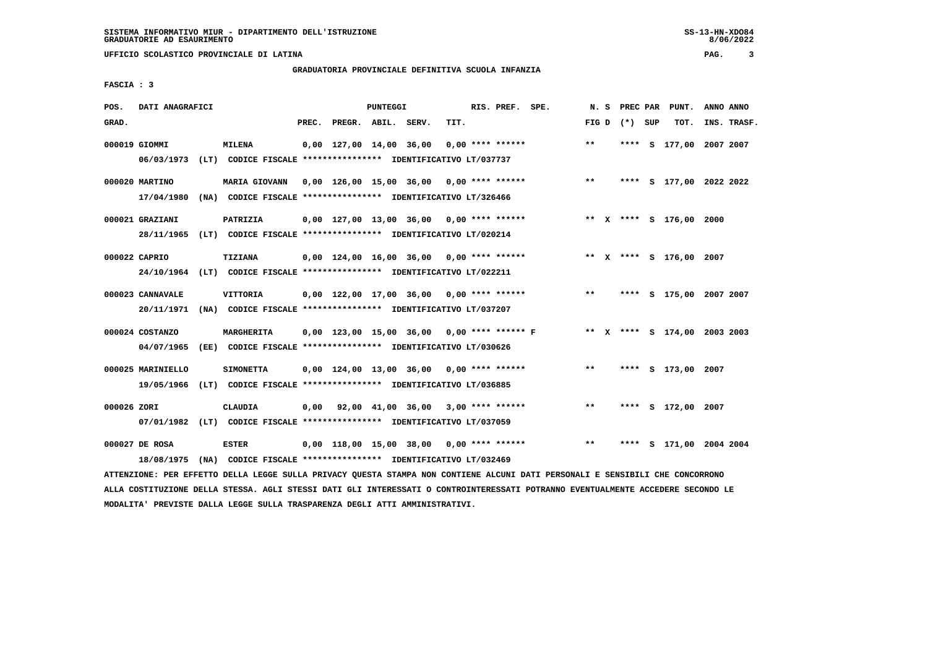# **GRADUATORIA PROVINCIALE DEFINITIVA SCUOLA INFANZIA**

 **FASCIA : 3**

| POS.        | DATI ANAGRAFICI                 |                                                                                           |       |                                                         | PUNTEGGI |      | RIS. PREF. SPE.    | N. S  | PREC PAR        | PUNT.                        | ANNO ANNO |             |
|-------------|---------------------------------|-------------------------------------------------------------------------------------------|-------|---------------------------------------------------------|----------|------|--------------------|-------|-----------------|------------------------------|-----------|-------------|
| GRAD.       |                                 |                                                                                           | PREC. | PREGR. ABIL. SERV.                                      |          | TIT. |                    |       | FIG D $(*)$ SUP | TOT.                         |           | INS. TRASF. |
|             | 000019 GIOMMI                   | <b>MILENA</b><br>06/03/1973 (LT) CODICE FISCALE *************** IDENTIFICATIVO LT/037737  |       | 0,00 127,00 14,00 36,00                                 |          |      | $0,00$ **** ****** | $***$ |                 | **** S 177,00 2007 2007      |           |             |
|             | 000020 MARTINO<br>17/04/1980    | <b>MARIA GIOVANN</b><br>(NA) CODICE FISCALE **************** IDENTIFICATIVO LT/326466     |       | 0,00 126,00 15,00 36,00 0,00 **** ******                |          |      |                    | $***$ |                 | **** S 177,00 2022 2022      |           |             |
|             | 000021 GRAZIANI                 | PATRIZIA<br>28/11/1965 (LT) CODICE FISCALE *************** IDENTIFICATIVO LT/020214       |       | $0,00$ 127,00 13,00 36,00 0,00 **** ******              |          |      |                    |       |                 | ** X **** S 176,00 2000      |           |             |
|             | 000022 CAPRIO                   | <b>TIZIANA</b><br>24/10/1964 (LT) CODICE FISCALE *************** IDENTIFICATIVO LT/022211 |       | 0,00 124,00 16,00 36,00 0,00 **** ******                |          |      |                    |       |                 | ** X **** S 176,00 2007      |           |             |
|             | 000023 CANNAVALE<br>20/11/1971  | VITTORIA<br>(NA) CODICE FISCALE **************** IDENTIFICATIVO LT/037207                 |       | $0,00$ 122,00 17,00 36,00 0,00 **** ******              |          |      |                    | $* *$ |                 | **** S 175,00 2007 2007      |           |             |
|             | 000024 COSTANZO<br>04/07/1965   | MARGHERITA<br>(EE) CODICE FISCALE **************** IDENTIFICATIVO LT/030626               |       | $0,00$ 123,00 15,00 36,00 0,00 **** ****** F            |          |      |                    |       |                 | ** X **** S 174,00 2003 2003 |           |             |
|             | 000025 MARINIELLO<br>19/05/1966 | <b>SIMONETTA</b><br>(LT) CODICE FISCALE **************** IDENTIFICATIVO LT/036885         |       | $0,00$ 124,00 13,00 36,00 0,00 **** ******              |          |      |                    | $* *$ |                 | **** S 173,00 2007           |           |             |
| 000026 ZORI |                                 | CLAUDIA<br>07/01/1982 (LT) CODICE FISCALE *************** IDENTIFICATIVO LT/037059        |       | $0,00$ $92,00$ $41,00$ $36,00$ $3,00$ $***$ **** ****** |          |      |                    | $***$ |                 | **** S 172,00 2007           |           |             |
|             | 000027 DE ROSA<br>18/08/1975    | <b>ESTER</b><br>(NA) CODICE FISCALE **************** IDENTIFICATIVO LT/032469             |       | $0,00$ 118,00 15,00 38,00 0,00 **** ******              |          |      |                    | $***$ |                 | **** S 171,00 2004 2004      |           |             |
|             |                                 |                                                                                           |       |                                                         |          |      |                    |       |                 |                              |           |             |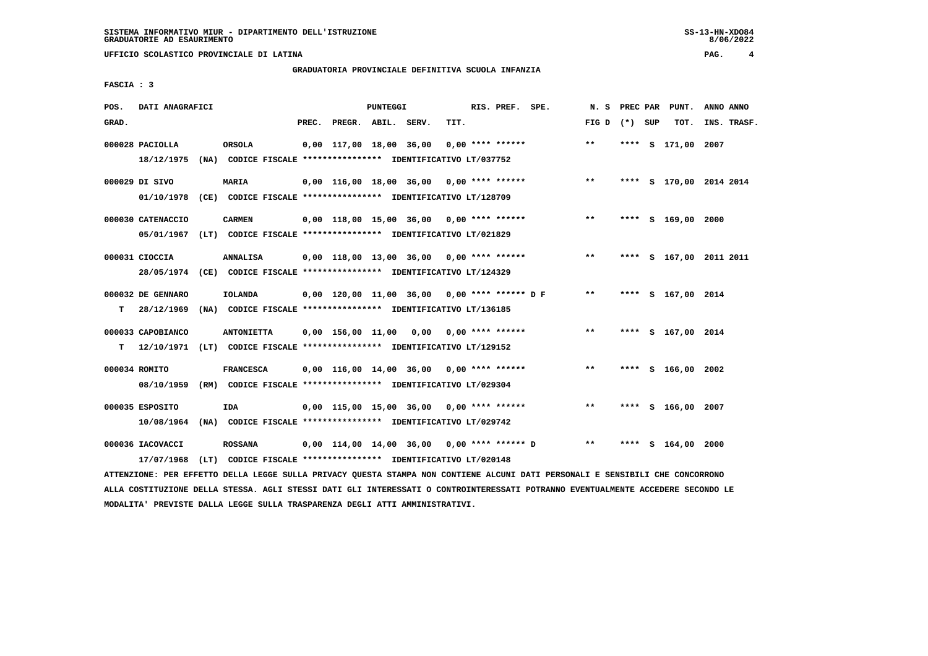# **GRADUATORIA PROVINCIALE DEFINITIVA SCUOLA INFANZIA**

 **FASCIA : 3**

| POS.  | DATI ANAGRAFICI                                                                               |      |                   |       |                          | <b>PUNTEGGI</b> |                                                                                                             |      | RIS. PREF. SPE.    | N. S            |      | PREC PAR PUNT.          | ANNO ANNO |             |
|-------|-----------------------------------------------------------------------------------------------|------|-------------------|-------|--------------------------|-----------------|-------------------------------------------------------------------------------------------------------------|------|--------------------|-----------------|------|-------------------------|-----------|-------------|
| GRAD. |                                                                                               |      |                   | PREC. | PREGR. ABIL. SERV.       |                 |                                                                                                             | TIT. |                    | FIG D $(*)$ SUP |      | тот.                    |           | INS. TRASF. |
|       | 000028 PACIOLLA<br>18/12/1975 (NA) CODICE FISCALE *************** IDENTIFICATIVO LT/037752    |      | ORSOLA            |       | 0,00 117,00 18,00 36,00  |                 |                                                                                                             |      | $0.00$ **** ****** | $***$           |      | **** S 171,00 2007      |           |             |
|       | 000029 DI SIVO<br>01/10/1978 (CE) CODICE FISCALE *************** IDENTIFICATIVO LT/128709     |      | <b>MARIA</b>      |       |                          |                 | 0,00 116,00 18,00 36,00                                                                                     |      | $0.00$ **** ****** | $***$           |      | **** S 170,00 2014 2014 |           |             |
|       | 000030 CATENACCIO<br>05/01/1967 (LT) CODICE FISCALE *************** IDENTIFICATIVO LT/021829  |      | <b>CARMEN</b>     |       |                          |                 | $0,00$ 118,00 15,00 36,00 0,00 **** ******                                                                  |      |                    | $* *$           |      | **** S 169,00 2000      |           |             |
|       | 000031 CIOCCIA<br>28/05/1974 (CE) CODICE FISCALE *************** IDENTIFICATIVO LT/124329     |      | <b>ANNALISA</b>   |       |                          |                 | $0,00$ 118,00 13,00 36,00 0,00 **** ******                                                                  |      |                    | $***$           |      | **** S 167,00 2011 2011 |           |             |
| т     | 000032 DE GENNARO<br>28/12/1969 (NA) CODICE FISCALE **************** IDENTIFICATIVO LT/136185 |      | <b>IOLANDA</b>    |       |                          |                 | $0,00$ 120,00 11,00 36,00 0,00 **** ****** D F                                                              |      |                    | $***$           |      | **** S 167,00 2014      |           |             |
| т     | 000033 CAPOBIANCO<br>12/10/1971 (LT) CODICE FISCALE *************** IDENTIFICATIVO LT/129152  |      | <b>ANTONIETTA</b> |       | $0,00$ 156,00 11,00 0,00 |                 |                                                                                                             |      | 0,00 **** ******   | $***$           |      | **** S 167,00 2014      |           |             |
|       | 000034 ROMITO<br>08/10/1959                                                                   |      | <b>FRANCESCA</b>  |       |                          |                 | 0,00 116,00 14,00 36,00<br>(RM) CODICE FISCALE **************** IDENTIFICATIVO LT/029304                    |      | $0.00$ **** ****** | **              |      | **** S 166,00 2002      |           |             |
|       | 000035 ESPOSITO<br>10/08/1964                                                                 |      | <b>IDA</b>        |       |                          |                 | $0.00$ 115.00 15.00 36.00 0.00 **** ******<br>(NA) CODICE FISCALE **************** IDENTIFICATIVO LT/029742 |      |                    | $***$           |      | **** S 166,00 2007      |           |             |
|       | 000036 IACOVACCI<br>17/07/1968                                                                | (LT) | <b>ROSSANA</b>    |       |                          |                 | $0.00$ 114.00 14.00 36.00 0.00 **** ****** D<br>CODICE FISCALE **************** IDENTIFICATIVO LT/020148    |      |                    | $* *$           | **** | $S$ 164,00 2000         |           |             |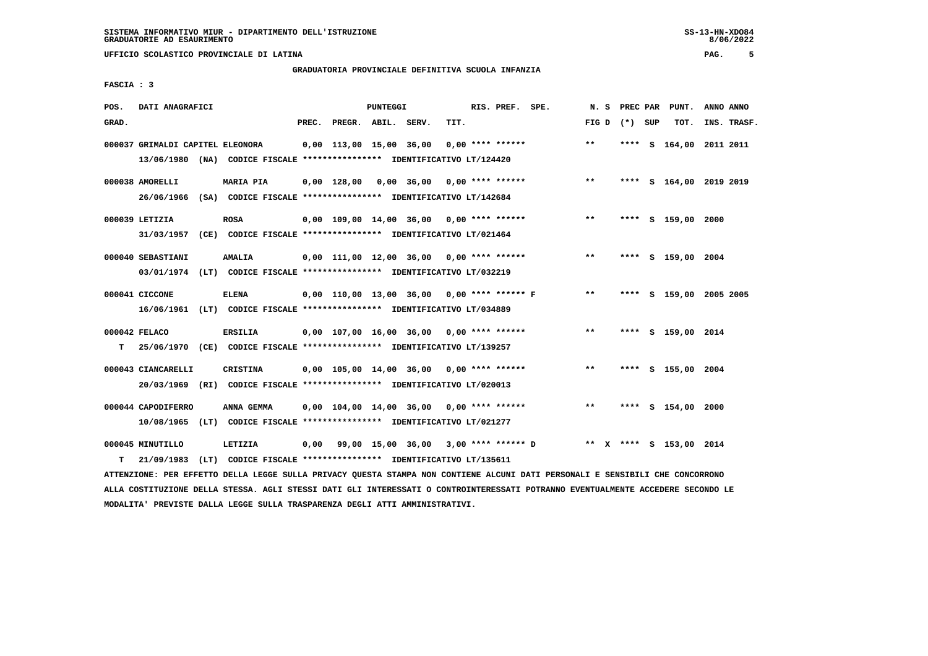#### **GRADUATORIA PROVINCIALE DEFINITIVA SCUOLA INFANZIA**

 **FASCIA : 3**

| POS.  | DATI ANAGRAFICI                                                          |      |                  |  |                                                          | <b>PUNTEGGI</b> |      | RIS. PREF. SPE.  |                                            |       | N.S | PREC PAR        | PUNT.                   | ANNO ANNO |             |
|-------|--------------------------------------------------------------------------|------|------------------|--|----------------------------------------------------------|-----------------|------|------------------|--------------------------------------------|-------|-----|-----------------|-------------------------|-----------|-------------|
| GRAD. |                                                                          |      |                  |  | PREC. PREGR. ABIL. SERV.                                 |                 | TIT. |                  |                                            |       |     | FIG D $(*)$ SUP | тот.                    |           | INS. TRASF. |
|       | 000037 GRIMALDI CAPITEL ELEONORA                                         |      |                  |  | 0,00 113,00 15,00 36,00                                  |                 |      | 0,00 **** ****** |                                            | $* *$ |     |                 | **** S 164,00 2011 2011 |           |             |
|       |                                                                          |      |                  |  |                                                          |                 |      |                  |                                            |       |     |                 |                         |           |             |
|       | 13/06/1980 (NA) CODICE FISCALE **************** IDENTIFICATIVO LT/124420 |      |                  |  |                                                          |                 |      |                  |                                            |       |     |                 |                         |           |             |
|       | 000038 AMORELLI                                                          |      | <b>MARIA PIA</b> |  | $0,00$ 128,00 0,00 36,00 0,00 **** ******                |                 |      |                  |                                            | $**$  |     |                 | **** S 164,00 2019 2019 |           |             |
|       | 26/06/1966 (SA) CODICE FISCALE *************** IDENTIFICATIVO LT/142684  |      |                  |  |                                                          |                 |      |                  |                                            |       |     |                 |                         |           |             |
|       |                                                                          |      |                  |  |                                                          |                 |      |                  |                                            |       |     |                 |                         |           |             |
|       | 000039 LETIZIA                                                           |      | <b>ROSA</b>      |  | $0,00$ 109,00 14,00 36,00 0,00 **** ******               |                 |      |                  |                                            | $**$  |     |                 | **** S 159,00 2000      |           |             |
|       | 31/03/1957 (CE) CODICE FISCALE *************** IDENTIFICATIVO LT/021464  |      |                  |  |                                                          |                 |      |                  |                                            |       |     |                 |                         |           |             |
|       |                                                                          |      |                  |  |                                                          |                 |      |                  |                                            |       |     |                 |                         |           |             |
|       | 000040 SEBASTIANI                                                        |      | <b>AMALIA</b>    |  | $0,00$ 111,00 12,00 36,00 0,00 **** ******               |                 |      |                  |                                            | $***$ |     |                 | **** S 159,00 2004      |           |             |
|       | 03/01/1974 (LT) CODICE FISCALE *************** IDENTIFICATIVO LT/032219  |      |                  |  |                                                          |                 |      |                  |                                            |       |     |                 |                         |           |             |
|       |                                                                          |      |                  |  |                                                          |                 |      |                  |                                            |       |     |                 |                         |           |             |
|       | 000041 CICCONE                                                           |      | <b>ELENA</b>     |  |                                                          |                 |      |                  | 0,00 110,00 13,00 36,00 0,00 **** ****** F | $* *$ |     |                 | **** S 159,00 2005 2005 |           |             |
|       | 16/06/1961 (LT) CODICE FISCALE *************** IDENTIFICATIVO LT/034889  |      |                  |  |                                                          |                 |      |                  |                                            |       |     |                 |                         |           |             |
|       |                                                                          |      |                  |  |                                                          |                 |      |                  |                                            |       |     |                 |                         |           |             |
|       | 000042 FELACO                                                            |      | <b>ERSILIA</b>   |  | $0,00$ 107,00 16,00 36,00 0,00 **** ******               |                 |      |                  |                                            | $* *$ |     |                 | **** S 159,00 2014      |           |             |
| т     | 25/06/1970 (CE) CODICE FISCALE *************** IDENTIFICATIVO LT/139257  |      |                  |  |                                                          |                 |      |                  |                                            |       |     |                 |                         |           |             |
|       | 000043 CIANCARELLI                                                       |      | CRISTINA         |  | 0,00 105,00 14,00 36,00                                  |                 |      | 0,00 **** ****** |                                            | $***$ |     |                 | **** S 155,00 2004      |           |             |
|       |                                                                          |      |                  |  |                                                          |                 |      |                  |                                            |       |     |                 |                         |           |             |
|       | 20/03/1969 (RI) CODICE FISCALE *************** IDENTIFICATIVO LT/020013  |      |                  |  |                                                          |                 |      |                  |                                            |       |     |                 |                         |           |             |
|       | 000044 CAPODIFERRO                                                       |      | ANNA GEMMA       |  | $0.00$ 104.00 14.00 36.00 0.00 **** ******               |                 |      |                  |                                            | $***$ |     |                 | **** S 154,00 2000      |           |             |
|       |                                                                          |      |                  |  |                                                          |                 |      |                  |                                            |       |     |                 |                         |           |             |
|       | 10/08/1965 (LT)                                                          |      |                  |  | CODICE FISCALE **************** IDENTIFICATIVO LT/021277 |                 |      |                  |                                            |       |     |                 |                         |           |             |
|       | 000045 MINUTILLO                                                         |      | LETIZIA          |  | $0,00$ 99,00 15,00 36,00 3,00 **** ****** D              |                 |      |                  |                                            |       |     |                 | ** X **** S 153,00 2014 |           |             |
| т     | 21/09/1983                                                               | (LT) |                  |  | CODICE FISCALE **************** IDENTIFICATIVO LT/135611 |                 |      |                  |                                            |       |     |                 |                         |           |             |
|       |                                                                          |      |                  |  |                                                          |                 |      |                  |                                            |       |     |                 |                         |           |             |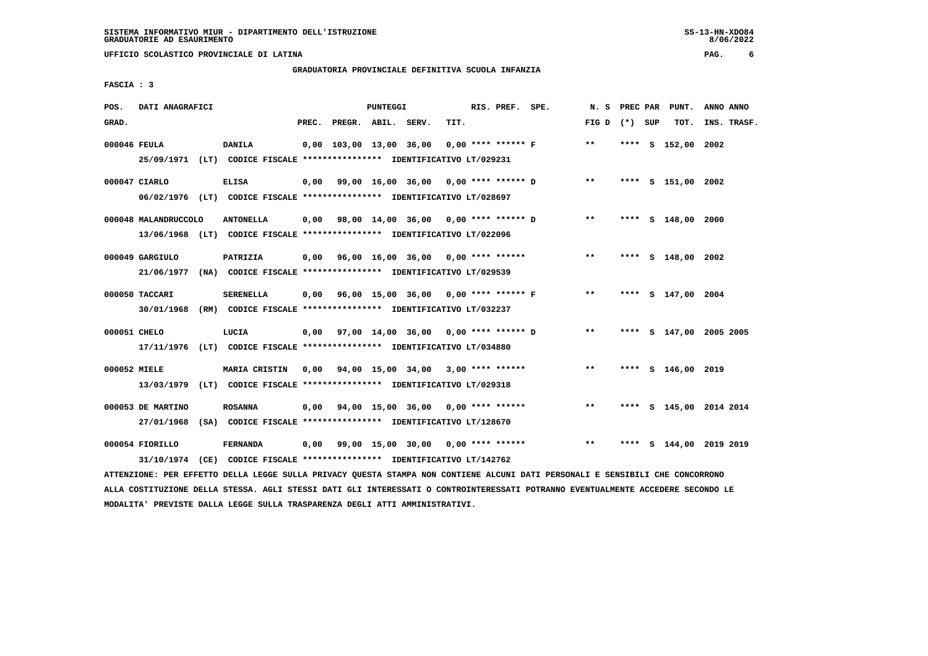#### **GRADUATORIA PROVINCIALE DEFINITIVA SCUOLA INFANZIA**

 **FASCIA : 3**

| POS.         | DATI ANAGRAFICI      |                                                                                                                               |       |                    | PUNTEGGI |                                                          |      | RIS. PREF. SPE.      |                                           | N. S            | PREC PAR | PUNT.              | ANNO ANNO               |
|--------------|----------------------|-------------------------------------------------------------------------------------------------------------------------------|-------|--------------------|----------|----------------------------------------------------------|------|----------------------|-------------------------------------------|-----------------|----------|--------------------|-------------------------|
| GRAD.        |                      |                                                                                                                               | PREC. | PREGR. ABIL. SERV. |          |                                                          | TIT. |                      |                                           | FIG D $(*)$ SUP |          | тот.               | INS. TRASF.             |
| 000046 FEULA |                      | <b>DANILA</b><br>25/09/1971 (LT) CODICE FISCALE *************** IDENTIFICATIVO LT/029231                                      |       |                    |          | 0,00 103,00 13,00 36,00                                  |      | $0.00$ **** ****** F |                                           | $* *$           |          | **** S 152,00 2002 |                         |
|              | 000047 CIARLO        | <b>ELISA</b><br>06/02/1976 (LT) CODICE FISCALE *************** IDENTIFICATIVO LT/028697                                       |       |                    |          | 0,00 99,00 16,00 36,00 0,00 **** ****** D                |      |                      |                                           | $***$           |          | **** S 151,00 2002 |                         |
|              | 000048 MALANDRUCCOLO | <b>ANTONELLA</b><br>13/06/1968 (LT) CODICE FISCALE *************** IDENTIFICATIVO LT/022096                                   |       |                    |          |                                                          |      |                      | 0,00 98,00 14,00 36,00 0,00 **** ****** D | $***$           |          | **** S 148,00 2000 |                         |
|              | 000049 GARGIULO      | PATRIZIA<br>21/06/1977 (NA) CODICE FISCALE *************** IDENTIFICATIVO LT/029539                                           |       |                    |          | 0,00 96,00 16,00 36,00 0,00 **** ******                  |      |                      |                                           | $***$           |          | **** S 148,00 2002 |                         |
|              | 000050 TACCARI       | <b>SERENELLA</b><br>30/01/1968 (RM) CODICE FISCALE *************** IDENTIFICATIVO LT/032237                                   |       |                    |          | 0,00 96,00 15,00 36,00 0,00 **** ****** F                |      |                      |                                           | $***$           |          | **** S 147,00 2004 |                         |
| 000051 CHELO |                      | LUCIA<br>17/11/1976 (LT) CODICE FISCALE *************** IDENTIFICATIVO LT/034880                                              |       |                    |          | $0,00$ $97,00$ $14,00$ $36,00$ $0,00$ $***$ **** ***** D |      |                      |                                           | $***$           |          |                    | **** S 147,00 2005 2005 |
| 000052 MIELE |                      | MARIA CRISTIN<br>13/03/1979 (LT) CODICE FISCALE **************** IDENTIFICATIVO LT/029318                                     |       |                    |          | $0,00$ $94,00$ $15,00$ $34,00$ $3,00$ $***$ **** *****   |      |                      |                                           | $***$           |          | **** S 146,00 2019 |                         |
|              | 000053 DE MARTINO    | <b>ROSANNA</b><br>27/01/1968 (SA) CODICE FISCALE *************** IDENTIFICATIVO LT/128670                                     |       |                    |          | $0,00$ $94,00$ $15,00$ $36,00$ $0,00$ $***$ **** ******  |      |                      |                                           | $***$           |          |                    | **** S 145,00 2014 2014 |
|              | 000054 FIORILLO      | <b>FERNANDA</b><br>31/10/1974 (CE) CODICE FISCALE *************** IDENTIFICATIVO LT/142762                                    |       |                    |          |                                                          |      |                      | 0,00 99,00 15,00 30,00 0,00 **** ******   | $***$           |          |                    | **** S 144,00 2019 2019 |
|              |                      | ATTENZIONE: PER EFFETTO DELLA LEGGE SULLA PRIVACY QUESTA STAMPA NON CONTIENE ALCUNI DATI PERSONALI E SENSIBILI CHE CONCORRONO |       |                    |          |                                                          |      |                      |                                           |                 |          |                    |                         |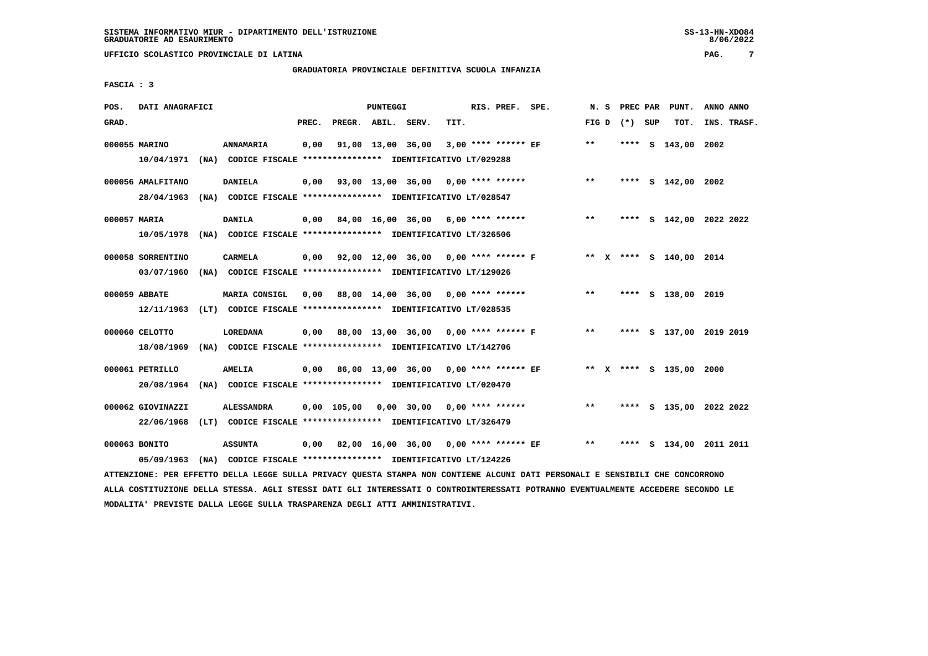#### **GRADUATORIA PROVINCIALE DEFINITIVA SCUOLA INFANZIA**

 **FASCIA : 3**

| POS.  | DATI ANAGRAFICI   |                                                                                                                                 |       |                    | PUNTEGGI |                                                        |      | RIS. PREF. SPE. |                                                                   |              |                 | N. S PREC PAR PUNT.     | ANNO ANNO               |
|-------|-------------------|---------------------------------------------------------------------------------------------------------------------------------|-------|--------------------|----------|--------------------------------------------------------|------|-----------------|-------------------------------------------------------------------|--------------|-----------------|-------------------------|-------------------------|
| GRAD. |                   |                                                                                                                                 | PREC. | PREGR. ABIL. SERV. |          |                                                        | TIT. |                 |                                                                   |              | FIG D $(*)$ SUP | тот.                    | INS. TRASF.             |
|       | 000055 MARINO     | <b>ANNAMARIA</b>                                                                                                                | 0,00  |                    |          | 91,00 13,00 36,00 3,00 **** ****** EF                  |      |                 |                                                                   | $***$        |                 | **** S 143,00 2002      |                         |
|       |                   | 10/04/1971 (NA) CODICE FISCALE *************** IDENTIFICATIVO LT/029288                                                         |       |                    |          |                                                        |      |                 |                                                                   |              |                 |                         |                         |
|       | 000056 AMALFITANO | <b>DANIELA</b>                                                                                                                  |       |                    |          | $0,00$ $93,00$ $13,00$ $36,00$ $0,00$ $***$ **** ***** |      |                 |                                                                   | $***$        |                 | **** S 142,00 2002      |                         |
|       |                   | 28/04/1963 (NA) CODICE FISCALE *************** IDENTIFICATIVO LT/028547                                                         |       |                    |          |                                                        |      |                 |                                                                   |              |                 |                         |                         |
|       | 000057 MARIA      | <b>DANILA</b>                                                                                                                   |       |                    |          | 0,00 84,00 16,00 36,00 6,00 **** ******                |      |                 |                                                                   | $***$        |                 |                         | **** S 142,00 2022 2022 |
|       |                   | 10/05/1978 (NA) CODICE FISCALE **************** IDENTIFICATIVO LT/326506                                                        |       |                    |          |                                                        |      |                 |                                                                   |              |                 |                         |                         |
|       | 000058 SORRENTINO | CARMELA                                                                                                                         |       |                    |          |                                                        |      |                 | 0,00 92,00 12,00 36,00 0,00 **** ****** F ** X **** S 140,00 2014 |              |                 |                         |                         |
|       |                   | 03/07/1960 (NA) CODICE FISCALE **************** IDENTIFICATIVO LT/129026                                                        |       |                    |          |                                                        |      |                 |                                                                   |              |                 |                         |                         |
|       |                   |                                                                                                                                 |       |                    |          |                                                        |      |                 |                                                                   |              |                 |                         |                         |
|       | 000059 ABBATE     | MARIA CONSIGL                                                                                                                   |       |                    |          | 0,00 88,00 14,00 36,00 0,00 **** ******                |      |                 |                                                                   | $***$        |                 | **** S 138,00 2019      |                         |
|       |                   | 12/11/1963 (LT) CODICE FISCALE *************** IDENTIFICATIVO LT/028535                                                         |       |                    |          |                                                        |      |                 |                                                                   |              |                 |                         |                         |
|       | 000060 CELOTTO    | <b>LOREDANA</b>                                                                                                                 |       |                    |          |                                                        |      |                 | 0,00 88,00 13,00 36,00 0,00 **** ****** F                         | $\star\star$ |                 |                         | **** S 137,00 2019 2019 |
|       |                   | 18/08/1969 (NA) CODICE FISCALE **************** IDENTIFICATIVO LT/142706                                                        |       |                    |          |                                                        |      |                 |                                                                   |              |                 |                         |                         |
|       | 000061 PETRILLO   | <b>AMELIA</b>                                                                                                                   |       |                    |          |                                                        |      |                 | 0,00 86,00 13,00 36,00 0,00 **** ****** EF                        |              |                 | ** X **** S 135,00 2000 |                         |
|       |                   | 20/08/1964 (NA) CODICE FISCALE *************** IDENTIFICATIVO LT/020470                                                         |       |                    |          |                                                        |      |                 |                                                                   |              |                 |                         |                         |
|       |                   |                                                                                                                                 |       |                    |          |                                                        |      |                 |                                                                   |              |                 |                         |                         |
|       | 000062 GIOVINAZZI | <b>ALESSANDRA</b>                                                                                                               |       |                    |          | $0,00$ 105,00 0,00 30,00 0,00 **** ******              |      |                 |                                                                   | $***$        |                 |                         | **** S 135,00 2022 2022 |
|       |                   | 22/06/1968 (LT) CODICE FISCALE *************** IDENTIFICATIVO LT/326479                                                         |       |                    |          |                                                        |      |                 |                                                                   |              |                 |                         |                         |
|       | 000063 BONITO     | <b>ASSUNTA</b>                                                                                                                  |       |                    |          |                                                        |      |                 | 0,00 82,00 16,00 36,00 0,00 **** ****** EF                        | $***$        |                 |                         | **** S 134,00 2011 2011 |
|       |                   | 05/09/1963 (NA) CODICE FISCALE *************** IDENTIFICATIVO LT/124226                                                         |       |                    |          |                                                        |      |                 |                                                                   |              |                 |                         |                         |
|       |                   | ATTENZIONE: PER EFFETTO DELLA LEGGE SULLA PRIVACY QUESTA STAMPA NON CONTIENE ALCUNI DATI PERSONALI E SENSIBILI CHE CONCORRONO   |       |                    |          |                                                        |      |                 |                                                                   |              |                 |                         |                         |
|       |                   | ALLA COSTITUZIONE DELLA STESSA. AGLI STESSI DATI GLI INTERESSATI O CONTROINTERESSATI POTRANNO EVENTUALMENTE ACCEDERE SECONDO LE |       |                    |          |                                                        |      |                 |                                                                   |              |                 |                         |                         |

 **MODALITA' PREVISTE DALLA LEGGE SULLA TRASPARENZA DEGLI ATTI AMMINISTRATIVI.**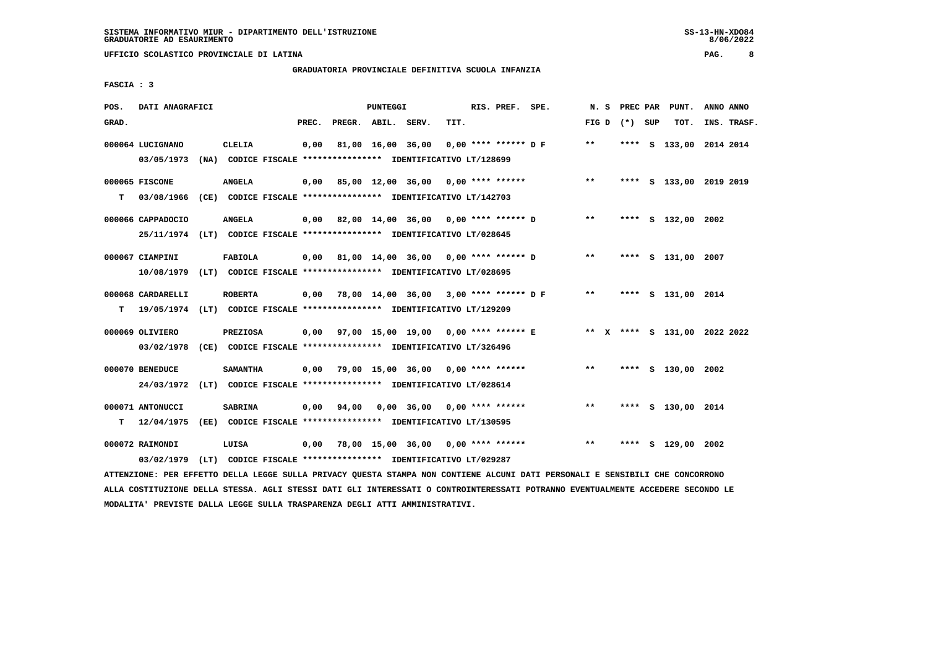# **GRADUATORIA PROVINCIALE DEFINITIVA SCUOLA INFANZIA**

 **FASCIA : 3**

| POS.  | DATI ANAGRAFICI                      |                                                                                            |       |                    | PUNTEGGI |                                             |      | RIS. PREF. SPE. |                                                                        |                 | N. S PREC PAR | PUNT.              | ANNO ANNO               |  |
|-------|--------------------------------------|--------------------------------------------------------------------------------------------|-------|--------------------|----------|---------------------------------------------|------|-----------------|------------------------------------------------------------------------|-----------------|---------------|--------------------|-------------------------|--|
| GRAD. |                                      |                                                                                            | PREC. | PREGR. ABIL. SERV. |          |                                             | TIT. |                 |                                                                        | FIG D $(*)$ SUP |               | TOT.               | INS. TRASF.             |  |
|       | 000064 LUCIGNANO<br>03/05/1973       | <b>CLELIA</b><br>(NA) CODICE FISCALE **************** IDENTIFICATIVO LT/128699             | 0,00  |                    |          | 81,00 16,00 36,00                           |      |                 | 0,00 **** ****** D F                                                   | $* *$           |               |                    | **** S 133,00 2014 2014 |  |
| т     | 000065 FISCONE                       | <b>ANGELA</b><br>03/08/1966 (CE) CODICE FISCALE **************** IDENTIFICATIVO LT/142703  |       |                    |          |                                             |      |                 | 0,00 85,00 12,00 36,00 0,00 **** ******                                | $***$           |               |                    | **** S 133,00 2019 2019 |  |
|       | 000066 CAPPADOCIO                    | <b>ANGELA</b><br>25/11/1974 (LT) CODICE FISCALE *************** IDENTIFICATIVO LT/028645   |       |                    |          | $0,00$ 82,00 14,00 36,00 0,00 **** ****** D |      |                 |                                                                        | $***$           |               | **** S 132,00 2002 |                         |  |
|       | 000067 CIAMPINI                      | <b>FABIOLA</b><br>10/08/1979 (LT) CODICE FISCALE **************** IDENTIFICATIVO LT/028695 |       |                    |          |                                             |      |                 | $0,00$ 81,00 14,00 36,00 0,00 **** ****** D                            | $**$            |               | **** S 131,00 2007 |                         |  |
| т     | 000068 CARDARELLI                    | <b>ROBERTA</b><br>19/05/1974 (LT) CODICE FISCALE *************** IDENTIFICATIVO LT/129209  |       |                    |          |                                             |      |                 | $0,00$ 78,00 14,00 36,00 3,00 **** ****** D F                          | $* *$           |               | **** S 131,00 2014 |                         |  |
|       | 000069 OLIVIERO<br>03/02/1978        | <b>PREZIOSA</b><br>(CE) CODICE FISCALE **************** IDENTIFICATIVO LT/326496           |       |                    |          |                                             |      |                 | 0,00 97,00 15,00 19,00 0,00 **** ****** E ** X **** S 131,00 2022 2022 |                 |               |                    |                         |  |
|       | 000070 BENEDUCE<br>24/03/1972        | <b>SAMANTHA</b><br>(LT) CODICE FISCALE **************** IDENTIFICATIVO LT/028614           |       |                    |          | $0.00$ 79.00 15.00 36.00 0.00 **** ******   |      |                 |                                                                        | $***$           |               | **** S 130,00 2002 |                         |  |
|       | 000071 ANTONUCCI<br>$T = 12/04/1975$ | <b>SABRINA</b><br>(EE) CODICE FISCALE **************** IDENTIFICATIVO LT/130595            | 0,00  | 94,00              |          | $0.00$ 36.00 0.00 **** ******               |      |                 |                                                                        | $* *$           |               | **** S 130,00 2014 |                         |  |
|       | 000072 RAIMONDI<br>03/02/1979        | LUISA<br>(LT) CODICE FISCALE **************** IDENTIFICATIVO LT/029287                     |       |                    |          | $0.00$ 78.00 15.00 36.00 0.00 **** ******   |      |                 |                                                                        | $***$           |               | **** S 129,00 2002 |                         |  |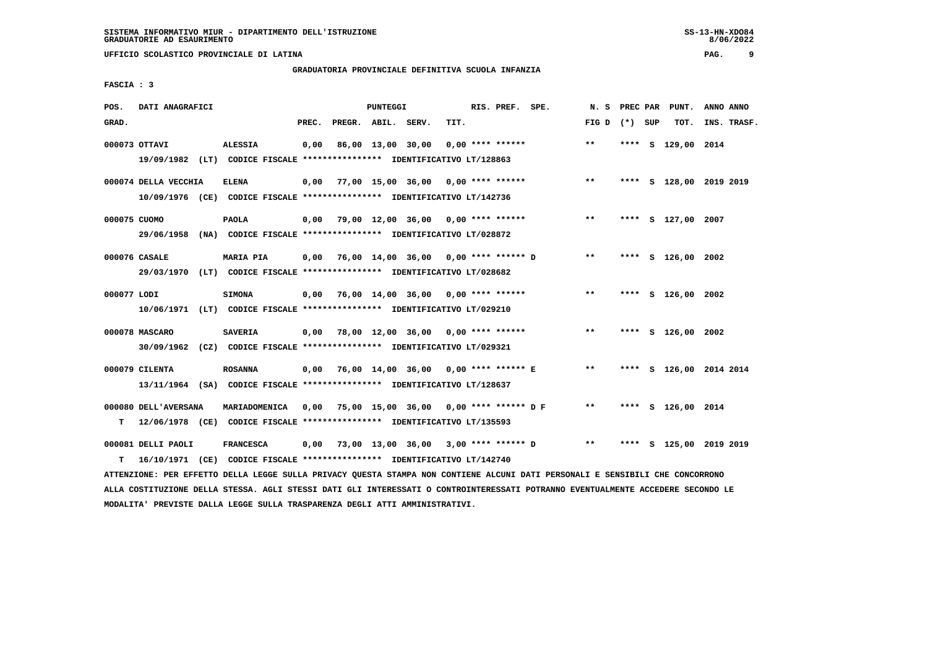#### **GRADUATORIA PROVINCIALE DEFINITIVA SCUOLA INFANZIA**

 **FASCIA : 3**

| POS.        | DATI ANAGRAFICI      |                                                                                                                               |       | PUNTEGGI           |                                             | RIS. PREF.         | SPE. | N.S             | PREC PAR | PUNT.              | ANNO ANNO               |
|-------------|----------------------|-------------------------------------------------------------------------------------------------------------------------------|-------|--------------------|---------------------------------------------|--------------------|------|-----------------|----------|--------------------|-------------------------|
| GRAD.       |                      |                                                                                                                               | PREC. | PREGR. ABIL. SERV. | TIT.                                        |                    |      | FIG D $(*)$ SUP |          | TOT.               | INS. TRASF.             |
|             |                      |                                                                                                                               |       |                    |                                             |                    |      |                 |          |                    |                         |
|             | 000073 OTTAVI        | <b>ALESSIA</b>                                                                                                                | 0,00  | 86,00 13,00 30,00  |                                             | $0,00$ **** ****** |      | $***$           |          | **** S 129,00 2014 |                         |
|             |                      | 19/09/1982 (LT) CODICE FISCALE *************** IDENTIFICATIVO LT/128863                                                       |       |                    |                                             |                    |      |                 |          |                    |                         |
|             |                      |                                                                                                                               |       |                    |                                             |                    |      |                 |          |                    |                         |
|             | 000074 DELLA VECCHIA | <b>ELENA</b>                                                                                                                  |       |                    | $0,00$ 77,00 15,00 36,00 0,00 **** ******   |                    |      | $***$           |          |                    | **** S 128,00 2019 2019 |
|             |                      | 10/09/1976 (CE) CODICE FISCALE *************** IDENTIFICATIVO LT/142736                                                       |       |                    |                                             |                    |      |                 |          |                    |                         |
|             | 000075 CUOMO         | <b>PAOLA</b>                                                                                                                  |       |                    | $0,00$ 79,00 12,00 36,00 0,00 **** ******   |                    |      | $* *$           |          | **** S 127,00 2007 |                         |
|             | 29/06/1958           | (NA) CODICE FISCALE **************** IDENTIFICATIVO LT/028872                                                                 |       |                    |                                             |                    |      |                 |          |                    |                         |
|             |                      |                                                                                                                               |       |                    |                                             |                    |      |                 |          |                    |                         |
|             | 000076 CASALE        | <b>MARIA PIA</b>                                                                                                              | 0,00  |                    | 76,00 14,00 36,00 0,00 **** ****** D        |                    |      | $***$           |          | **** S 126,00 2002 |                         |
|             |                      | 29/03/1970 (LT) CODICE FISCALE *************** IDENTIFICATIVO LT/028682                                                       |       |                    |                                             |                    |      |                 |          |                    |                         |
|             |                      |                                                                                                                               |       |                    |                                             |                    |      |                 |          |                    |                         |
| 000077 LODI |                      | <b>SIMONA</b>                                                                                                                 |       |                    | $0,00$ 76,00 14,00 36,00 0,00 **** ******   |                    |      | $* *$           |          | **** S 126,00 2002 |                         |
|             |                      | 10/06/1971 (LT) CODICE FISCALE *************** IDENTIFICATIVO LT/029210                                                       |       |                    |                                             |                    |      |                 |          |                    |                         |
|             |                      |                                                                                                                               |       |                    |                                             |                    |      |                 |          |                    |                         |
|             | 000078 MASCARO       | <b>SAVERIA</b>                                                                                                                | 0,00  |                    | 78,00 12,00 36,00 0,00 **** ******          |                    |      | $***$           |          | **** S 126,00 2002 |                         |
|             |                      | 30/09/1962 (CZ) CODICE FISCALE *************** IDENTIFICATIVO LT/029321                                                       |       |                    |                                             |                    |      |                 |          |                    |                         |
|             | 000079 CILENTA       | <b>ROSANNA</b>                                                                                                                |       |                    | 0,00 76,00 14,00 36,00 0,00 **** ****** E   |                    |      | $* *$           |          |                    | **** S 126,00 2014 2014 |
|             |                      | 13/11/1964 (SA) CODICE FISCALE *************** IDENTIFICATIVO LT/128637                                                       |       |                    |                                             |                    |      |                 |          |                    |                         |
|             |                      |                                                                                                                               |       |                    |                                             |                    |      |                 |          |                    |                         |
|             | 000080 DELL'AVERSANA | MARIADOMENICA                                                                                                                 | 0,00  |                    | 75,00 15,00 36,00 0,00 **** ****** DF       |                    |      | $***$           |          | **** S 126,00 2014 |                         |
| т           |                      | 12/06/1978 (CE) CODICE FISCALE **************** IDENTIFICATIVO LT/135593                                                      |       |                    |                                             |                    |      |                 |          |                    |                         |
|             |                      |                                                                                                                               |       |                    |                                             |                    |      |                 |          |                    |                         |
|             | 000081 DELLI PAOLI   | <b>FRANCESCA</b>                                                                                                              |       |                    | $0,00$ 73,00 13,00 36,00 3,00 **** ****** D |                    |      | $\star\star$    |          |                    | **** S 125,00 2019 2019 |
| т           |                      | 16/10/1971 (CE) CODICE FISCALE *************** IDENTIFICATIVO LT/142740                                                       |       |                    |                                             |                    |      |                 |          |                    |                         |
|             |                      | ATTENZIONE: PER EFFETTO DELLA LEGGE SULLA PRIVACY QUESTA STAMPA NON CONTIENE ALCUNI DATI PERSONALI E SENSIBILI CHE CONCORRONO |       |                    |                                             |                    |      |                 |          |                    |                         |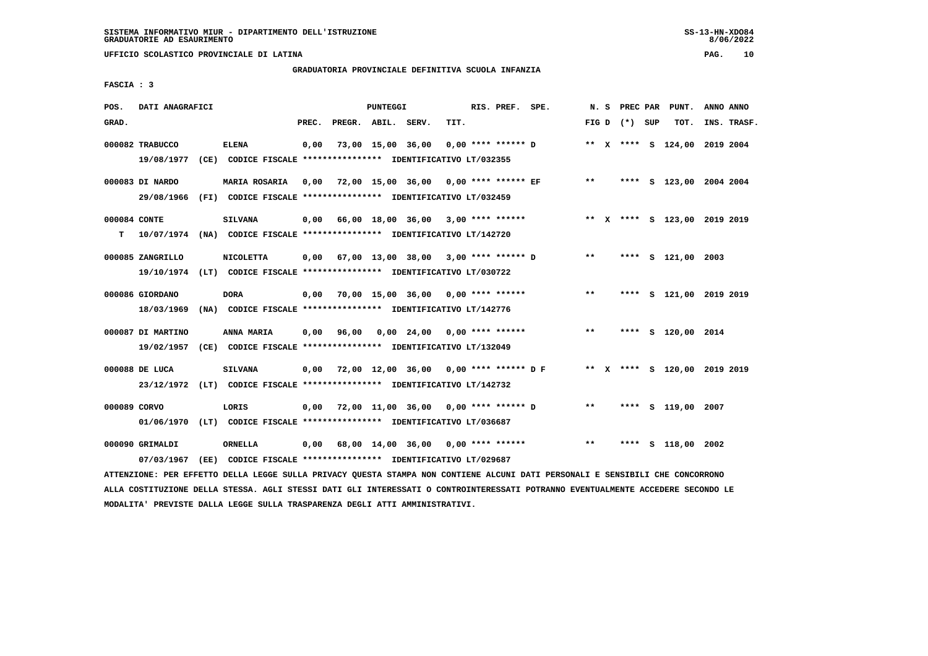# **GRADUATORIA PROVINCIALE DEFINITIVA SCUOLA INFANZIA**

 **FASCIA : 3**

| POS.  | DATI ANAGRAFICI                                                                             |      |                  |       |                    | PUNTEGGI |                                                                                                        |      | RIS. PREF.         | SPE. |       | N. S | PREC PAR        | PUNT.                        | ANNO ANNO   |
|-------|---------------------------------------------------------------------------------------------|------|------------------|-------|--------------------|----------|--------------------------------------------------------------------------------------------------------|------|--------------------|------|-------|------|-----------------|------------------------------|-------------|
| GRAD. |                                                                                             |      |                  | PREC. | PREGR. ABIL. SERV. |          |                                                                                                        | TIT. |                    |      |       |      | FIG D $(*)$ SUP | TOT.                         | INS. TRASF. |
|       | 000082 TRABUCCO<br>19/08/1977                                                               |      | ELENA            | 0,00  |                    |          | 73,00 15,00 36,00<br>(CE) CODICE FISCALE **************** IDENTIFICATIVO LT/032355                     |      | 0,00 **** ****** D |      |       |      |                 | ** X **** S 124,00 2019 2004 |             |
|       | 000083 DI NARDO<br>29/08/1966                                                               |      | MARIA ROSARIA    | 0.00  |                    |          | 72,00 15,00 36,00 0,00 **** ****** EF<br>(FI) CODICE FISCALE **************** IDENTIFICATIVO LT/032459 |      |                    |      | $* *$ |      |                 | **** S 123,00 2004 2004      |             |
| т     | 000084 CONTE<br>10/07/1974 (NA) CODICE FISCALE **************** IDENTIFICATIVO LT/142720    |      | <b>SILVANA</b>   |       |                    |          | $0,00$ 66,00 18,00 36,00 3,00 **** ******                                                              |      |                    |      |       |      |                 | ** X **** S 123,00 2019 2019 |             |
|       | 000085 ZANGRILLO<br>19/10/1974 (LT) CODICE FISCALE *************** IDENTIFICATIVO LT/030722 |      | <b>NICOLETTA</b> |       |                    |          | $0,00$ 67,00 13,00 38,00 3,00 **** ****** D                                                            |      |                    |      | **    |      |                 | **** S 121,00 2003           |             |
|       | 000086 GIORDANO<br>18/03/1969                                                               |      | <b>DORA</b>      | 0,00  |                    |          | 70,00 15,00 36,00 0,00 **** ******<br>(NA) CODICE FISCALE **************** IDENTIFICATIVO LT/142776    |      |                    |      | $* *$ |      |                 | **** S 121,00 2019 2019      |             |
|       | 000087 DI MARTINO<br>19/02/1957                                                             |      | ANNA MARIA       | 0,00  | 96,00              |          | 0,00 24,00<br>(CE) CODICE FISCALE **************** IDENTIFICATIVO LT/132049                            |      | $0.00$ **** ****** |      | $***$ |      |                 | **** S 120,00 2014           |             |
|       | 000088 DE LUCA<br>23/12/1972 (LT)                                                           |      | <b>SILVANA</b>   | 0,00  |                    |          | 72,00 12,00 36,00 0,00 **** ****** D F<br>CODICE FISCALE **************** IDENTIFICATIVO LT/142732     |      |                    |      |       |      |                 | ** X **** S 120,00 2019 2019 |             |
|       | 000089 CORVO<br>01/06/1970                                                                  |      | LORIS            | 0,00  |                    |          | 72,00 11,00 36,00 0,00 **** ****** D<br>(LT) CODICE FISCALE **************** IDENTIFICATIVO LT/036687  |      |                    |      | $***$ |      |                 | **** S 119,00 2007           |             |
|       | 000090 GRIMALDI<br>07/03/1967                                                               | (EE) | ORNELLA          | 0,00  |                    |          | 68,00 14,00 36,00 0,00 **** ******<br>CODICE FISCALE **************** IDENTIFICATIVO LT/029687         |      |                    |      | $* *$ |      | ****            | S 118,00 2002                |             |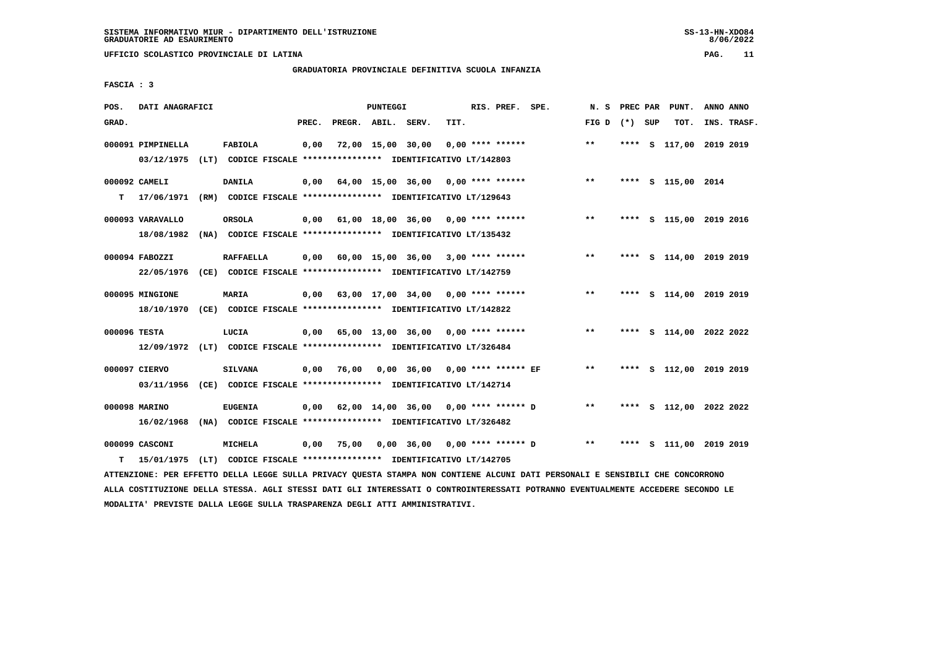# **GRADUATORIA PROVINCIALE DEFINITIVA SCUOLA INFANZIA**

 **FASCIA : 3**

| POS.         | DATI ANAGRAFICI                                                                               |                  |       |                    | <b>PUNTEGGI</b> |                                                                                                            |      | RIS. PREF. SPE.      | N. S            | PREC PAR | PUNT.                   | ANNO ANNO |             |
|--------------|-----------------------------------------------------------------------------------------------|------------------|-------|--------------------|-----------------|------------------------------------------------------------------------------------------------------------|------|----------------------|-----------------|----------|-------------------------|-----------|-------------|
| GRAD.        |                                                                                               |                  | PREC. | PREGR. ABIL. SERV. |                 |                                                                                                            | TIT. |                      | FIG D $(*)$ SUP |          | TOT.                    |           | INS. TRASF. |
|              | 000091 PIMPINELLA<br>03/12/1975 (LT) CODICE FISCALE **************** IDENTIFICATIVO LT/142803 | FABIOLA          | 0,00  |                    |                 | 72,00 15,00 30,00                                                                                          |      | $0.00$ **** ******   | $\star\star$    |          | **** S 117,00 2019 2019 |           |             |
| т            | 000092 CAMELI<br>17/06/1971                                                                   | DANILA           | 0,00  |                    |                 | 64,00 15,00 36,00 0,00 **** ******<br>(RM) CODICE FISCALE **************** IDENTIFICATIVO LT/129643        |      |                      | $* *$           |          | **** S 115,00 2014      |           |             |
|              | 000093 VARAVALLO<br>18/08/1982                                                                | ORSOLA           |       |                    |                 | $0,00$ 61,00 18,00 36,00 0,00 **** ******<br>(NA) CODICE FISCALE **************** IDENTIFICATIVO LT/135432 |      |                      | $* *$           |          | **** S 115,00 2019 2016 |           |             |
|              | 000094 FABOZZI<br>22/05/1976 (CE) CODICE FISCALE *************** IDENTIFICATIVO LT/142759     | <b>RAFFAELLA</b> |       |                    |                 | $0,00$ 60,00 15,00 36,00 3,00 **** ******                                                                  |      |                      | $***$           |          | **** S 114,00 2019 2019 |           |             |
|              | 000095 MINGIONE<br>18/10/1970 (CE) CODICE FISCALE *************** IDENTIFICATIVO LT/142822    | <b>MARIA</b>     |       |                    |                 | $0,00$ 63,00 17,00 34,00 0,00 **** ******                                                                  |      |                      | $* *$           |          | **** S 114,00 2019 2019 |           |             |
| 000096 TESTA | 12/09/1972 (LT) CODICE FISCALE **************** IDENTIFICATIVO LT/326484                      | LUCIA            |       |                    |                 | $0,00$ 65,00 13,00 36,00 0,00 **** ******                                                                  |      |                      | $***$           |          | **** S 114,00 2022 2022 |           |             |
|              | 000097 CIERVO<br>03/11/1956 (CE) CODICE FISCALE *************** IDENTIFICATIVO LT/142714      | <b>SILVANA</b>   | 0,00  | 76,00              |                 | 0,00 36,00 0,00 **** ****** EF                                                                             |      |                      | $* *$           |          | **** S 112,00 2019 2019 |           |             |
|              | 000098 MARINO<br>16/02/1968                                                                   | <b>EUGENIA</b>   | 0,00  |                    |                 | 62,00 14,00 36,00 0,00 **** ****** D<br>(NA) CODICE FISCALE **************** IDENTIFICATIVO LT/326482      |      |                      | $* *$           |          | **** S 112,00 2022 2022 |           |             |
| т            | 000099 CASCONI<br>15/01/1975 (LT) CODICE FISCALE *************** IDENTIFICATIVO LT/142705     | <b>MICHELA</b>   | 0,00  | 75,00              |                 | 0,00 36,00                                                                                                 |      | $0,00$ **** ****** D | $***$           | ****     | S 111,00 2019 2019      |           |             |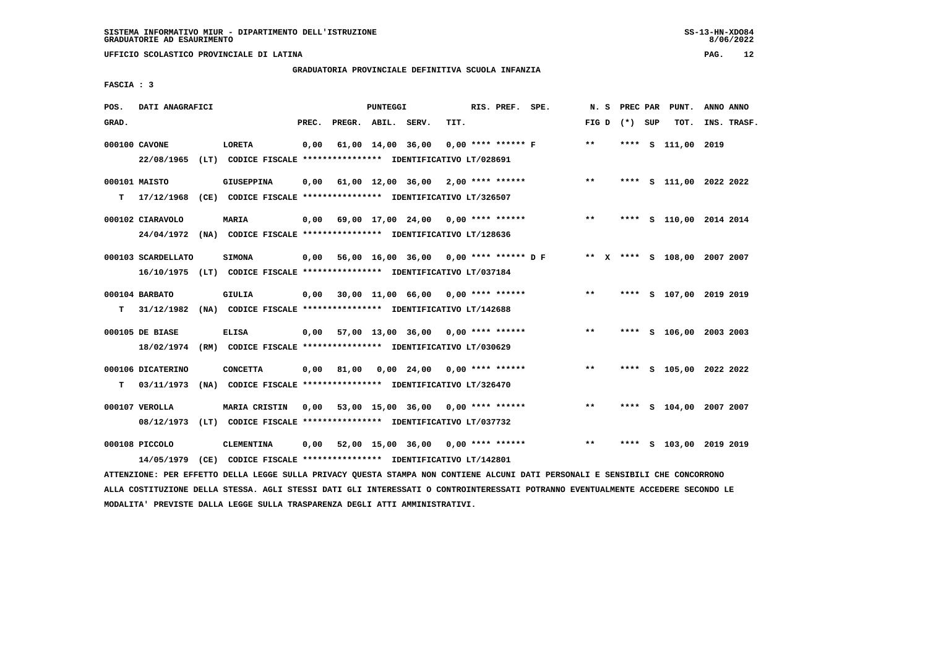# **GRADUATORIA PROVINCIALE DEFINITIVA SCUOLA INFANZIA**

 **FASCIA : 3**

| POS.  | DATI ANAGRAFICI                                                                               |                                                                                    |       |                    | PUNTEGGI |                                           |      | RIS. PREF. SPE.      |                                               | N.S             |      | PREC PAR | PUNT.                        | ANNO ANNO |             |
|-------|-----------------------------------------------------------------------------------------------|------------------------------------------------------------------------------------|-------|--------------------|----------|-------------------------------------------|------|----------------------|-----------------------------------------------|-----------------|------|----------|------------------------------|-----------|-------------|
| GRAD. |                                                                                               |                                                                                    | PREC. | PREGR. ABIL. SERV. |          |                                           | TIT. |                      |                                               | FIG D $(*)$ SUP |      |          | TOT.                         |           | INS. TRASF. |
|       | 000100 CAVONE<br>22/08/1965 (LT) CODICE FISCALE *************** IDENTIFICATIVO LT/028691      | LORETA                                                                             | 0,00  |                    |          | 61,00 14,00 36,00                         |      | $0,00$ **** ****** F |                                               | **              |      |          | **** S 111,00 2019           |           |             |
| T.    | 000101 MAISTO<br>17/12/1968                                                                   | <b>GIUSEPPINA</b><br>(CE) CODICE FISCALE **************** IDENTIFICATIVO LT/326507 | 0,00  |                    |          | 61,00 12,00 36,00 2,00 **** ******        |      |                      |                                               | $***$           |      |          | **** S 111,00 2022 2022      |           |             |
|       | 000102 CIARAVOLO<br>24/04/1972 (NA) CODICE FISCALE **************** IDENTIFICATIVO LT/128636  | <b>MARIA</b>                                                                       |       |                    |          | $0,00$ 69,00 17,00 24,00 0,00 **** ****** |      |                      |                                               | $***$           |      |          | **** S 110,00 2014 2014      |           |             |
|       | 000103 SCARDELLATO<br>16/10/1975 (LT) CODICE FISCALE *************** IDENTIFICATIVO LT/037184 | <b>SIMONA</b>                                                                      |       |                    |          |                                           |      |                      | $0,00$ 56,00 16,00 36,00 0,00 **** ****** D F |                 |      |          | ** X **** S 108,00 2007 2007 |           |             |
| т     | 000104 BARBATO<br>31/12/1982                                                                  | <b>GIULIA</b><br>(NA) CODICE FISCALE **************** IDENTIFICATIVO LT/142688     |       |                    |          | $0,00$ 30,00 11,00 66,00 0,00 **** ****** |      |                      |                                               | $***$           |      |          | **** S 107,00 2019 2019      |           |             |
|       | 000105 DE BIASE<br>18/02/1974 (RM) CODICE FISCALE *************** IDENTIFICATIVO LT/030629    | <b>ELISA</b>                                                                       |       |                    |          | $0,00$ 57,00 13,00 36,00 0,00 **** ****** |      |                      |                                               | $***$           |      |          | **** S 106,00 2003 2003      |           |             |
| т     | 000106 DICATERINO<br>03/11/1973                                                               | <b>CONCETTA</b><br>(NA) CODICE FISCALE **************** IDENTIFICATIVO LT/326470   |       | $0,00$ 81,00       |          | $0,00$ 24,00 0,00 **** ******             |      |                      |                                               | $***$           |      |          | **** S 105,00 2022 2022      |           |             |
|       | 000107 VEROLLA<br>08/12/1973 (LT) CODICE FISCALE *************** IDENTIFICATIVO LT/037732     | MARIA CRISTIN                                                                      |       |                    |          | $0,00$ 53,00 15,00 36,00 0,00 **** ****** |      |                      |                                               | **              |      |          | **** S 104,00 2007 2007      |           |             |
|       | 000108 PICCOLO<br>14/05/1979                                                                  | <b>CLEMENTINA</b><br>(CE) CODICE FISCALE **************** IDENTIFICATIVO LT/142801 | 0,00  |                    |          | $52,00$ 15,00 36,00 0,00 **** ******      |      |                      |                                               | $***$           | **** |          | S 103,00 2019 2019           |           |             |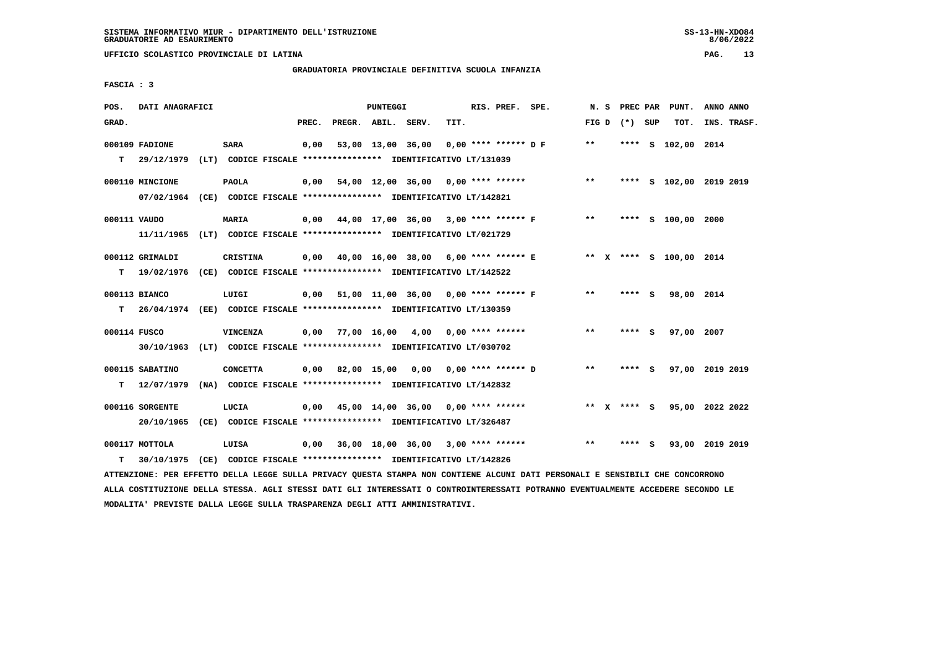# **GRADUATORIA PROVINCIALE DEFINITIVA SCUOLA INFANZIA**

 **FASCIA : 3**

| POS.         | DATI ANAGRAFICI                                                                                          |                                                                                  |       |                    | PUNTEGGI |                                           |      | RIS. PREF. SPE.        |                                             |         |                 |     | N. S PREC PAR PUNT.     | ANNO ANNO |             |
|--------------|----------------------------------------------------------------------------------------------------------|----------------------------------------------------------------------------------|-------|--------------------|----------|-------------------------------------------|------|------------------------|---------------------------------------------|---------|-----------------|-----|-------------------------|-----------|-------------|
| GRAD.        |                                                                                                          |                                                                                  | PREC. | PREGR. ABIL. SERV. |          |                                           | TIT. |                        |                                             |         | FIG D $(*)$ SUP |     | TOT.                    |           | INS. TRASF. |
| T.           | 000109 FADIONE<br>29/12/1979 (LT) CODICE FISCALE *************** IDENTIFICATIVO LT/131039                | <b>SARA</b>                                                                      | 0,00  |                    |          | 53,00 13,00 36,00                         |      | $0.00$ **** ****** D F |                                             | $**$    |                 |     | **** S 102,00 2014      |           |             |
|              | 000110 MINCIONE<br>07/02/1964 (CE) CODICE FISCALE *************** IDENTIFICATIVO LT/142821               | <b>PAOLA</b>                                                                     | 0,00  |                    |          | 54,00 12,00 36,00 0,00 **** ******        |      |                        |                                             | $***$   |                 |     | **** S 102,00 2019 2019 |           |             |
| 000111 VAUDO | 11/11/1965 (LT) CODICE FISCALE *************** IDENTIFICATIVO LT/021729                                  | <b>MARIA</b>                                                                     |       |                    |          |                                           |      |                        | $0,00$ 44,00 17,00 36,00 3,00 **** ****** F | $***$   |                 |     | **** S 100,00 2000      |           |             |
| T.           | 000112 GRIMALDI<br>19/02/1976 (CE) CODICE FISCALE *************** IDENTIFICATIVO LT/142522               | <b>CRISTINA</b>                                                                  |       |                    |          |                                           |      |                        | 0,00 40,00 16,00 38,00 6,00 **** ****** E   |         |                 |     | ** X **** S 100,00 2014 |           |             |
| T.           | 000113 BIANCO<br>26/04/1974 (EE) CODICE FISCALE **************** IDENTIFICATIVO LT/130359                | LUIGI                                                                            |       |                    |          | 0,00 51,00 11,00 36,00 0,00 **** ****** F |      |                        |                                             | $***$   | **** S          |     | 98,00 2014              |           |             |
| 000114 FUSCO |                                                                                                          | <b>VINCENZA</b>                                                                  |       |                    |          | $0,00$ 77,00 16,00 4,00 0,00 **** ******  |      |                        |                                             | $**$    | $***$ S         |     | 97,00 2007              |           |             |
| T.           | 30/10/1963 (LT) CODICE FISCALE *************** IDENTIFICATIVO LT/030702<br>000115 SABATINO<br>12/07/1979 | <b>CONCETTA</b><br>(NA) CODICE FISCALE **************** IDENTIFICATIVO LT/142832 |       | $0,00$ 82,00 15,00 |          |                                           |      |                        | 0,00 0,00 **** ****** D                     | $* *$   | **** S          |     | 97,00 2019 2019         |           |             |
|              | 000116 SORGENTE<br>20/10/1965                                                                            | LUCIA<br>(CE) CODICE FISCALE **************** IDENTIFICATIVO LT/326487           | 0,00  |                    |          | 45,00 14,00 36,00 0,00 **** ******        |      |                        |                                             | $***$ X | $***$ S         |     | 95,00 2022 2022         |           |             |
| т            | 000117 MOTTOLA<br>30/10/1975 (CE) CODICE FISCALE *************** IDENTIFICATIVO LT/142826                | LUISA                                                                            |       |                    |          | 0,00 36,00 18,00 36,00                    |      | $3,00$ **** ******     |                                             | $* *$   | ****            | - S | 93,00                   | 2019 2019 |             |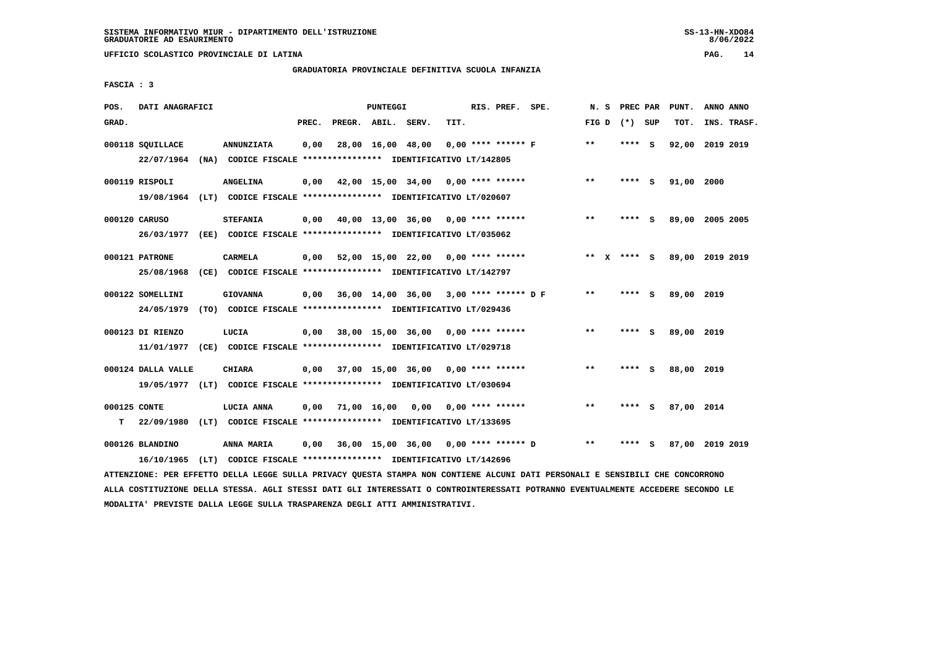# **GRADUATORIA PROVINCIALE DEFINITIVA SCUOLA INFANZIA**

 **FASCIA : 3**

| POS.               | DATI ANAGRAFICI                                                                                |                                                                                    |       |                    | PUNTEGGI |                                               |      | RIS. PREF. SPE.      | N. S         | PREC PAR        |     | PUNT.      | ANNO ANNO       |  |
|--------------------|------------------------------------------------------------------------------------------------|------------------------------------------------------------------------------------|-------|--------------------|----------|-----------------------------------------------|------|----------------------|--------------|-----------------|-----|------------|-----------------|--|
| GRAD.              |                                                                                                |                                                                                    | PREC. | PREGR. ABIL. SERV. |          |                                               | TIT. |                      |              | FIG D $(*)$ SUP |     | TOT.       | INS. TRASF.     |  |
|                    | 000118 SQUILLACE<br>22/07/1964                                                                 | <b>ANNUNZIATA</b><br>(NA) CODICE FISCALE **************** IDENTIFICATIVO LT/142805 | 0,00  |                    |          | 28,00 16,00 48,00                             |      | $0,00$ **** ****** F | **           | **** S          |     | 92,00      | 2019 2019       |  |
|                    | 000119 RISPOLI<br>19/08/1964 (LT) CODICE FISCALE **************** IDENTIFICATIVO LT/020607     | <b>ANGELINA</b>                                                                    |       |                    |          | $0,00$ 42,00 15,00 34,00 0,00 **** ******     |      |                      | $***$        | **** S          |     | 91,00 2000 |                 |  |
|                    | 000120 CARUSO<br>26/03/1977 (EE) CODICE FISCALE *************** IDENTIFICATIVO LT/035062       | <b>STEFANIA</b>                                                                    |       |                    |          | $0,00$ 40,00 13,00 36,00 0,00 **** ******     |      |                      | $***$        | **** S          |     |            | 89,00 2005 2005 |  |
|                    | 000121 PATRONE<br>25/08/1968                                                                   | CARMELA<br>(CE) CODICE FISCALE **************** IDENTIFICATIVO LT/142797           | 0,00  |                    |          | 52,00 15,00 22,00 0,00 **** ******            |      |                      |              | ** x **** s     |     |            | 89,00 2019 2019 |  |
|                    | 000122 SOMELLINI<br>24/05/1979                                                                 | <b>GIOVANNA</b><br>(TO) CODICE FISCALE **************** IDENTIFICATIVO LT/029436   |       |                    |          | $0,00$ 36,00 14,00 36,00 3,00 **** ****** D F |      |                      | $\star\star$ | **** S          |     | 89,00 2019 |                 |  |
|                    | 000123 DI RIENZO<br>11/01/1977 (CE) CODICE FISCALE *************** IDENTIFICATIVO LT/029718    | LUCIA                                                                              |       |                    |          | $0,00$ 38,00 15,00 36,00 0,00 **** ******     |      |                      | $* *$        | **** S          |     | 89,00 2019 |                 |  |
|                    | 000124 DALLA VALLE<br>19/05/1977 (LT) CODICE FISCALE **************** IDENTIFICATIVO LT/030694 | <b>CHIARA</b>                                                                      |       |                    |          | $0,00$ 37,00 15,00 36,00 0,00 **** ******     |      |                      | $* *$        | **** S          |     | 88,00 2019 |                 |  |
| 000125 CONTE<br>T. | 22/09/1980 (LT) CODICE FISCALE *************** IDENTIFICATIVO LT/133695                        | LUCIA ANNA                                                                         | 0,00  | 71,00 16,00        |          | 0,00                                          |      | $0.00$ **** ******   | $* *$        | **** S          |     | 87,00 2014 |                 |  |
|                    | 000126 BLANDINO<br>16/10/1965                                                                  | ANNA MARIA<br>(LT) CODICE FISCALE **************** IDENTIFICATIVO LT/142696        | 0,00  |                    |          | 36,00 15,00 36,00 0,00 **** ****** D          |      |                      | **           | ****            | - 5 |            | 87,00 2019 2019 |  |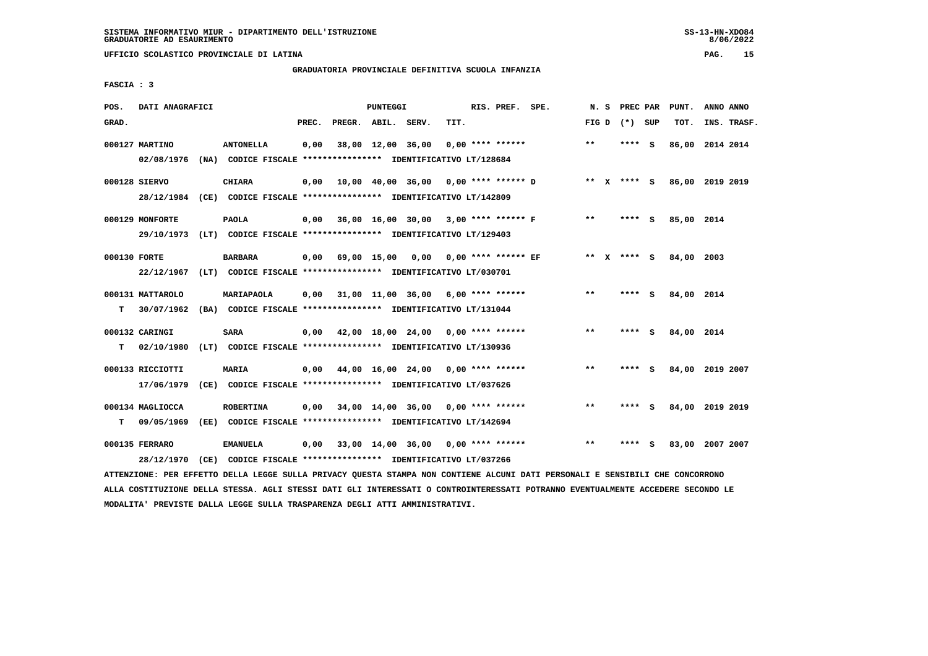# **GRADUATORIA PROVINCIALE DEFINITIVA SCUOLA INFANZIA**

 **FASCIA : 3**

| POS.         | DATI ANAGRAFICI  |                                                                                                                               |       |                    | PUNTEGGI |                                             |      | RIS. PREF. SPE.    |       | N. S | PREC PAR        | PUNT.                       | ANNO ANNO |             |
|--------------|------------------|-------------------------------------------------------------------------------------------------------------------------------|-------|--------------------|----------|---------------------------------------------|------|--------------------|-------|------|-----------------|-----------------------------|-----------|-------------|
| GRAD.        |                  |                                                                                                                               | PREC. | PREGR. ABIL. SERV. |          |                                             | TIT. |                    |       |      | FIG D $(*)$ SUP | TOT.                        |           | INS. TRASF. |
|              | 000127 MARTINO   | <b>ANTONELLA</b>                                                                                                              | 0,00  |                    |          | 38,00 12,00 36,00                           |      | $0,00$ **** ****** | $* *$ |      | **** S          | 86,00 2014 2014             |           |             |
|              |                  | 02/08/1976 (NA) CODICE FISCALE *************** IDENTIFICATIVO LT/128684                                                       |       |                    |          |                                             |      |                    |       |      |                 |                             |           |             |
|              | 000128 SIERVO    | <b>CHIARA</b>                                                                                                                 |       |                    |          | $0,00$ 10,00 40,00 36,00 0,00 **** ****** D |      |                    |       |      |                 | ** X **** S 86,00 2019 2019 |           |             |
|              |                  | 28/12/1984 (CE) CODICE FISCALE *************** IDENTIFICATIVO LT/142809                                                       |       |                    |          |                                             |      |                    |       |      |                 |                             |           |             |
|              | 000129 MONFORTE  | <b>PAOLA</b>                                                                                                                  |       |                    |          | $0,00$ 36,00 16,00 30,00 3,00 **** ****** F |      |                    | $***$ |      | $***$ S         | 85,00 2014                  |           |             |
|              |                  | 29/10/1973 (LT) CODICE FISCALE *************** IDENTIFICATIVO LT/129403                                                       |       |                    |          |                                             |      |                    |       |      |                 |                             |           |             |
| 000130 FORTE |                  | <b>BARBARA</b>                                                                                                                |       |                    |          | $0,00$ 69,00 15,00 0,00 0,00 **** ****** EF |      |                    |       |      | ** x **** s     | 84,00 2003                  |           |             |
|              |                  | 22/12/1967 (LT) CODICE FISCALE *************** IDENTIFICATIVO LT/030701                                                       |       |                    |          |                                             |      |                    |       |      |                 |                             |           |             |
|              | 000131 MATTAROLO | MARIAPAOLA                                                                                                                    |       |                    |          | $0,00$ 31,00 11,00 36,00 6,00 **** ******   |      |                    | $***$ |      | **** S          | 84,00 2014                  |           |             |
| т            |                  | 30/07/1962 (BA) CODICE FISCALE **************** IDENTIFICATIVO LT/131044                                                      |       |                    |          |                                             |      |                    |       |      |                 |                             |           |             |
|              | 000132 CARINGI   | <b>SARA</b>                                                                                                                   |       |                    |          | 0,00 42,00 18,00 24,00 0,00 **** ******     |      |                    | $* *$ |      | **** S          | 84,00 2014                  |           |             |
| т            |                  | 02/10/1980 (LT) CODICE FISCALE **************** IDENTIFICATIVO LT/130936                                                      |       |                    |          |                                             |      |                    |       |      |                 |                             |           |             |
|              | 000133 RICCIOTTI | <b>MARIA</b>                                                                                                                  |       |                    |          | $0,00$ 44,00 16,00 24,00 0,00 **** ******   |      |                    | $* *$ |      | **** S          | 84,00 2019 2007             |           |             |
|              | 17/06/1979       | (CE) CODICE FISCALE *************** IDENTIFICATIVO LT/037626                                                                  |       |                    |          |                                             |      |                    |       |      |                 |                             |           |             |
|              | 000134 MAGLIOCCA | <b>ROBERTINA</b>                                                                                                              |       |                    |          | $0,00$ 34,00 14,00 36,00 0,00 **** ******   |      |                    | $* *$ |      | **** S          | 84,00 2019 2019             |           |             |
| T.           | 09/05/1969       | (EE) CODICE FISCALE **************** IDENTIFICATIVO LT/142694                                                                 |       |                    |          |                                             |      |                    |       |      |                 |                             |           |             |
|              | 000135 FERRARO   | <b>EMANUELA</b>                                                                                                               |       |                    |          | $0,00$ 33,00 14,00 36,00 0,00 **** ******   |      |                    | $***$ |      | **** S          | 83,00 2007 2007             |           |             |
|              | 28/12/1970       | (CE) CODICE FISCALE **************** IDENTIFICATIVO LT/037266                                                                 |       |                    |          |                                             |      |                    |       |      |                 |                             |           |             |
|              |                  | ATTENZIONE: PER EFFETTO DELLA LEGGE SULLA PRIVACY QUESTA STAMPA NON CONTIENE ALCUNI DATI PERSONALI E SENSIBILI CHE CONCORRONO |       |                    |          |                                             |      |                    |       |      |                 |                             |           |             |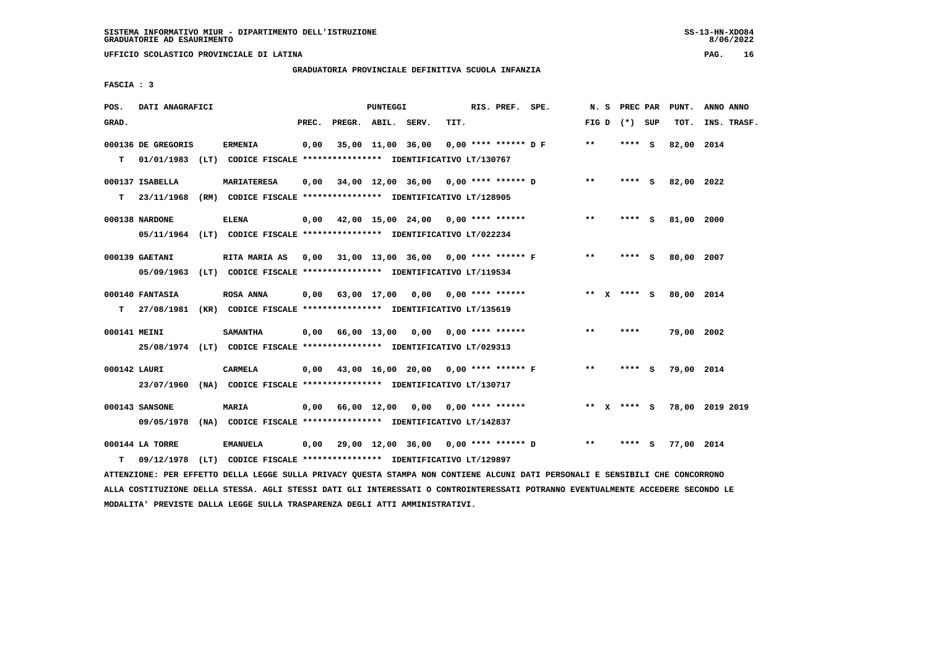# **GRADUATORIA PROVINCIALE DEFINITIVA SCUOLA INFANZIA**

 **FASCIA : 3**

| POS.         | DATI ANAGRAFICI    |                                                                                                                               |       |                    | PUNTEGGI |                                                           |      | RIS. PREF. SPE.        |                                                |       |                 | N. S PREC PAR PUNT.    | ANNO ANNO       |
|--------------|--------------------|-------------------------------------------------------------------------------------------------------------------------------|-------|--------------------|----------|-----------------------------------------------------------|------|------------------------|------------------------------------------------|-------|-----------------|------------------------|-----------------|
| GRAD.        |                    |                                                                                                                               | PREC. | PREGR. ABIL. SERV. |          |                                                           | TIT. |                        |                                                |       | FIG D $(*)$ SUP | TOT.                   | INS. TRASF.     |
|              | 000136 DE GREGORIS | <b>ERMENIA</b>                                                                                                                | 0,00  |                    |          | 35,00 11,00 36,00                                         |      | $0,00$ **** ****** D F |                                                | $* *$ | **** S          | 82,00 2014             |                 |
| т            |                    | 01/01/1983 (LT) CODICE FISCALE **************** IDENTIFICATIVO LT/130767                                                      |       |                    |          |                                                           |      |                        |                                                |       |                 |                        |                 |
|              | 000137 ISABELLA    | <b>MARIATERESA</b>                                                                                                            |       |                    |          | $0,00$ $34,00$ $12,00$ $36,00$ $0,00$ $***$ **** ****** D |      |                        |                                                | $***$ | **** S          | 82,00 2022             |                 |
|              |                    | T 23/11/1968 (RM) CODICE FISCALE *************** IDENTIFICATIVO LT/128905                                                     |       |                    |          |                                                           |      |                        |                                                |       |                 |                        |                 |
|              | 000138 NARDONE     | <b>ELENA</b>                                                                                                                  |       |                    |          | $0,00$ 42,00 15,00 24,00 0,00 **** ******                 |      |                        |                                                | $***$ | $***$ S         | 81,00 2000             |                 |
|              |                    | 05/11/1964 (LT) CODICE FISCALE *************** IDENTIFICATIVO LT/022234                                                       |       |                    |          |                                                           |      |                        |                                                |       |                 |                        |                 |
|              | 000139 GAETANI     | <b>RITA MARIA AS</b>                                                                                                          |       |                    |          |                                                           |      |                        | 0,00 31,00 13,00 36,00 0,00 **** ****** F      | $***$ | **** S          | 80,00 2007             |                 |
|              |                    | 05/09/1963 (LT) CODICE FISCALE *************** IDENTIFICATIVO LT/119534                                                       |       |                    |          |                                                           |      |                        |                                                |       |                 |                        |                 |
|              | 000140 FANTASIA    | <b>ROSA ANNA</b>                                                                                                              |       |                    |          | $0,00$ 63,00 17,00 0,00 0,00 **** ******                  |      |                        |                                                |       |                 | ** X **** S 80,00 2014 |                 |
|              |                    | T 27/08/1981 (KR) CODICE FISCALE **************** IDENTIFICATIVO LT/135619                                                    |       |                    |          |                                                           |      |                        |                                                |       |                 |                        |                 |
| 000141 MEINI |                    | <b>SAMANTHA</b>                                                                                                               |       |                    |          | 0,00 66,00 13,00 0,00 0,00 **** ******                    |      |                        |                                                | $***$ | ****            | 79,00 2002             |                 |
|              |                    | 25/08/1974 (LT) CODICE FISCALE *************** IDENTIFICATIVO LT/029313                                                       |       |                    |          |                                                           |      |                        |                                                |       |                 |                        |                 |
| 000142 LAURI |                    | CARMELA                                                                                                                       |       |                    |          |                                                           |      |                        | 0,00 43,00 16,00 20,00 0,00 **** ****** F      | $***$ | **** S          | 79,00 2014             |                 |
|              |                    | 23/07/1960 (NA) CODICE FISCALE *************** IDENTIFICATIVO LT/130717                                                       |       |                    |          |                                                           |      |                        |                                                |       |                 |                        |                 |
|              | 000143 SANSONE     | <b>MARIA</b>                                                                                                                  |       |                    |          | $0,00$ 66,00 12,00 0,00 0,00 **** ******                  |      |                        |                                                |       | ** x **** s     |                        | 78,00 2019 2019 |
|              |                    | 09/05/1978 (NA) CODICE FISCALE *************** IDENTIFICATIVO LT/142837                                                       |       |                    |          |                                                           |      |                        |                                                |       |                 |                        |                 |
|              | 000144 LA TORRE    | <b>EMANUELA</b>                                                                                                               |       |                    |          |                                                           |      |                        | $0,00$ 29,00 12,00 36,00 0,00 **** ****** D ** |       | **** S          | 77,00 2014             |                 |
| т            | 09/12/1978         | (LT) CODICE FISCALE **************** IDENTIFICATIVO LT/129897                                                                 |       |                    |          |                                                           |      |                        |                                                |       |                 |                        |                 |
|              |                    | ATTENZIONE: PER EFFETTO DELLA LEGGE SULLA PRIVACY QUESTA STAMPA NON CONTIENE ALCUNI DATI PERSONALI E SENSIBILI CHE CONCORRONO |       |                    |          |                                                           |      |                        |                                                |       |                 |                        |                 |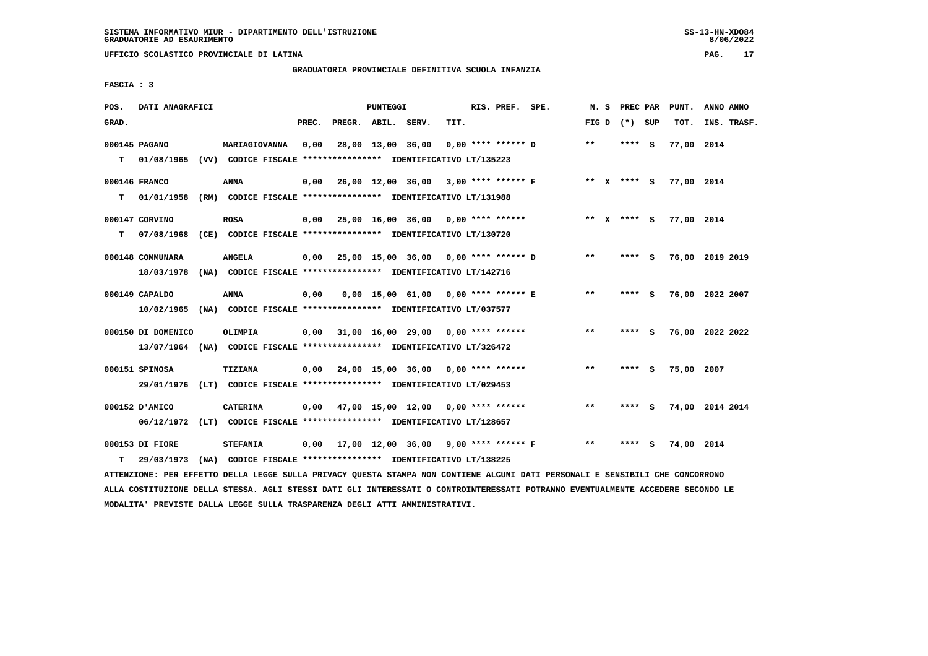**UFFICIO SCOLASTICO PROVINCIALE DI LATINA PAG. 17**

# **GRADUATORIA PROVINCIALE DEFINITIVA SCUOLA INFANZIA**

 **FASCIA : 3**

| POS.  | DATI ANAGRAFICI                                                                                |                 |       |                    | PUNTEGGI |                                                         |      | RIS. PREF. SPE.      |                                                         |       | N. S PREC PAR   |     | PUNT.                  | ANNO ANNO   |  |
|-------|------------------------------------------------------------------------------------------------|-----------------|-------|--------------------|----------|---------------------------------------------------------|------|----------------------|---------------------------------------------------------|-------|-----------------|-----|------------------------|-------------|--|
| GRAD. |                                                                                                |                 | PREC. | PREGR. ABIL. SERV. |          |                                                         | TIT. |                      |                                                         |       | FIG D $(*)$ SUP |     | тот.                   | INS. TRASF. |  |
| T.    | 000145 PAGANO<br>01/08/1965 (VV) CODICE FISCALE **************** IDENTIFICATIVO LT/135223      | MARIAGIOVANNA   | 0,00  |                    |          | 28,00 13,00 36,00                                       |      | $0.00$ **** ****** D |                                                         | $***$ | **** S          |     | 77,00 2014             |             |  |
| T.    | 000146 FRANCO<br>01/01/1958 (RM) CODICE FISCALE *************** IDENTIFICATIVO LT/131988       | <b>ANNA</b>     |       |                    |          |                                                         |      |                      | $0,00$ 26,00 12,00 36,00 3,00 **** ****** F ** X **** S |       |                 |     | 77,00 2014             |             |  |
| т     | 000147 CORVINO<br>07/08/1968 (CE) CODICE FISCALE *************** IDENTIFICATIVO LT/130720      | <b>ROSA</b>     |       |                    |          | $0,00$ 25,00 16,00 36,00 0,00 **** ******               |      |                      |                                                         |       |                 |     | ** X **** S 77,00 2014 |             |  |
|       | 000148 COMMUNARA<br>18/03/1978 (NA) CODICE FISCALE *************** IDENTIFICATIVO LT/142716    | <b>ANGELA</b>   |       |                    |          | 0,00 25,00 15,00 36,00 0,00 **** ****** D               |      |                      |                                                         | $* *$ | **** S          |     | 76,00 2019 2019        |             |  |
|       | 000149 CAPALDO<br>10/02/1965 (NA) CODICE FISCALE **************** IDENTIFICATIVO LT/037577     | ANNA            | 0,00  |                    |          | 0,00 15,00 61,00 0,00 **** ****** E                     |      |                      |                                                         | $***$ | **** S          |     | 76,00 2022 2007        |             |  |
|       | 000150 DI DOMENICO<br>13/07/1964 (NA) CODICE FISCALE **************** IDENTIFICATIVO LT/326472 | OLIMPIA         |       |                    |          | $0,00$ 31,00 16,00 29,00 0,00 **** ******               |      |                      |                                                         | $***$ | **** S          |     | 76,00 2022 2022        |             |  |
|       | 000151 SPINOSA<br>29/01/1976 (LT) CODICE FISCALE *************** IDENTIFICATIVO LT/029453      | TIZIANA         |       |                    |          | $0,00$ $24,00$ $15,00$ $36,00$ $0,00$ $***$ **** ****** |      |                      |                                                         | $* *$ | **** S          |     | 75,00 2007             |             |  |
|       | 000152 D'AMICO<br>06/12/1972 (LT) CODICE FISCALE *************** IDENTIFICATIVO LT/128657      | <b>CATERINA</b> |       |                    |          | $0,00$ 47,00 15,00 12,00 0,00 **** ******               |      |                      |                                                         | $***$ | **** S          |     | 74,00 2014 2014        |             |  |
| т     | 000153 DI FIORE<br>29/03/1973 (NA) CODICE FISCALE *************** IDENTIFICATIVO LT/138225     | <b>STEFANIA</b> |       |                    |          | $0,00$ 17,00 12,00 36,00 9,00 **** ****** F             |      |                      |                                                         | $***$ | ****            | - S | 74,00 2014             |             |  |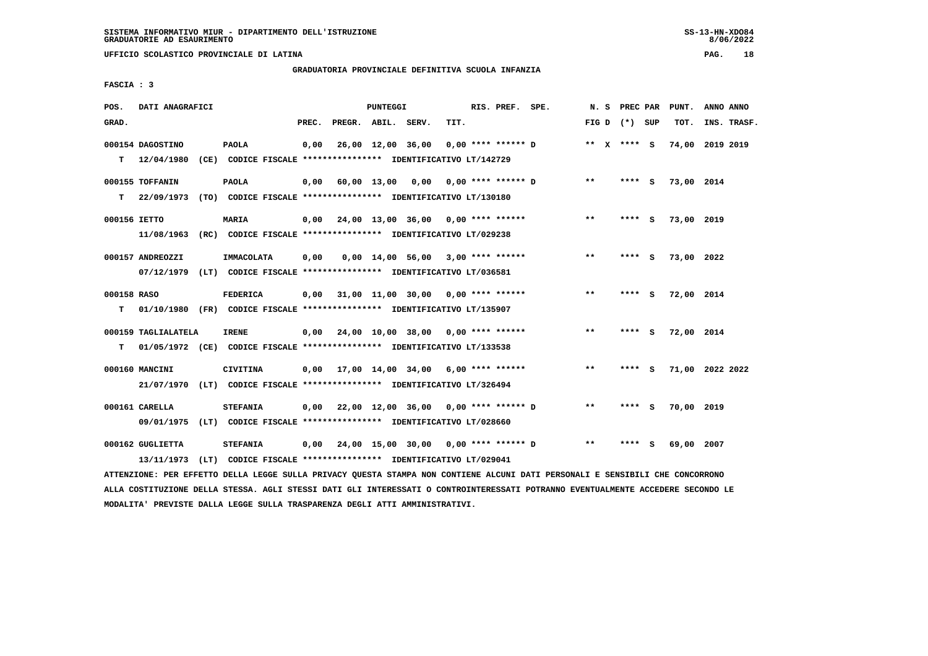**UFFICIO SCOLASTICO PROVINCIALE DI LATINA PAG. 18**

# **GRADUATORIA PROVINCIALE DEFINITIVA SCUOLA INFANZIA**

 **FASCIA : 3**

| POS.         | DATI ANAGRAFICI     |                                                                          |       |                    | PUNTEGGI |                                                           |      | RIS. PREF. SPE. |                      |                            | N. S PREC PAR   |   | PUNT.           | ANNO ANNO   |  |
|--------------|---------------------|--------------------------------------------------------------------------|-------|--------------------|----------|-----------------------------------------------------------|------|-----------------|----------------------|----------------------------|-----------------|---|-----------------|-------------|--|
| GRAD.        |                     |                                                                          | PREC. | PREGR. ABIL. SERV. |          |                                                           | TIT. |                 |                      |                            | FIG D $(*)$ SUP |   | TOT.            | INS. TRASF. |  |
|              | 000154 DAGOSTINO    | <b>PAOLA</b>                                                             | 0,00  |                    |          | 26,00 12,00 36,00                                         |      |                 | $0.00$ **** ****** D |                            | ** X **** S     |   | 74,00 2019 2019 |             |  |
|              | $T = 12/04/1980$    | (CE) CODICE FISCALE **************** IDENTIFICATIVO LT/142729            |       |                    |          |                                                           |      |                 |                      |                            |                 |   |                 |             |  |
|              | 000155 TOFFANIN     | <b>PAOLA</b>                                                             | 0,00  |                    |          |                                                           |      |                 |                      | $* *$                      | $***$ S         |   | 73,00 2014      |             |  |
| T.           | 22/09/1973          | (TO) CODICE FISCALE **************** IDENTIFICATIVO LT/130180            |       |                    |          |                                                           |      |                 |                      |                            |                 |   |                 |             |  |
| 000156 IETTO |                     | <b>MARIA</b>                                                             |       |                    |          | $0,00$ 24,00 13,00 36,00 0,00 **** ******                 |      |                 |                      | $* *$                      | **** S          |   | 73,00 2019      |             |  |
|              | 11/08/1963          | (RC) CODICE FISCALE **************** IDENTIFICATIVO LT/029238            |       |                    |          |                                                           |      |                 |                      |                            |                 |   |                 |             |  |
|              | 000157 ANDREOZZI    | IMMACOLATA                                                               | 0,00  |                    |          | $0,00$ 14,00 56,00 3,00 **** ******                       |      |                 |                      | $***$                      | **** S          |   | 73,00 2022      |             |  |
|              | 07/12/1979          | (LT) CODICE FISCALE *************** IDENTIFICATIVO LT/036581             |       |                    |          |                                                           |      |                 |                      |                            |                 |   |                 |             |  |
| 000158 RASO  |                     | <b>FEDERICA</b>                                                          | 0,00  |                    |          | 31,00 11,00 30,00 0,00 **** ******                        |      |                 |                      | $\star\star$               | **** S          |   | 72,00 2014      |             |  |
| T.           |                     | 01/10/1980 (FR) CODICE FISCALE *************** IDENTIFICATIVO LT/135907  |       |                    |          |                                                           |      |                 |                      |                            |                 |   |                 |             |  |
|              | 000159 TAGLIALATELA | <b>IRENE</b>                                                             |       |                    |          | $0,00$ $24,00$ $10,00$ $38,00$ $0,00$ $***$ **** ******   |      |                 |                      | $* *$                      | $***$ S         |   | 72,00 2014      |             |  |
| т            |                     | 01/05/1972 (CE) CODICE FISCALE **************** IDENTIFICATIVO LT/133538 |       |                    |          |                                                           |      |                 |                      |                            |                 |   |                 |             |  |
|              | 000160 MANCINI      | <b>CIVITINA</b>                                                          |       |                    |          | $0,00$ 17,00 14,00 34,00 6,00 **** ******                 |      |                 |                      | $* *$                      | **** S          |   | 71,00 2022 2022 |             |  |
|              |                     | 21/07/1970 (LT) CODICE FISCALE *************** IDENTIFICATIVO LT/326494  |       |                    |          |                                                           |      |                 |                      |                            |                 |   |                 |             |  |
|              | 000161 CARELLA      | <b>STEFANIA</b>                                                          |       |                    |          | $0,00$ 22,00 12,00 36,00 0,00 **** ****** D               |      |                 |                      | $\pmb{\times}\pmb{\times}$ | **** S          |   | 70,00 2019      |             |  |
|              | 09/01/1975          | (LT) CODICE FISCALE **************** IDENTIFICATIVO LT/028660            |       |                    |          |                                                           |      |                 |                      |                            |                 |   |                 |             |  |
|              | 000162 GUGLIETTA    | <b>STEFANIA</b>                                                          |       |                    |          | $0,00$ $24,00$ $15,00$ $30,00$ $0,00$ $***$ **** ****** D |      |                 |                      | $* *$                      | ****            | s | 69,00           | 2007        |  |
|              |                     | 13/11/1973 (LT) CODICE FISCALE *************** IDENTIFICATIVO LT/029041  |       |                    |          |                                                           |      |                 |                      |                            |                 |   |                 |             |  |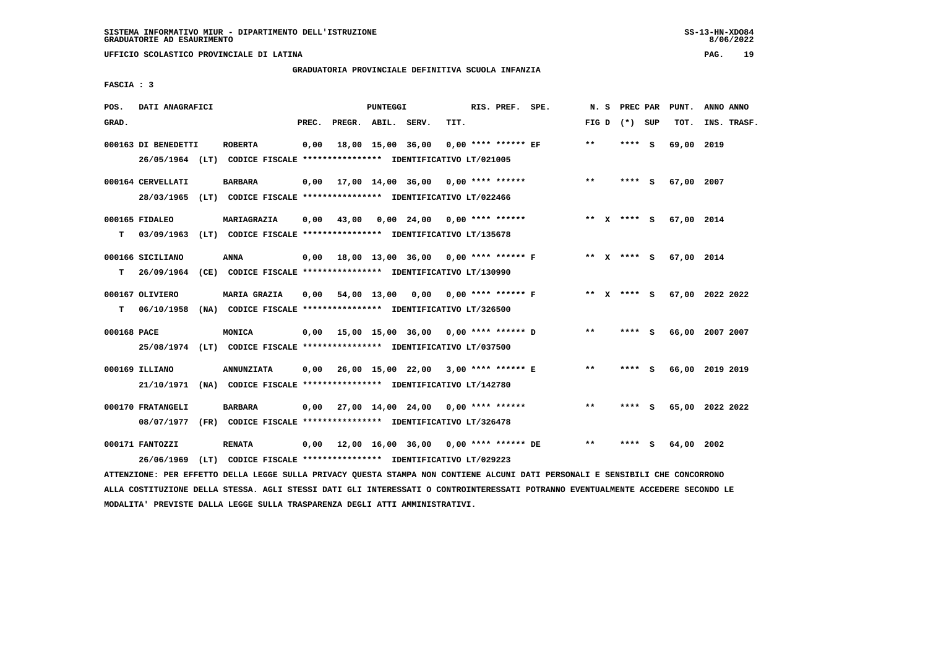# **GRADUATORIA PROVINCIALE DEFINITIVA SCUOLA INFANZIA**

 **FASCIA : 3**

| POS.        | DATI ANAGRAFICI                                                                                                               |                   |       |                    | PUNTEGGI |                                                               |      | RIS. PREF. SPE.       |                                           |       |                 | N. S PREC PAR PUNT.         | ANNO ANNO |             |
|-------------|-------------------------------------------------------------------------------------------------------------------------------|-------------------|-------|--------------------|----------|---------------------------------------------------------------|------|-----------------------|-------------------------------------------|-------|-----------------|-----------------------------|-----------|-------------|
| GRAD.       |                                                                                                                               |                   | PREC. | PREGR. ABIL. SERV. |          |                                                               | TIT. |                       |                                           |       | FIG D $(*)$ SUP | TOT.                        |           | INS. TRASF. |
|             | 000163 DI BENEDETTI                                                                                                           | <b>ROBERTA</b>    | 0,00  |                    |          | 18,00 15,00 36,00                                             |      | $0.00$ **** ****** EF |                                           | $***$ | $***$ S         | 69,00 2019                  |           |             |
|             | 26/05/1964 (LT) CODICE FISCALE *************** IDENTIFICATIVO LT/021005                                                       |                   |       |                    |          |                                                               |      |                       |                                           |       |                 |                             |           |             |
|             | 000164 CERVELLATI                                                                                                             | <b>BARBARA</b>    |       |                    |          | $0,00$ 17,00 14,00 36,00 0,00 **** ******                     |      |                       |                                           | **    | **** S          | 67,00 2007                  |           |             |
|             | 28/03/1965 (LT) CODICE FISCALE *************** IDENTIFICATIVO LT/022466                                                       |                   |       |                    |          |                                                               |      |                       |                                           |       |                 |                             |           |             |
|             | 000165 FIDALEO                                                                                                                | MARIAGRAZIA       | 0.00  | 43,00              |          | $0.00 \quad 24.00 \quad 0.00 \quad *** \quad ***$             |      |                       |                                           |       | ** x **** S     | 67,00 2014                  |           |             |
| т           | 03/09/1963 (LT) CODICE FISCALE **************** IDENTIFICATIVO LT/135678                                                      |                   |       |                    |          |                                                               |      |                       |                                           |       |                 |                             |           |             |
|             | 000166 SICILIANO                                                                                                              | ANNA              |       |                    |          |                                                               |      |                       | 0,00 18,00 13,00 36,00 0,00 **** ****** F |       | ** x **** s     | 67,00 2014                  |           |             |
| т           | 26/09/1964                                                                                                                    |                   |       |                    |          | (CE) CODICE FISCALE **************** IDENTIFICATIVO LT/130990 |      |                       |                                           |       |                 |                             |           |             |
|             | 000167 OLIVIERO                                                                                                               | MARIA GRAZIA      |       |                    |          | 0,00 54,00 13,00 0,00 0,00 **** ****** F                      |      |                       |                                           |       |                 | ** X **** S 67,00 2022 2022 |           |             |
| т           | 06/10/1958 (NA) CODICE FISCALE **************** IDENTIFICATIVO LT/326500                                                      |                   |       |                    |          |                                                               |      |                       |                                           |       |                 |                             |           |             |
| 000168 PACE |                                                                                                                               | MONICA            |       |                    |          | $0,00$ 15,00 15,00 36,00 0,00 **** ****** D                   |      |                       |                                           | $***$ | **** S          | 66,00 2007 2007             |           |             |
|             | 25/08/1974 (LT) CODICE FISCALE *************** IDENTIFICATIVO LT/037500                                                       |                   |       |                    |          |                                                               |      |                       |                                           |       |                 |                             |           |             |
|             | 000169 ILLIANO                                                                                                                | <b>ANNUNZIATA</b> |       |                    |          | 0,00 26,00 15,00 22,00 3,00 **** ****** E                     |      |                       |                                           | $* *$ | **** S          | 66,00 2019 2019             |           |             |
|             | 21/10/1971 (NA) CODICE FISCALE *************** IDENTIFICATIVO LT/142780                                                       |                   |       |                    |          |                                                               |      |                       |                                           |       |                 |                             |           |             |
|             | 000170 FRATANGELI                                                                                                             | <b>BARBARA</b>    |       |                    |          | $0,00$ 27,00 14,00 24,00 0,00 **** ******                     |      |                       |                                           | $***$ | **** S          | 65,00 2022 2022             |           |             |
|             | 08/07/1977 (FR) CODICE FISCALE *************** IDENTIFICATIVO LT/326478                                                       |                   |       |                    |          |                                                               |      |                       |                                           |       |                 |                             |           |             |
|             | 000171 FANTOZZI                                                                                                               | <b>RENATA</b>     |       |                    |          | $0,00$ 12,00 16,00 36,00 0,00 **** ****** DE                  |      |                       |                                           | $***$ | **** S          | 64,00 2002                  |           |             |
|             | 26/06/1969                                                                                                                    |                   |       |                    |          | (LT) CODICE FISCALE **************** IDENTIFICATIVO LT/029223 |      |                       |                                           |       |                 |                             |           |             |
|             | ATTENZIONE: PER EFFETTO DELLA LEGGE SULLA PRIVACY QUESTA STAMPA NON CONTIENE ALCUNI DATI PERSONALI E SENSIBILI CHE CONCORRONO |                   |       |                    |          |                                                               |      |                       |                                           |       |                 |                             |           |             |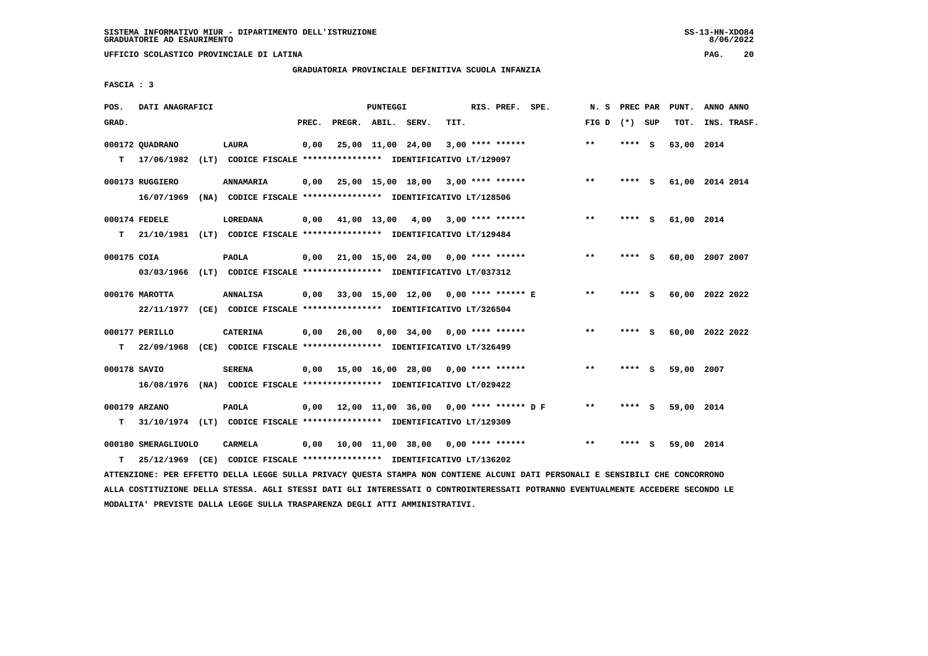**UFFICIO SCOLASTICO PROVINCIALE DI LATINA PAG. 20**

# **GRADUATORIA PROVINCIALE DEFINITIVA SCUOLA INFANZIA**

 **FASCIA : 3**

| POS.         | DATI ANAGRAFICI     |                                                                          |       |                    | PUNTEGGI          |                                               |      | RIS. PREF. SPE.    | N. S PREC PAR   |         |     | PUNT.      | ANNO ANNO       |
|--------------|---------------------|--------------------------------------------------------------------------|-------|--------------------|-------------------|-----------------------------------------------|------|--------------------|-----------------|---------|-----|------------|-----------------|
| GRAD.        |                     |                                                                          | PREC. | PREGR. ABIL. SERV. |                   |                                               | TIT. |                    | FIG D $(*)$ SUP |         |     | TOT.       | INS. TRASF.     |
|              | 000172 OUADRANO     | LAURA                                                                    | 0,00  |                    | 25,00 11,00 24,00 |                                               |      | $3,00$ **** ****** | $**$            | **** S  |     | 63,00 2014 |                 |
| т            | 17/06/1982          | (LT) CODICE FISCALE **************** IDENTIFICATIVO LT/129097            |       |                    |                   |                                               |      |                    |                 |         |     |            |                 |
|              | 000173 RUGGIERO     | <b>ANNAMARIA</b>                                                         | 0,00  |                    |                   | 25,00 15,00 18,00 3,00 **** ******            |      |                    | $***$           | $***$ S |     |            | 61,00 2014 2014 |
|              | 16/07/1969          | (NA) CODICE FISCALE **************** IDENTIFICATIVO LT/128506            |       |                    |                   |                                               |      |                    |                 |         |     |            |                 |
|              | 000174 FEDELE       | <b>LOREDANA</b>                                                          | 0,00  |                    | 41,00 13,00       | 4,00                                          |      | $3.00$ **** ****** | $* *$           | **** S  |     | 61,00 2014 |                 |
| T.           |                     | 21/10/1981 (LT) CODICE FISCALE **************** IDENTIFICATIVO LT/129484 |       |                    |                   |                                               |      |                    |                 |         |     |            |                 |
| 000175 COIA  |                     | <b>PAOLA</b>                                                             |       |                    |                   | $0,00$ 21,00 15,00 24,00 0,00 **** ******     |      |                    | $**$            | **** S  |     |            | 60,00 2007 2007 |
|              |                     | 03/03/1966 (LT) CODICE FISCALE *************** IDENTIFICATIVO LT/037312  |       |                    |                   |                                               |      |                    |                 |         |     |            |                 |
|              | 000176 MAROTTA      | <b>ANNALISA</b>                                                          |       |                    |                   | 0,00 33,00 15,00 12,00 0,00 **** ****** E     |      |                    | $**$            | **** S  |     |            | 60,00 2022 2022 |
|              |                     | 22/11/1977 (CE) CODICE FISCALE *************** IDENTIFICATIVO LT/326504  |       |                    |                   |                                               |      |                    |                 |         |     |            |                 |
|              | 000177 PERILLO      | <b>CATERINA</b>                                                          | 0.00  |                    |                   | 26,00 0,00 34,00 0,00 **** ******             |      |                    | $**$            | $***$ S |     |            | 60,00 2022 2022 |
| т            |                     | 22/09/1968 (CE) CODICE FISCALE **************** IDENTIFICATIVO LT/326499 |       |                    |                   |                                               |      |                    |                 |         |     |            |                 |
| 000178 SAVIO |                     | <b>SERENA</b>                                                            |       |                    |                   | $0,00$ 15,00 16,00 28,00 0,00 **** ******     |      |                    | $***$           | **** S  |     | 59,00      | 2007            |
|              |                     | 16/08/1976 (NA) CODICE FISCALE **************** IDENTIFICATIVO LT/029422 |       |                    |                   |                                               |      |                    |                 |         |     |            |                 |
|              | 000179 ARZANO       | <b>PAOLA</b>                                                             |       |                    |                   | $0.00$ 12.00 11.00 36.00 0.00 **** ****** D F |      |                    | $* *$           | **** S  |     | 59,00 2014 |                 |
| т            |                     | 31/10/1974 (LT) CODICE FISCALE **************** IDENTIFICATIVO LT/129309 |       |                    |                   |                                               |      |                    |                 |         |     |            |                 |
|              | 000180 SMERAGLIUOLO | <b>CARMELA</b>                                                           |       |                    |                   | 0,00 10,00 11,00 38,00                        |      | $0.00$ **** ****** | $* *$           | ****    | - S | 59,00 2014 |                 |
| т            |                     | 25/12/1969 (CE) CODICE FISCALE **************** IDENTIFICATIVO LT/136202 |       |                    |                   |                                               |      |                    |                 |         |     |            |                 |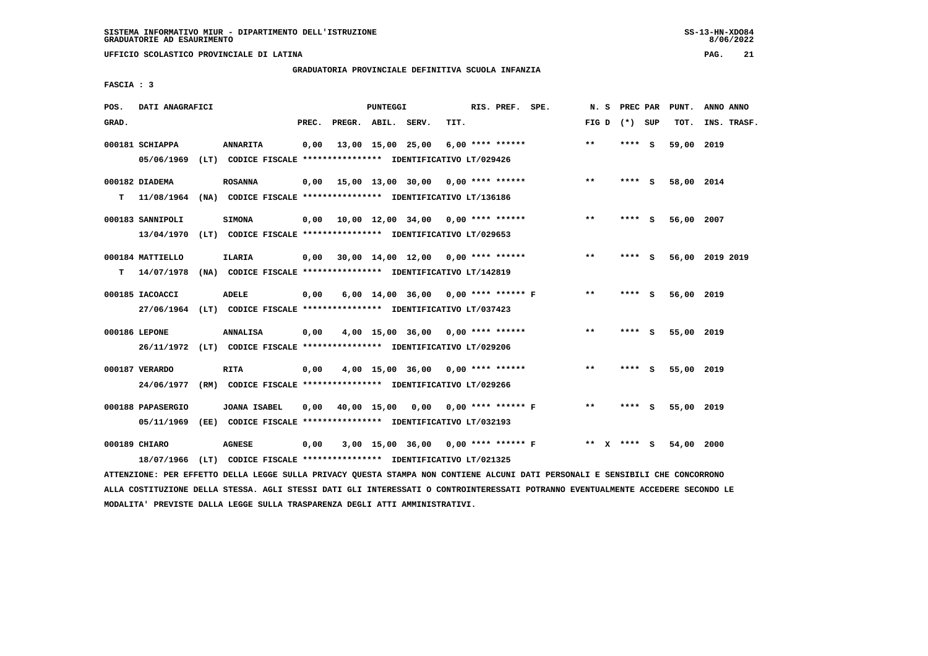**UFFICIO SCOLASTICO PROVINCIALE DI LATINA PAG. 21**

# **GRADUATORIA PROVINCIALE DEFINITIVA SCUOLA INFANZIA**

 **FASCIA : 3**

| POS.  | DATI ANAGRAFICI                 |                                                                                            |       |                    | PUNTEGGI |                                       |      | RIS. PREF. SPE.    | N.S             | PREC PAR |     | PUNT.      | ANNO ANNO       |
|-------|---------------------------------|--------------------------------------------------------------------------------------------|-------|--------------------|----------|---------------------------------------|------|--------------------|-----------------|----------|-----|------------|-----------------|
| GRAD. |                                 |                                                                                            | PREC. | PREGR. ABIL. SERV. |          |                                       | TIT. |                    | FIG D $(*)$ SUP |          |     | TOT.       | INS. TRASF.     |
|       | 000181 SCHIAPPA<br>05/06/1969   | <b>ANNARITA</b><br>(LT) CODICE FISCALE **************** IDENTIFICATIVO LT/029426           | 0.00  |                    |          | 13,00 15,00 25,00                     |      | $6,00$ **** ****** | $***$           | **** S   |     | 59,00 2019 |                 |
| т     | 000182 DIADEMA<br>11/08/1964    | <b>ROSANNA</b><br>(NA) CODICE FISCALE **************** IDENTIFICATIVO LT/136186            | 0,00  |                    |          | 15,00 13,00 30,00 0,00 **** ******    |      |                    | $**$            | **** S   |     | 58,00 2014 |                 |
|       | 000183 SANNIPOLI<br>13/04/1970  | <b>SIMONA</b><br>(LT) CODICE FISCALE **************** IDENTIFICATIVO LT/029653             | 0,00  |                    |          | 10,00 12,00 34,00 0,00 **** ******    |      |                    | $**$            | **** S   |     | 56,00 2007 |                 |
| т     | 000184 MATTIELLO<br>14/07/1978  | <b>ILARIA</b><br>(NA) CODICE FISCALE **************** IDENTIFICATIVO LT/142819             | 0,00  |                    |          | 30,00 14,00 12,00 0,00 **** ******    |      |                    | $***$           | **** S   |     |            | 56,00 2019 2019 |
|       | 000185 IACOACCI                 | <b>ADELE</b><br>27/06/1964 (LT) CODICE FISCALE *************** IDENTIFICATIVO LT/037423    | 0,00  |                    |          | 6,00 14,00 36,00 0,00 **** ****** F   |      |                    | $* *$           | ****     | - 5 | 56,00 2019 |                 |
|       | 000186 LEPONE                   | <b>ANNALISA</b><br>26/11/1972 (LT) CODICE FISCALE *************** IDENTIFICATIVO LT/029206 | 0,00  |                    |          | 4,00 15,00 36,00 0,00 **** ******     |      |                    | $***$           | **** S   |     | 55,00 2019 |                 |
|       | 000187 VERARDO<br>24/06/1977    | <b>RITA</b><br>(RM) CODICE FISCALE **************** IDENTIFICATIVO LT/029266               | 0,00  |                    |          | $4,00$ 15,00 36,00 0,00 **** ******   |      |                    | $**$            | **** S   |     | 55,00 2019 |                 |
|       | 000188 PAPASERGIO<br>05/11/1969 | <b>JOANA ISABEL</b><br>(EE) CODICE FISCALE **************** IDENTIFICATIVO LT/032193       | 0.00  |                    |          | 40,00 15,00 0,00 0,00 **** ****** F   |      |                    | $***$           | ****     | - S | 55,00 2019 |                 |
|       | 000189 CHIARO<br>18/07/1966     | <b>AGNESE</b><br>(LT) CODICE FISCALE **************** IDENTIFICATIVO LT/021325             | 0,00  |                    |          | $3,00$ 15,00 36,00 0,00 **** ****** F |      |                    | ** X            | **** S   |     | 54,00 2000 |                 |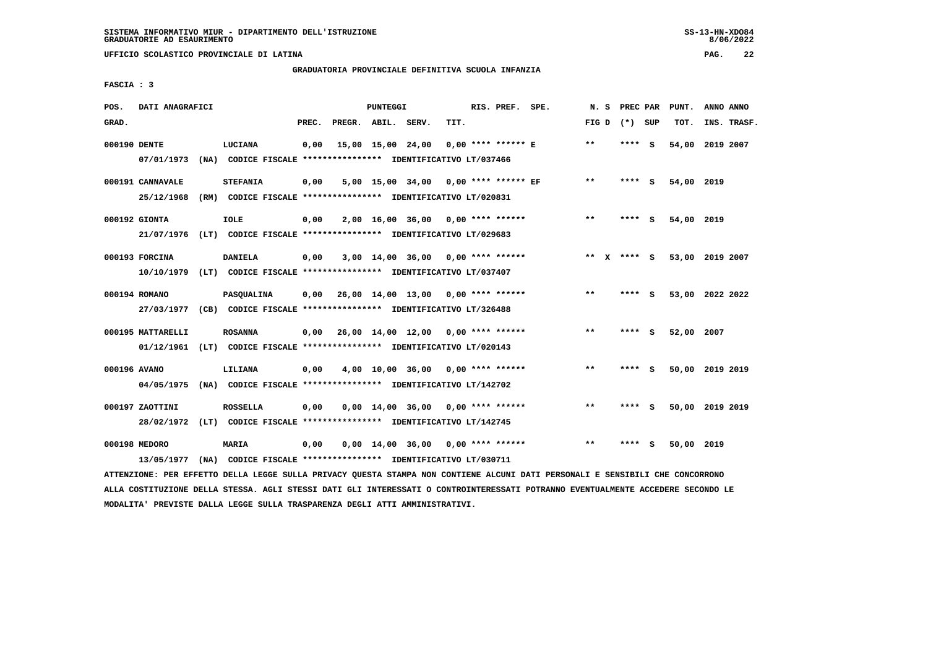# **GRADUATORIA PROVINCIALE DEFINITIVA SCUOLA INFANZIA**

 **FASCIA : 3**

| POS.         | DATI ANAGRAFICI                |      |                                                                                              |       |                    | PUNTEGGI |                                           |      | RIS. PREF. SPE.      | N. S         | PREC PAR |          | PUNT.           | ANNO ANNO |             |
|--------------|--------------------------------|------|----------------------------------------------------------------------------------------------|-------|--------------------|----------|-------------------------------------------|------|----------------------|--------------|----------|----------|-----------------|-----------|-------------|
| GRAD.        |                                |      |                                                                                              | PREC. | PREGR. ABIL. SERV. |          |                                           | TIT. |                      | FIG D        | (*) SUP  |          | TOT.            |           | INS. TRASF. |
| 000190 DENTE | 07/01/1973                     |      | LUCIANA<br>(NA) CODICE FISCALE **************** IDENTIFICATIVO LT/037466                     | 0,00  |                    |          | 15,00 15,00 24,00                         |      | $0.00$ **** ****** E | $* *$        | **** S   |          | 54,00 2019 2007 |           |             |
|              | 000191 CANNAVALE<br>25/12/1968 | (RM) | <b>STEFANIA</b><br>CODICE FISCALE **************** IDENTIFICATIVO LT/020831                  | 0,00  |                    |          | 5,00 15,00 34,00 0,00 **** ****** EF      |      |                      | $\star\star$ | **** S   |          | 54,00 2019      |           |             |
|              | 000192 GIONTA<br>21/07/1976    |      | <b>IOLE</b><br>(LT) CODICE FISCALE **************** IDENTIFICATIVO LT/029683                 | 0,00  |                    |          | $2,00$ 16,00 36,00 0,00 **** ******       |      |                      | $***$        | ****     | <b>S</b> | 54,00 2019      |           |             |
|              | 000193 FORCINA                 |      | <b>DANIELA</b><br>10/10/1979 (LT) CODICE FISCALE *************** IDENTIFICATIVO LT/037407    | 0,00  |                    |          | $3,00$ 14,00 36,00 0,00 **** ******       |      |                      | $***$ X      | **** S   |          | 53,00 2019 2007 |           |             |
|              | 000194 ROMANO                  |      | <b>PASOUALINA</b><br>27/03/1977 (CB) CODICE FISCALE *************** IDENTIFICATIVO LT/326488 | 0,00  |                    |          | 26,00 14,00 13,00 0,00 **** ******        |      |                      | $**$         | ****     | - 5      | 53,00 2022 2022 |           |             |
|              | 000195 MATTARELLI              |      | <b>ROSANNA</b><br>01/12/1961 (LT) CODICE FISCALE *************** IDENTIFICATIVO LT/020143    |       |                    |          | $0,00$ 26,00 14,00 12,00 0,00 **** ****** |      |                      | $**$         | **** S   |          | 52,00 2007      |           |             |
| 000196 AVANO | 04/05/1975                     |      | LILIANA<br>(NA) CODICE FISCALE **************** IDENTIFICATIVO LT/142702                     | 0,00  |                    |          | 4,00 10,00 36,00                          |      | $0.00$ **** ******   | $***$        | ****     | - 5      | 50,00 2019 2019 |           |             |
|              | 000197 ZAOTTINI<br>28/02/1972  |      | <b>ROSSELLA</b><br>(LT) CODICE FISCALE **************** IDENTIFICATIVO LT/142745             | 0,00  |                    |          | $0.00 \quad 14.00 \quad 36.00$            |      | 0,00 **** ******     | $***$        | **** S   |          | 50,00 2019 2019 |           |             |
|              | 000198 MEDORO<br>13/05/1977    |      | <b>MARIA</b><br>(NA) CODICE FISCALE **************** IDENTIFICATIVO LT/030711                | 0,00  |                    |          | $0,00$ 14,00 36,00 0,00 **** ******       |      |                      | $***$        | ****     | - S      | 50,00 2019      |           |             |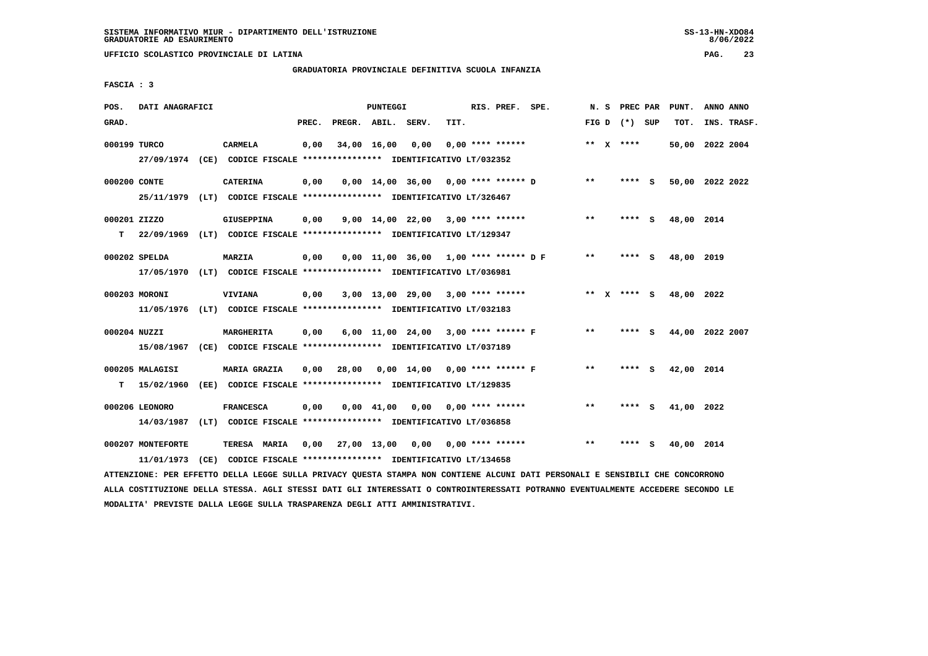# **GRADUATORIA PROVINCIALE DEFINITIVA SCUOLA INFANZIA**

 **FASCIA : 3**

| POS.         | DATI ANAGRAFICI                                                         |      |                   |       |              | PUNTEGGI           |                                                               |      | RIS. PREF. SPE.           |        | N. S PREC PAR   |     | PUNT.           | ANNO ANNO |             |
|--------------|-------------------------------------------------------------------------|------|-------------------|-------|--------------|--------------------|---------------------------------------------------------------|------|---------------------------|--------|-----------------|-----|-----------------|-----------|-------------|
| GRAD.        |                                                                         |      |                   | PREC. | PREGR. ABIL. |                    | SERV.                                                         | TIT. |                           |        | FIG D $(*)$ SUP |     | TOT.            |           | INS. TRASF. |
|              |                                                                         |      |                   |       |              |                    |                                                               |      |                           |        |                 |     |                 |           |             |
| 000199 TURCO |                                                                         |      | CARMELA           | 0,00  |              | 34,00 16,00        | 0,00                                                          |      | $0,00$ **** ******        |        | ** $X$ ****     |     | 50,00 2022 2004 |           |             |
|              | 27/09/1974 (CE) CODICE FISCALE *************** IDENTIFICATIVO LT/032352 |      |                   |       |              |                    |                                                               |      |                           |        |                 |     |                 |           |             |
|              |                                                                         |      |                   |       |              |                    |                                                               |      |                           |        |                 |     |                 |           |             |
| 000200 CONTE |                                                                         |      | <b>CATERINA</b>   | 0,00  |              |                    | $0,00$ 14,00 36,00 0,00 **** ****** D                         |      |                           | $**$   | **** S          |     | 50,00 2022 2022 |           |             |
|              | 25/11/1979 (LT) CODICE FISCALE *************** IDENTIFICATIVO LT/326467 |      |                   |       |              |                    |                                                               |      |                           |        |                 |     |                 |           |             |
|              |                                                                         |      |                   |       |              |                    |                                                               |      |                           |        |                 |     |                 |           |             |
| 000201 ZIZZO |                                                                         |      | <b>GIUSEPPINA</b> | 0,00  |              |                    | $9,00$ 14,00 22,00 3,00 **** ******                           |      |                           | $**$   | $***$ S         |     | 48,00 2014      |           |             |
| т            | 22/09/1969 (LT) CODICE FISCALE *************** IDENTIFICATIVO LT/129347 |      |                   |       |              |                    |                                                               |      |                           |        |                 |     |                 |           |             |
|              |                                                                         |      |                   |       |              |                    |                                                               |      |                           |        |                 |     |                 |           |             |
|              | 000202 SPELDA                                                           |      | <b>MARZIA</b>     | 0,00  |              |                    | $0.00$ 11.00 36.00 1.00 **** ****** DF                        |      |                           | $* *$  | **** S          |     | 48,00 2019      |           |             |
|              | 17/05/1970 (LT) CODICE FISCALE *************** IDENTIFICATIVO LT/036981 |      |                   |       |              |                    |                                                               |      |                           |        |                 |     |                 |           |             |
|              |                                                                         |      |                   |       |              |                    |                                                               |      |                           |        |                 |     |                 |           |             |
|              | 000203 MORONI                                                           |      | <b>VIVIANA</b>    | 0,00  |              |                    | $3,00$ 13,00 29,00 3,00 **** ******                           |      |                           | ** $X$ | $***$ S         |     | 48,00 2022      |           |             |
|              | 11/05/1976 (LT) CODICE FISCALE *************** IDENTIFICATIVO LT/032183 |      |                   |       |              |                    |                                                               |      |                           |        |                 |     |                 |           |             |
|              |                                                                         |      |                   |       |              |                    |                                                               |      |                           | $* *$  |                 |     |                 |           |             |
| 000204 NUZZI |                                                                         |      | MARGHERITA        | 0,00  |              |                    | 6,00 11,00 24,00 3,00 **** ****** F                           |      |                           |        | **** S          |     | 44,00 2022 2007 |           |             |
|              | 15/08/1967                                                              |      |                   |       |              |                    | (CE) CODICE FISCALE **************** IDENTIFICATIVO LT/037189 |      |                           |        |                 |     |                 |           |             |
|              | 000205 MALAGISI                                                         |      | MARIA GRAZIA      | 0,00  | 28,00        |                    | 0,00 14,00                                                    |      | $0.00$ **** ****** F      | **     | **** S          |     | 42,00           | 2014      |             |
|              |                                                                         |      |                   |       |              |                    |                                                               |      |                           |        |                 |     |                 |           |             |
| т            | 15/02/1960                                                              |      |                   |       |              |                    | (EE) CODICE FISCALE **************** IDENTIFICATIVO LT/129835 |      |                           |        |                 |     |                 |           |             |
|              | 000206 LEONORO                                                          |      | <b>FRANCESCA</b>  | 0,00  |              | $0.00 \quad 41.00$ | 0,00                                                          |      | $0.00$ **** ******        | $* *$  | ****            | - S | 41,00 2022      |           |             |
|              |                                                                         |      |                   |       |              |                    |                                                               |      |                           |        |                 |     |                 |           |             |
|              | 14/03/1987                                                              | (LT) |                   |       |              |                    | CODICE FISCALE **************** IDENTIFICATIVO LT/036858      |      |                           |        |                 |     |                 |           |             |
|              | 000207 MONTEFORTE                                                       |      | TERESA MARIA      | 0,00  | 27,00 13,00  |                    |                                                               |      | $0,00$ $0,00$ **** ****** | $* *$  | ****            | s   | 40,00 2014      |           |             |
|              |                                                                         |      |                   |       |              |                    |                                                               |      |                           |        |                 |     |                 |           |             |
|              | 11/01/1973                                                              | (CE) |                   |       |              |                    | CODICE FISCALE **************** IDENTIFICATIVO LT/134658      |      |                           |        |                 |     |                 |           |             |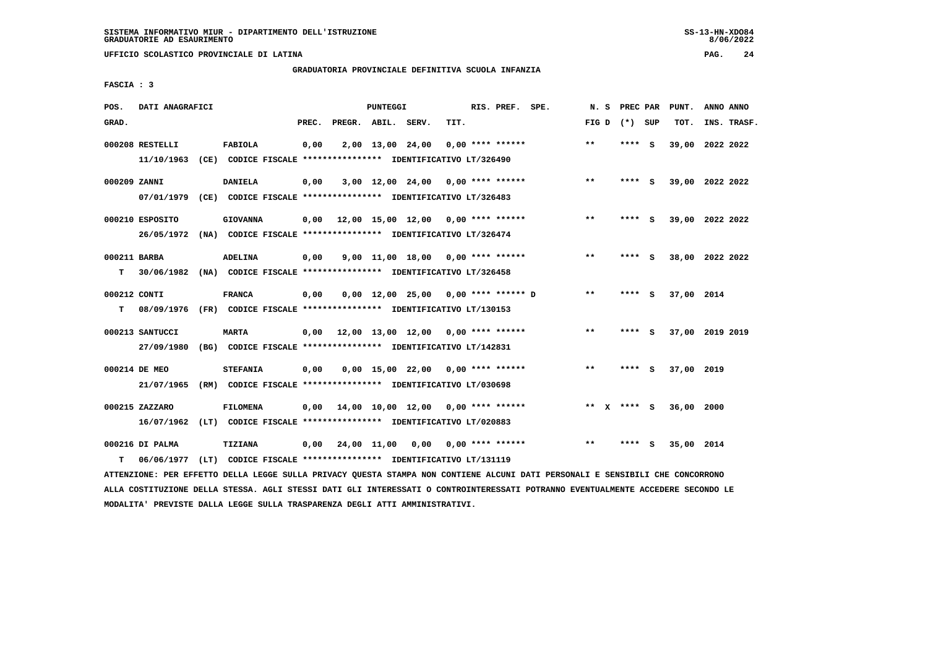# **GRADUATORIA PROVINCIALE DEFINITIVA SCUOLA INFANZIA**

 **FASCIA : 3**

| POS.              | DATI ANAGRAFICI               |                                                                                            |       |                    | PUNTEGGI |                                                  |      | RIS. PREF. SPE.           | N.S   | PREC PAR        |          | PUNT.           | ANNO ANNO |             |
|-------------------|-------------------------------|--------------------------------------------------------------------------------------------|-------|--------------------|----------|--------------------------------------------------|------|---------------------------|-------|-----------------|----------|-----------------|-----------|-------------|
| GRAD.             |                               |                                                                                            | PREC. | PREGR. ABIL. SERV. |          |                                                  | TIT. |                           |       | FIG D $(*)$ SUP |          | TOT.            |           | INS. TRASF. |
|                   | 000208 RESTELLI<br>11/10/1963 | FABIOLA<br>(CE) CODICE FISCALE **************** IDENTIFICATIVO LT/326490                   | 0,00  |                    |          | 2,00 13,00 24,00                                 |      | 0,00 **** ******          | $**$  | **** S          |          | 39,00 2022 2022 |           |             |
| 000209 ZANNI      | 07/01/1979                    | <b>DANIELA</b><br>(CE) CODICE FISCALE **************** IDENTIFICATIVO LT/326483            | 0,00  |                    |          | $3,00$ 12,00 24,00 0,00 **** ******              |      |                           | $***$ | ****            | - S      | 39,00 2022 2022 |           |             |
|                   | 000210 ESPOSITO               | <b>GIOVANNA</b><br>26/05/1972 (NA) CODICE FISCALE *************** IDENTIFICATIVO LT/326474 | 0.00  |                    |          | 12,00 15,00 12,00 0,00 **** ******               |      |                           | $***$ | **** S          |          | 39,00 2022 2022 |           |             |
| 000211 BARBA<br>т |                               | <b>ADELINA</b><br>30/06/1982 (NA) CODICE FISCALE *************** IDENTIFICATIVO LT/326458  | 0,00  |                    |          | $9.00$ 11.00 18.00 0.00 **** ******              |      |                           | **    | ****            | <b>S</b> | 38,00 2022 2022 |           |             |
| 000212 CONTI<br>т | 08/09/1976                    | <b>FRANCA</b><br>(FR) CODICE FISCALE *************** IDENTIFICATIVO LT/130153              | 0,00  |                    |          | $0.00$ 12.00 25.00 0.00 **** ****** D            |      |                           | $**$  | **** S          |          | 37,00 2014      |           |             |
|                   | 000213 SANTUCCI<br>27/09/1980 | <b>MARTA</b><br>(BG) CODICE FISCALE **************** IDENTIFICATIVO LT/142831              | 0,00  |                    |          | $12,00$ $13,00$ $12,00$ $0,00$ **** ******       |      |                           | **    | ****            | - S      | 37,00 2019 2019 |           |             |
|                   | 000214 DE MEO<br>21/07/1965   | <b>STEFANIA</b><br>(RM) CODICE FISCALE *************** IDENTIFICATIVO LT/030698            | 0,00  |                    |          | $0.00$ 15.00 22.00 0.00 **** ******              |      |                           | $* *$ | $***$ S         |          | 37,00 2019      |           |             |
|                   | 000215 ZAZZARO<br>16/07/1962  | <b>FILOMENA</b><br>(LT) CODICE FISCALE *************** IDENTIFICATIVO LT/020883            | 0.00  |                    |          | $14,00$ $10,00$ $12,00$ $0,00$ $***$ **** ****** |      |                           | $* *$ | X **** S        |          | 36,00 2000      |           |             |
| т                 | 000216 DI PALMA<br>06/06/1977 | <b>TIZIANA</b><br>(LT) CODICE FISCALE **************** IDENTIFICATIVO LT/131119            | 0,00  | 24,00 11,00        |          |                                                  |      | $0,00$ $0,00$ **** ****** | $***$ | **** S          |          | 35,00 2014      |           |             |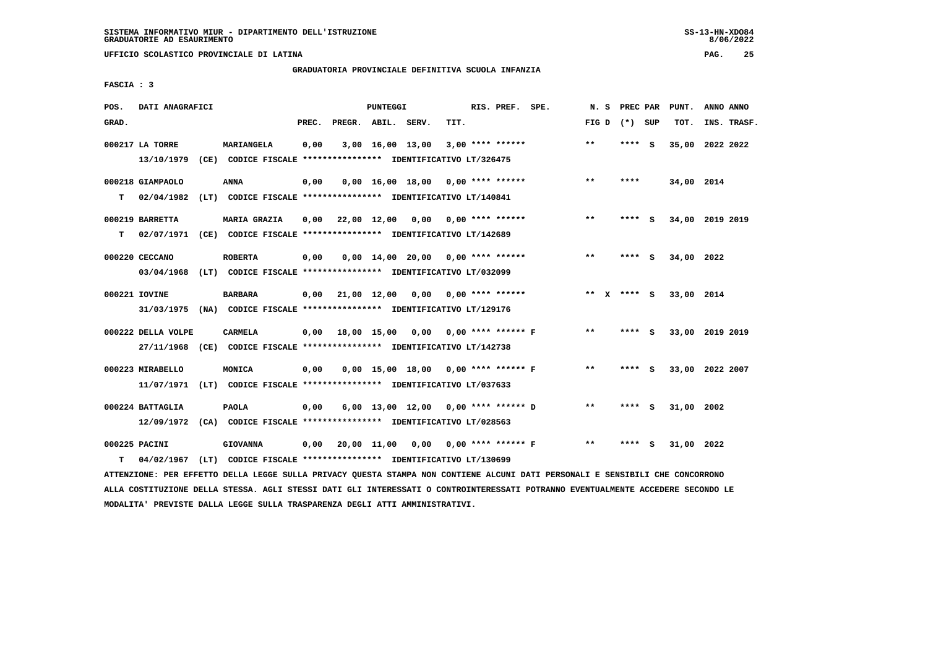**UFFICIO SCOLASTICO PROVINCIALE DI LATINA PAG. 25**

# **GRADUATORIA PROVINCIALE DEFINITIVA SCUOLA INFANZIA**

 **FASCIA : 3**

| POS.  | DATI ANAGRAFICI               |                                                                                                                               |       |                    | PUNTEGGI |                                          |      | RIS. PREF. SPE.    |                                     |                 |        | N. S PREC PAR PUNT. | ANNO ANNO       |  |
|-------|-------------------------------|-------------------------------------------------------------------------------------------------------------------------------|-------|--------------------|----------|------------------------------------------|------|--------------------|-------------------------------------|-----------------|--------|---------------------|-----------------|--|
| GRAD. |                               |                                                                                                                               | PREC. |                    |          | PREGR. ABIL. SERV.                       | TIT. |                    |                                     | FIG D $(*)$ SUP |        | TOT.                | INS. TRASF.     |  |
|       | 000217 LA TORRE<br>13/10/1979 | MARIANGELA<br>(CE) CODICE FISCALE **************** IDENTIFICATIVO LT/326475                                                   | 0,00  |                    |          | 3,00 16,00 13,00                         |      | $3,00$ **** ****** |                                     | $* *$           | **** S |                     | 35,00 2022 2022 |  |
|       |                               |                                                                                                                               |       |                    |          |                                          |      |                    |                                     |                 |        |                     |                 |  |
|       | 000218 GIAMPAOLO              | <b>ANNA</b>                                                                                                                   | 0,00  |                    |          | $0,00$ 16,00 18,00 0,00 **** ******      |      |                    |                                     | $***$           | ****   | 34,00 2014          |                 |  |
| T.    | 02/04/1982                    | (LT) CODICE FISCALE *************** IDENTIFICATIVO LT/140841                                                                  |       |                    |          |                                          |      |                    |                                     |                 |        |                     |                 |  |
|       | 000219 BARRETTA               | <b>MARIA GRAZIA</b>                                                                                                           | 0,00  |                    |          | 22,00 12,00 0,00 0,00 **** ******        |      |                    |                                     | $* *$           | **** S |                     | 34,00 2019 2019 |  |
| т     |                               | 02/07/1971 (CE) CODICE FISCALE **************** IDENTIFICATIVO LT/142689                                                      |       |                    |          |                                          |      |                    |                                     |                 |        |                     |                 |  |
|       | 000220 CECCANO                | <b>ROBERTA</b>                                                                                                                | 0,00  |                    |          | $0,00$ 14,00 20,00 0,00 **** ******      |      |                    |                                     | $* *$           | **** S | 34,00 2022          |                 |  |
|       |                               | 03/04/1968 (LT) CODICE FISCALE *************** IDENTIFICATIVO LT/032099                                                       |       |                    |          |                                          |      |                    |                                     |                 |        |                     |                 |  |
|       |                               |                                                                                                                               |       |                    |          |                                          |      |                    |                                     |                 |        |                     |                 |  |
|       | 000221 IOVINE                 | <b>BARBARA</b>                                                                                                                |       |                    |          | $0,00$ 21,00 12,00 0,00 0,00 **** ****** |      |                    |                                     | ** x **** s     |        | 33,00 2014          |                 |  |
|       |                               | 31/03/1975 (NA) CODICE FISCALE *************** IDENTIFICATIVO LT/129176                                                       |       |                    |          |                                          |      |                    |                                     |                 |        |                     |                 |  |
|       | 000222 DELLA VOLPE            | <b>CARMELA</b>                                                                                                                |       | $0,00$ 18,00 15,00 |          | 0,00 0,00 **** ****** F                  |      |                    |                                     | $**$            | **** S |                     | 33,00 2019 2019 |  |
|       |                               | 27/11/1968 (CE) CODICE FISCALE *************** IDENTIFICATIVO LT/142738                                                       |       |                    |          |                                          |      |                    |                                     |                 |        |                     |                 |  |
|       | 000223 MIRABELLO              | MONICA                                                                                                                        | 0,00  |                    |          | 0,00 15,00 18,00 0,00 **** ****** F      |      |                    |                                     | $* *$           | **** S |                     | 33,00 2022 2007 |  |
|       |                               | 11/07/1971 (LT) CODICE FISCALE *************** IDENTIFICATIVO LT/037633                                                       |       |                    |          |                                          |      |                    |                                     |                 |        |                     |                 |  |
|       |                               |                                                                                                                               |       |                    |          |                                          |      |                    |                                     |                 |        |                     |                 |  |
|       | 000224 BATTAGLIA              | <b>PAOLA</b>                                                                                                                  | 0,00  |                    |          | 6,00 13,00 12,00 0,00 **** ****** D      |      |                    |                                     | $* *$           | **** S | 31,00 2002          |                 |  |
|       |                               | 12/09/1972 (CA) CODICE FISCALE *************** IDENTIFICATIVO LT/028563                                                       |       |                    |          |                                          |      |                    |                                     |                 |        |                     |                 |  |
|       | 000225 PACINI                 | <b>GIOVANNA</b>                                                                                                               | 0,00  |                    |          |                                          |      |                    | 20,00 11,00 0,00 0,00 **** ****** F | $***$           | **** S | 31,00 2022          |                 |  |
| т     | 04/02/1967                    | (LT) CODICE FISCALE **************** IDENTIFICATIVO LT/130699                                                                 |       |                    |          |                                          |      |                    |                                     |                 |        |                     |                 |  |
|       |                               | ATTENZIONE: PER EFFETTO DELLA LEGGE SULLA PRIVACY QUESTA STAMPA NON CONTIENE ALCUNI DATI PERSONALI E SENSIBILI CHE CONCORRONO |       |                    |          |                                          |      |                    |                                     |                 |        |                     |                 |  |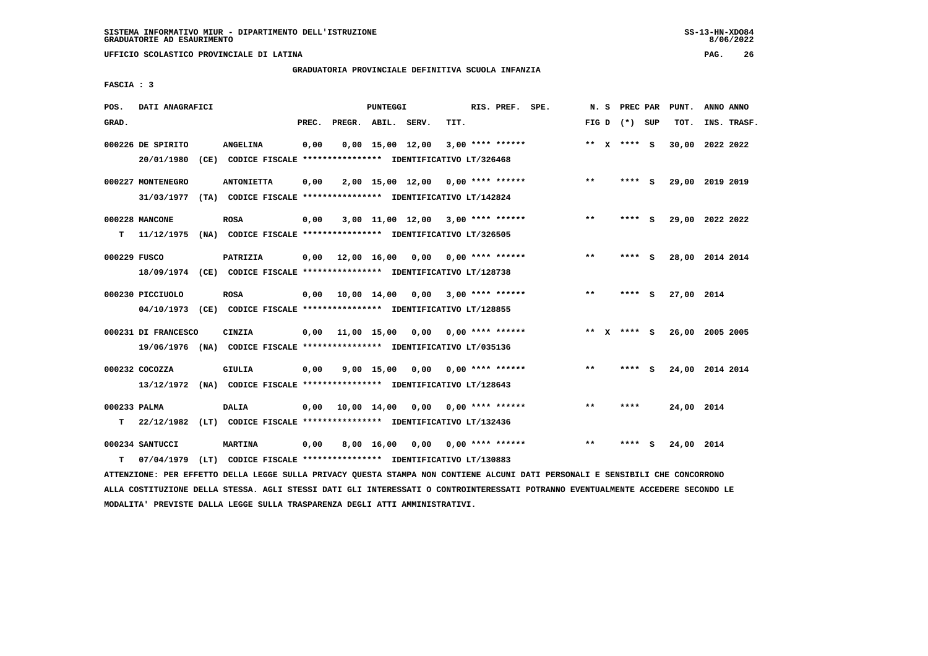**UFFICIO SCOLASTICO PROVINCIALE DI LATINA PAG. 26**

# **GRADUATORIA PROVINCIALE DEFINITIVA SCUOLA INFANZIA**

 **FASCIA : 3**

| POS.         | DATI ANAGRAFICI                                                          |                   |       |                        | PUNTEGGI   |                                                               |      | RIS. PREF. SPE.           |       |                 |     | N. S PREC PAR PUNT. | ANNO ANNO |             |
|--------------|--------------------------------------------------------------------------|-------------------|-------|------------------------|------------|---------------------------------------------------------------|------|---------------------------|-------|-----------------|-----|---------------------|-----------|-------------|
| GRAD.        |                                                                          |                   | PREC. | PREGR. ABIL. SERV.     |            |                                                               | TIT. |                           |       | FIG D $(*)$ SUP |     | TOT.                |           | INS. TRASF. |
|              | 000226 DE SPIRITO                                                        | <b>ANGELINA</b>   | 0,00  |                        |            | $0,00$ 15,00 12,00                                            |      | $3,00$ **** ******        |       | ** $X$ **** S   |     | 30,00 2022 2022     |           |             |
|              | 20/01/1980                                                               |                   |       |                        |            | (CE) CODICE FISCALE **************** IDENTIFICATIVO LT/326468 |      |                           |       |                 |     |                     |           |             |
|              | 000227 MONTENEGRO                                                        | <b>ANTONIETTA</b> | 0,00  |                        |            | 2,00 15,00 12,00 0,00 **** ******                             |      |                           | $***$ | $***$ S         |     | 29,00 2019 2019     |           |             |
|              | 31/03/1977 (TA) CODICE FISCALE *************** IDENTIFICATIVO LT/142824  |                   |       |                        |            |                                                               |      |                           |       |                 |     |                     |           |             |
|              | 000228 MANCONE                                                           | <b>ROSA</b>       | 0,00  |                        |            | $3,00$ 11,00 12,00 3,00 **** ******                           |      |                           | $***$ | ****            | - S | 29,00 2022 2022     |           |             |
| т            | 11/12/1975 (NA) CODICE FISCALE **************** IDENTIFICATIVO LT/326505 |                   |       |                        |            |                                                               |      |                           |       |                 |     |                     |           |             |
| 000229 FUSCO |                                                                          | PATRIZIA          |       | $0,00$ $12,00$ $16,00$ |            |                                                               |      | 0,00 0,00 **** ******     | $***$ | **** S          |     | 28,00 2014 2014     |           |             |
|              | 18/09/1974 (CE) CODICE FISCALE *************** IDENTIFICATIVO LT/128738  |                   |       |                        |            |                                                               |      |                           |       |                 |     |                     |           |             |
|              |                                                                          |                   |       |                        |            |                                                               |      |                           |       |                 |     |                     |           |             |
|              | 000230 PICCIUOLO                                                         | <b>ROSA</b>       |       | 0,00 10,00 14,00       |            | 0.00                                                          |      | $3,00$ **** ******        | $***$ | **** S          |     | 27,00 2014          |           |             |
|              | 04/10/1973 (CE) CODICE FISCALE *************** IDENTIFICATIVO LT/128855  |                   |       |                        |            |                                                               |      |                           |       |                 |     |                     |           |             |
|              | 000231 DI FRANCESCO                                                      | CINZIA            |       |                        |            | $0,00$ 11,00 15,00 0,00 0,00 **** ******                      |      |                           |       | ** x **** S     |     | 26,00 2005 2005     |           |             |
|              | 19/06/1976 (NA) CODICE FISCALE *************** IDENTIFICATIVO LT/035136  |                   |       |                        |            |                                                               |      |                           |       |                 |     |                     |           |             |
|              | 000232 COCOZZA                                                           | <b>GIULIA</b>     | 0,00  |                        | 9,00 15,00 |                                                               |      | $0.00$ $0.00$ **** ****** | $***$ | ****            | - S | 24,00 2014 2014     |           |             |
|              | 13/12/1972 (NA) CODICE FISCALE **************** IDENTIFICATIVO LT/128643 |                   |       |                        |            |                                                               |      |                           |       |                 |     |                     |           |             |
| 000233 PALMA |                                                                          | <b>DALIA</b>      |       | 0,00 10,00 14,00       |            | 0,00                                                          |      | $0.00$ **** ******        | **    | ****            |     | 24,00 2014          |           |             |
| т            | 22/12/1982 (LT) CODICE FISCALE **************** IDENTIFICATIVO LT/132436 |                   |       |                        |            |                                                               |      |                           |       |                 |     |                     |           |             |
|              |                                                                          |                   |       |                        |            |                                                               |      |                           |       |                 |     |                     |           |             |
|              | 000234 SANTUCCI                                                          | <b>MARTINA</b>    | 0,00  |                        | 8,00 16,00 | 0,00                                                          |      | $0.00$ **** ******        | $* *$ | ****            | s   | 24,00 2014          |           |             |
| т            | 07/04/1979 (LT) CODICE FISCALE *************** IDENTIFICATIVO LT/130883  |                   |       |                        |            |                                                               |      |                           |       |                 |     |                     |           |             |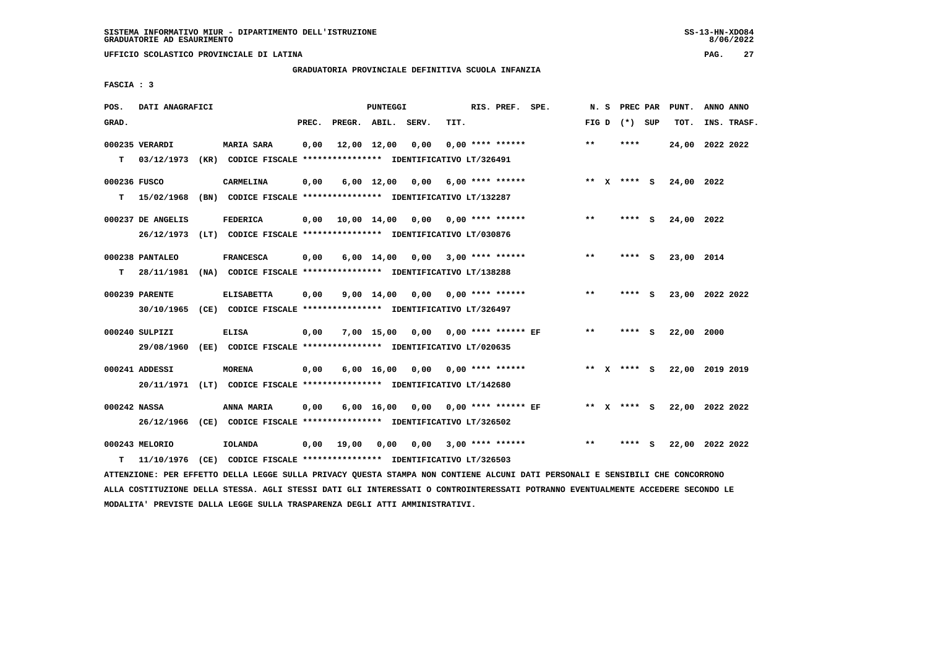**UFFICIO SCOLASTICO PROVINCIALE DI LATINA PAG. 27**

# **GRADUATORIA PROVINCIALE DEFINITIVA SCUOLA INFANZIA**

 **FASCIA : 3**

| POS.         | DATI ANAGRAFICI   |                                                                                                                               |       |                    | PUNTEGGI   |                                     |      | RIS. PREF. SPE.         |              | N. S PREC PAR   | PUNT.                       | ANNO ANNO |             |
|--------------|-------------------|-------------------------------------------------------------------------------------------------------------------------------|-------|--------------------|------------|-------------------------------------|------|-------------------------|--------------|-----------------|-----------------------------|-----------|-------------|
| GRAD.        |                   |                                                                                                                               | PREC. | PREGR. ABIL. SERV. |            |                                     | TIT. |                         |              | FIG D $(*)$ SUP | TOT.                        |           | INS. TRASF. |
|              | 000235 VERARDI    | <b>MARIA SARA</b>                                                                                                             | 0,00  |                    |            | 12,00 12,00 0,00                    |      | $0,00$ **** ******      | $**$         | ****            | 24,00 2022 2022             |           |             |
| т            | 03/12/1973        | (KR) CODICE FISCALE **************** IDENTIFICATIVO LT/326491                                                                 |       |                    |            |                                     |      |                         |              |                 |                             |           |             |
| 000236 FUSCO |                   | <b>CARMELINA</b>                                                                                                              | 0,00  |                    |            | $6,00$ 12,00 0,00 6,00 **** ******  |      |                         |              | ** X **** S     | 24,00 2022                  |           |             |
|              |                   | T 15/02/1968 (BN) CODICE FISCALE *************** IDENTIFICATIVO LT/132287                                                     |       |                    |            |                                     |      |                         |              |                 |                             |           |             |
|              | 000237 DE ANGELIS | <b>FEDERICA</b>                                                                                                               | 0.00  |                    |            | 10,00 14,00 0,00 0,00 **** ******   |      |                         | $**$         | $***$ S         | 24,00 2022                  |           |             |
|              | 26/12/1973        | (LT) CODICE FISCALE **************** IDENTIFICATIVO LT/030876                                                                 |       |                    |            |                                     |      |                         |              |                 |                             |           |             |
|              | 000238 PANTALEO   | <b>FRANCESCA</b>                                                                                                              | 0,00  |                    |            | 6,00 14,00 0,00                     |      | $3,00$ **** ******      | $\star\star$ | $***$ S         | 23,00 2014                  |           |             |
| т            | 28/11/1981        | (NA) CODICE FISCALE **************** IDENTIFICATIVO LT/138288                                                                 |       |                    |            |                                     |      |                         |              |                 |                             |           |             |
|              | 000239 PARENTE    | <b>ELISABETTA</b>                                                                                                             | 0,00  |                    |            | $9,00$ 14,00 0,00 0,00 **** ******  |      |                         | $***$        | **** S          | 23,00 2022 2022             |           |             |
|              |                   | 30/10/1965 (CE) CODICE FISCALE *************** IDENTIFICATIVO LT/326497                                                       |       |                    |            |                                     |      |                         |              |                 |                             |           |             |
|              | 000240 SULPIZI    | <b>ELISA</b>                                                                                                                  | 0,00  |                    | 7,00 15,00 |                                     |      |                         | $***$        | **** S          | 22,00 2000                  |           |             |
|              | 29/08/1960        | (EE) CODICE FISCALE **************** IDENTIFICATIVO LT/020635                                                                 |       |                    |            |                                     |      |                         |              |                 |                             |           |             |
|              | 000241 ADDESSI    | <b>MORENA</b>                                                                                                                 | 0,00  |                    |            | $6,00$ 16,00 0,00 0,00 **** ******  |      |                         |              | ** x **** S     | 22,00 2019 2019             |           |             |
|              |                   | 20/11/1971 (LT) CODICE FISCALE *************** IDENTIFICATIVO LT/142680                                                       |       |                    |            |                                     |      |                         |              |                 |                             |           |             |
| 000242 NASSA |                   | ANNA MARIA                                                                                                                    | 0,00  |                    |            | 6,00 16,00 0,00 0,00 **** ****** EF |      |                         |              |                 | ** X **** S 22,00 2022 2022 |           |             |
|              |                   | 26/12/1966 (CE) CODICE FISCALE *************** IDENTIFICATIVO LT/326502                                                       |       |                    |            |                                     |      |                         |              |                 |                             |           |             |
|              | 000243 MELORIO    | IOLANDA                                                                                                                       | 0,00  | 19,00              | 0,00       |                                     |      | $0,00$ 3,00 **** ****** | $**$         | **** S          | 22,00 2022 2022             |           |             |
| т            | 11/10/1976        | (CE) CODICE FISCALE **************** IDENTIFICATIVO LT/326503                                                                 |       |                    |            |                                     |      |                         |              |                 |                             |           |             |
|              |                   | ATTENZIONE: PER EFFETTO DELLA LEGGE SULLA PRIVACY QUESTA STAMPA NON CONTIENE ALCUNI DATI PERSONALI E SENSIBILI CHE CONCORRONO |       |                    |            |                                     |      |                         |              |                 |                             |           |             |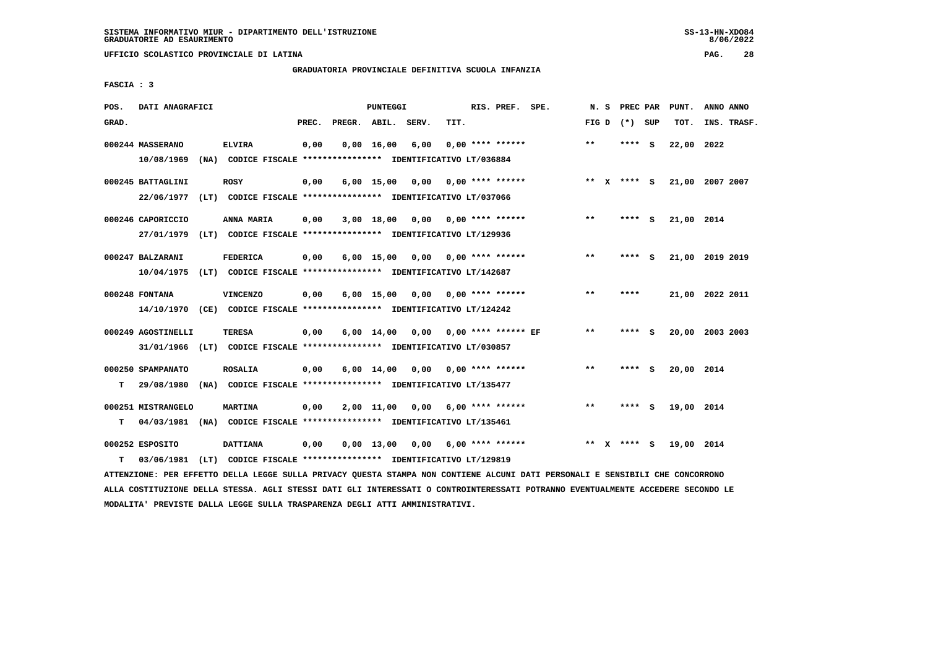**UFFICIO SCOLASTICO PROVINCIALE DI LATINA PAG. 28**

# **GRADUATORIA PROVINCIALE DEFINITIVA SCUOLA INFANZIA**

 **FASCIA : 3**

| POS.  | DATI ANAGRAFICI    |                                                                         |       | PUNTEGGI           |                    |      | RIS. PREF. SPE.           | N.S   | PREC PAR    |          | PUNT.      | ANNO ANNO       |
|-------|--------------------|-------------------------------------------------------------------------|-------|--------------------|--------------------|------|---------------------------|-------|-------------|----------|------------|-----------------|
| GRAD. |                    |                                                                         | PREC. |                    | PREGR. ABIL. SERV. | TIT. |                           | FIG D | (*) SUP     |          | TOT.       | INS. TRASF.     |
|       | 000244 MASSERANO   | <b>ELVIRA</b>                                                           | 0,00  | $0,00 \quad 16,00$ | 6,00               |      | $0.00$ **** ******        | $**$  | ****        | - S      | 22,00 2022 |                 |
|       | 10/08/1969         | (NA) CODICE FISCALE **************** IDENTIFICATIVO LT/036884           |       |                    |                    |      |                           |       |             |          |            |                 |
|       | 000245 BATTAGLINI  | <b>ROSY</b>                                                             | 0,00  | $6,00$ 15,00       | 0,00               |      | $0.00$ **** ******        |       | ** X **** S |          |            | 21,00 2007 2007 |
|       | 22/06/1977         | (LT) CODICE FISCALE **************** IDENTIFICATIVO LT/037066           |       |                    |                    |      |                           |       |             |          |            |                 |
|       | 000246 CAPORICCIO  | ANNA MARIA                                                              | 0,00  | 3,00 18,00         |                    |      | $0,00$ $0,00$ **** ****** | $**$  | **** S      |          | 21,00 2014 |                 |
|       | 27/01/1979         | (LT) CODICE FISCALE **************** IDENTIFICATIVO LT/129936           |       |                    |                    |      |                           |       |             |          |            |                 |
|       | 000247 BALZARANI   | <b>FEDERICA</b>                                                         | 0,00  | $6,00$ 15,00       |                    |      | $0.00$ $0.00$ **** ****** | $* *$ | ****        | - S      |            | 21,00 2019 2019 |
|       | 10/04/1975         | (LT) CODICE FISCALE *************** IDENTIFICATIVO LT/142687            |       |                    |                    |      |                           |       |             |          |            |                 |
|       | 000248 FONTANA     | <b>VINCENZO</b>                                                         | 0,00  | $6,00$ 15,00       | 0,00               |      | $0.00$ **** ******        | $* *$ | ****        |          |            | 21,00 2022 2011 |
|       |                    | 14/10/1970 (CE) CODICE FISCALE *************** IDENTIFICATIVO LT/124242 |       |                    |                    |      |                           |       |             |          |            |                 |
|       | 000249 AGOSTINELLI | <b>TERESA</b>                                                           | 0,00  | $6,00 \quad 14,00$ | 0,00               |      | 0,00 **** ****** EF       | $**$  | ****        | - S      |            | 20,00 2003 2003 |
|       |                    | 31/01/1966 (LT) CODICE FISCALE *************** IDENTIFICATIVO LT/030857 |       |                    |                    |      |                           |       |             |          |            |                 |
|       | 000250 SPAMPANATO  | <b>ROSALIA</b>                                                          | 0,00  | $6,00 \quad 14,00$ | 0,00               |      | $0.00$ **** ******        | $* *$ | **** S      |          | 20,00 2014 |                 |
| т     | 29/08/1980         | (NA) CODICE FISCALE **************** IDENTIFICATIVO LT/135477           |       |                    |                    |      |                           |       |             |          |            |                 |
|       | 000251 MISTRANGELO | MARTINA                                                                 | 0,00  | 2,00 11,00         | 0,00               |      | 6,00 **** ******          | $* *$ | ****        | <b>S</b> | 19,00 2014 |                 |
| т     | 04/03/1981         | (NA) CODICE FISCALE **************** IDENTIFICATIVO LT/135461           |       |                    |                    |      |                           |       |             |          |            |                 |
|       | 000252 ESPOSITO    | <b>DATTIANA</b>                                                         | 0,00  | $0,00$ 13,00       | 0,00               |      | $6,00$ **** ******        |       | ** x **** S |          | 19,00 2014 |                 |
| т     | 03/06/1981         | (LT) CODICE FISCALE **************** IDENTIFICATIVO LT/129819           |       |                    |                    |      |                           |       |             |          |            |                 |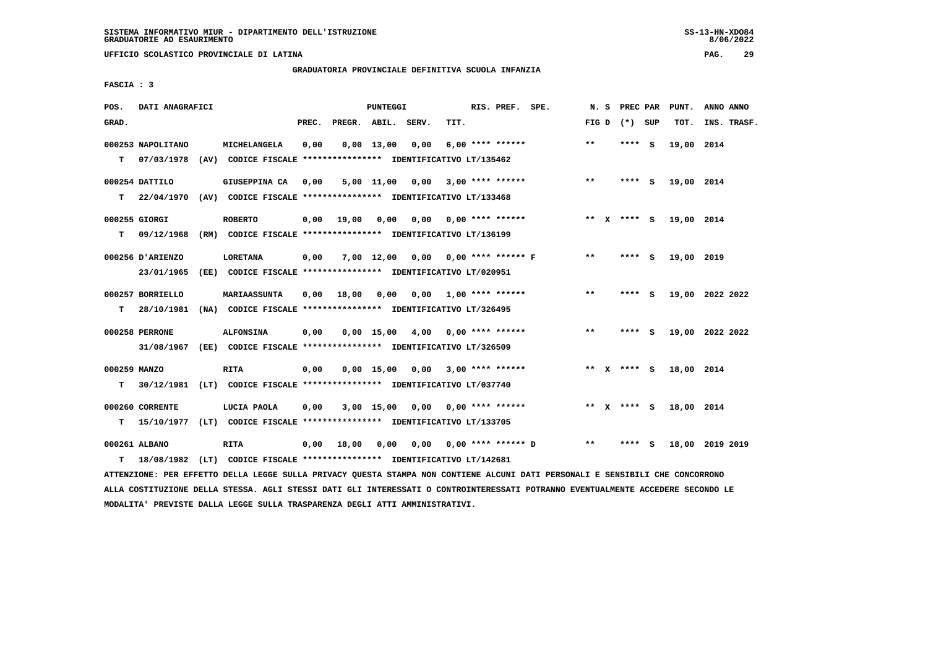**UFFICIO SCOLASTICO PROVINCIALE DI LATINA PAG. 29**

# **GRADUATORIA PROVINCIALE DEFINITIVA SCUOLA INFANZIA**

 **FASCIA : 3**

| POS.         | DATI ANAGRAFICI   |                                                                                                                               |       |                       | PUNTEGGI |                                    |      | RIS. PREF. SPE.    |                           |       |                 | N. S PREC PAR PUNT. | ANNO ANNO       |
|--------------|-------------------|-------------------------------------------------------------------------------------------------------------------------------|-------|-----------------------|----------|------------------------------------|------|--------------------|---------------------------|-------|-----------------|---------------------|-----------------|
| GRAD.        |                   |                                                                                                                               | PREC. | PREGR. ABIL. SERV.    |          |                                    | TIT. |                    |                           |       | FIG D $(*)$ SUP | тот.                | INS. TRASF.     |
|              | 000253 NAPOLITANO | MICHELANGELA                                                                                                                  | 0,00  |                       |          | $0,00$ 13,00 0,00                  |      | $6,00$ **** ****** |                           | $***$ | $***$ S         | 19,00 2014          |                 |
|              | T 07/03/1978      | (AV) CODICE FISCALE **************** IDENTIFICATIVO LT/135462                                                                 |       |                       |          |                                    |      |                    |                           |       |                 |                     |                 |
|              | 000254 DATTILO    | GIUSEPPINA CA 0,00                                                                                                            |       |                       |          | $5,00$ 11,00 0,00 3,00 **** ****** |      |                    |                           | $***$ | **** S          | 19,00 2014          |                 |
|              |                   | T 22/04/1970 (AV) CODICE FISCALE *************** IDENTIFICATIVO LT/133468                                                     |       |                       |          |                                    |      |                    |                           |       |                 |                     |                 |
|              |                   |                                                                                                                               |       |                       |          |                                    |      |                    |                           |       |                 |                     |                 |
|              | 000255 GIORGI     | <b>ROBERTO</b>                                                                                                                |       | $0,00$ $19,00$ $0,00$ |          |                                    |      |                    |                           |       | ** x **** s     | 19,00 2014          |                 |
|              | $T = 09/12/1968$  | (RM) CODICE FISCALE *************** IDENTIFICATIVO LT/136199                                                                  |       |                       |          |                                    |      |                    |                           |       |                 |                     |                 |
|              | 000256 D'ARIENZO  | <b>LORETANA</b>                                                                                                               | 0,00  |                       |          | 7,00 12,00 0,00 0,00 **** ****** F |      |                    |                           | $* *$ | $***$ S         | 19,00 2019          |                 |
|              | 23/01/1965        | (EE) CODICE FISCALE **************** IDENTIFICATIVO LT/020951                                                                 |       |                       |          |                                    |      |                    |                           |       |                 |                     |                 |
|              | 000257 BORRIELLO  | <b>MARIAASSUNTA</b>                                                                                                           | 0,00  |                       |          | 18,00 0,00 0,00 1,00 **** ******   |      |                    |                           | $***$ | **** S          |                     | 19,00 2022 2022 |
|              | T 28/10/1981      | (NA) CODICE FISCALE **************** IDENTIFICATIVO LT/326495                                                                 |       |                       |          |                                    |      |                    |                           |       |                 |                     |                 |
|              |                   |                                                                                                                               |       |                       |          |                                    |      |                    |                           |       |                 |                     |                 |
|              | 000258 PERRONE    | <b>ALFONSINA</b>                                                                                                              | 0,00  |                       |          | $0,00$ 15,00 4,00 0,00 **** ****** |      |                    |                           | $***$ | **** S          |                     | 19,00 2022 2022 |
|              |                   | 31/08/1967 (EE) CODICE FISCALE *************** IDENTIFICATIVO LT/326509                                                       |       |                       |          |                                    |      |                    |                           |       |                 |                     |                 |
| 000259 MANZO |                   | <b>RITA</b>                                                                                                                   | 0,00  |                       |          | $0,00$ 15,00 0,00 3,00 **** ****** |      |                    |                           |       | ** $X$ **** S   | 18,00 2014          |                 |
|              |                   | T 30/12/1981 (LT) CODICE FISCALE *************** IDENTIFICATIVO LT/037740                                                     |       |                       |          |                                    |      |                    |                           |       |                 |                     |                 |
|              |                   |                                                                                                                               |       |                       |          |                                    |      |                    |                           |       |                 |                     |                 |
|              | 000260 CORRENTE   | LUCIA PAOLA                                                                                                                   | 0,00  |                       |          | $3,00$ 15,00 0,00 0,00 **** ****** |      |                    |                           |       | ** x **** S     | 18,00 2014          |                 |
| т            |                   | 15/10/1977 (LT) CODICE FISCALE *************** IDENTIFICATIVO LT/133705                                                       |       |                       |          |                                    |      |                    |                           |       |                 |                     |                 |
|              | 000261 ALBANO     | <b>RITA</b>                                                                                                                   | 0,00  | 18,00                 | 0,00     |                                    |      |                    | $0,00$ 0,00 **** ****** D | $***$ | **** S          |                     | 18,00 2019 2019 |
| т            |                   | 18/08/1982 (LT) CODICE FISCALE **************** IDENTIFICATIVO LT/142681                                                      |       |                       |          |                                    |      |                    |                           |       |                 |                     |                 |
|              |                   | ATTENZIONE: PER EFFETTO DELLA LEGGE SULLA PRIVACY QUESTA STAMPA NON CONTIENE ALCUNI DATI PERSONALI E SENSIBILI CHE CONCORRONO |       |                       |          |                                    |      |                    |                           |       |                 |                     |                 |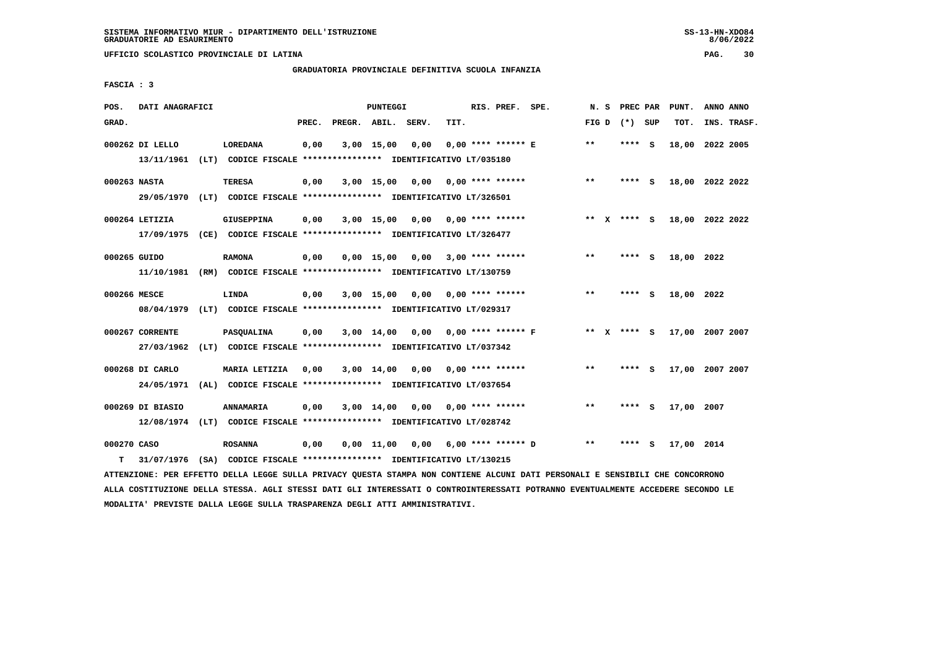#### **GRADUATORIA PROVINCIALE DEFINITIVA SCUOLA INFANZIA**

 **FASCIA : 3**

| POS.             | DATI ANAGRAFICI               |                                                                                      |       |                    | <b>PUNTEGGI</b>    |      |      | RIS. PREF. SPE.             | N. S    | PREC PAR        |          | PUNT.      | ANNO ANNO       |  |
|------------------|-------------------------------|--------------------------------------------------------------------------------------|-------|--------------------|--------------------|------|------|-----------------------------|---------|-----------------|----------|------------|-----------------|--|
| GRAD.            |                               |                                                                                      | PREC. | PREGR. ABIL. SERV. |                    |      | TIT. |                             |         | FIG D $(*)$ SUP |          | TOT.       | INS. TRASF.     |  |
|                  | 000262 DI LELLO               | LOREDANA<br>13/11/1961 (LT) CODICE FISCALE **************** IDENTIFICATIVO LT/035180 | 0,00  |                    | $3,00$ 15,00       | 0,00 |      | $0.00$ **** ****** E        | $***$   | **** S          |          |            | 18,00 2022 2005 |  |
| 000263 NASTA     |                               | TERESA<br>29/05/1970 (LT) CODICE FISCALE *************** IDENTIFICATIVO LT/326501    | 0,00  |                    | $3,00$ 15,00       | 0.00 |      | $0.00$ **** ******          | $***$   | **** S          |          |            | 18,00 2022 2022 |  |
|                  | 000264 LETIZIA<br>17/09/1975  | <b>GIUSEPPINA</b><br>(CE) CODICE FISCALE **************** IDENTIFICATIVO LT/326477   | 0,00  |                    | 3,00 15,00         | 0,00 |      | 0,00 **** ******            | $***$ X | **** S          |          |            | 18,00 2022 2022 |  |
| 000265 GUIDO     | 11/10/1981                    | <b>RAMONA</b><br>(RM) CODICE FISCALE **************** IDENTIFICATIVO LT/130759       | 0,00  |                    | $0.00$ 15.00       | 0.00 |      | $3.00$ **** ******          | $***$   | ****            | <b>S</b> | 18,00 2022 |                 |  |
| 000266 MESCE     | 08/04/1979                    | LINDA<br>(LT) CODICE FISCALE **************** IDENTIFICATIVO LT/029317               | 0,00  |                    | $3,00$ 15,00       | 0.00 |      | $0.00$ **** ******          | $**$    | ****            | - S      | 18,00 2022 |                 |  |
|                  | 000267 CORRENTE<br>27/03/1962 | PASQUALINA<br>(LT) CODICE FISCALE **************** IDENTIFICATIVO LT/037342          | 0,00  |                    | $3,00$ 14,00       |      |      | $0.00$ $0.00$ **** ****** F | $***$ X | **** S          |          |            | 17,00 2007 2007 |  |
|                  | 000268 DI CARLO<br>24/05/1971 | MARIA LETIZIA<br>(AL) CODICE FISCALE **************** IDENTIFICATIVO LT/037654       | 0,00  |                    | $3,00$ 14,00       | 0,00 |      | $0.00$ **** ******          | $* *$   | ****            | - S      |            | 17,00 2007 2007 |  |
|                  | 000269 DI BIASIO              | ANNAMARIA<br>12/08/1974 (LT) CODICE FISCALE *************** IDENTIFICATIVO LT/028742 | 0.00  |                    | $3,00$ 14,00       | 0,00 |      | 0,00 **** ******            | $***$   | ****            | - S      | 17,00 2007 |                 |  |
| 000270 CASO<br>т | 31/07/1976                    | <b>ROSANNA</b><br>(SA) CODICE FISCALE **************** IDENTIFICATIVO LT/130215      | 0,00  |                    | $0,00 \quad 11,00$ | 0.00 |      | $6.00$ **** ****** D        | $**$    |                 | s        | 17,00 2014 |                 |  |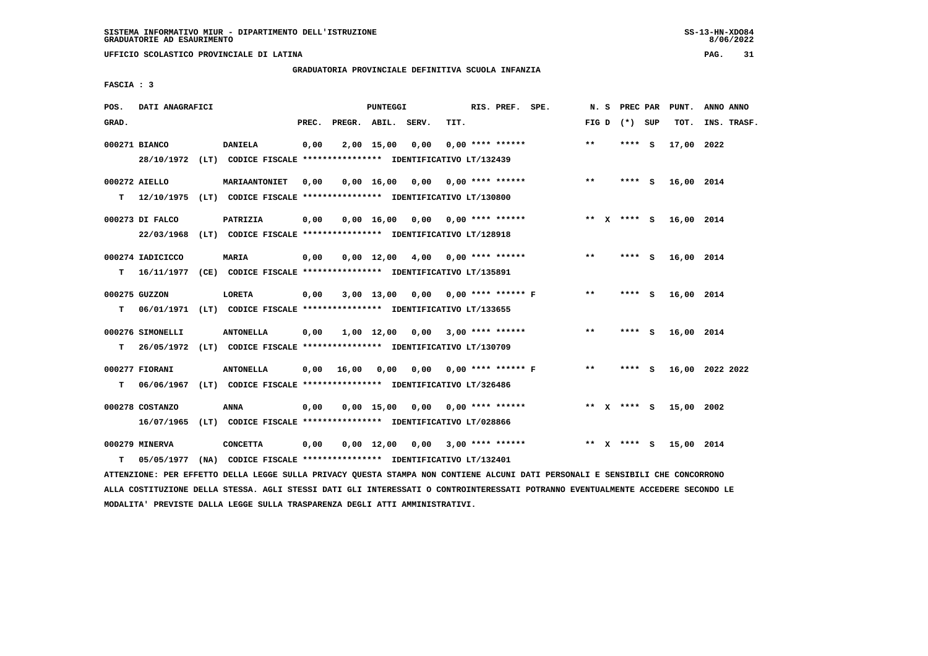**UFFICIO SCOLASTICO PROVINCIALE DI LATINA PAG. 31**

# **GRADUATORIA PROVINCIALE DEFINITIVA SCUOLA INFANZIA**

 **FASCIA : 3**

| POS.  | DATI ANAGRAFICI                |                                                                                           |       |                    | PUNTEGGI           |                                    |      | RIS. PREF. SPE.         |                             | N.S    | PREC PAR    |          | PUNT.      | ANNO ANNO       |
|-------|--------------------------------|-------------------------------------------------------------------------------------------|-------|--------------------|--------------------|------------------------------------|------|-------------------------|-----------------------------|--------|-------------|----------|------------|-----------------|
| GRAD. |                                |                                                                                           | PREC. | PREGR. ABIL. SERV. |                    |                                    | TIT. |                         |                             | FIG D  | (*) SUP     |          | TOT.       | INS. TRASF.     |
|       | 000271 BIANCO                  | <b>DANIELA</b><br>28/10/1972 (LT) CODICE FISCALE *************** IDENTIFICATIVO LT/132439 | 0,00  |                    | $2,00$ 15,00       | 0,00                               |      | $0.00$ **** ******      |                             | $***$  | **** S      |          | 17,00 2022 |                 |
| т     | 000272 AIELLO                  | MARIAANTONIET<br>12/10/1975 (LT) CODICE FISCALE *************** IDENTIFICATIVO LT/130800  | 0,00  |                    |                    | $0,00$ 16,00 0,00 0,00 **** ****** |      |                         |                             | $* *$  | $***$ S     |          | 16,00 2014 |                 |
|       | 000273 DI FALCO<br>22/03/1968  | PATRIZIA<br>(LT) CODICE FISCALE **************** IDENTIFICATIVO LT/128918                 | 0,00  |                    |                    | $0.00$ 16.00 0.00 0.00 **** ****** |      |                         |                             |        | ** x **** s |          | 16,00 2014 |                 |
| т     | 000274 IADICICCO               | <b>MARIA</b><br>16/11/1977 (CE) CODICE FISCALE *************** IDENTIFICATIVO LT/135891   | 0,00  |                    | $0,00 \quad 12,00$ | 4,00 0,00 **** ******              |      |                         |                             | $***$  | **** S      |          | 16,00 2014 |                 |
| т     | 000275 GUZZON                  | <b>LORETA</b><br>06/01/1971 (LT) CODICE FISCALE *************** IDENTIFICATIVO LT/133655  | 0,00  |                    | $3,00$ 13,00       |                                    |      |                         | $0,00$ $0,00$ **** ****** F | **     | ****        | <b>S</b> | 16,00 2014 |                 |
| т     | 000276 SIMONELLI<br>26/05/1972 | <b>ANTONELLA</b><br>(LT) CODICE FISCALE **************** IDENTIFICATIVO LT/130709         | 0,00  |                    | 1,00 12,00         | $0,00$ 3,00 **** ******            |      |                         |                             | $***$  | **** S      |          | 16,00 2014 |                 |
| т     | 000277 FIORANI<br>06/06/1967   | <b>ANTONELLA</b><br>(LT) CODICE FISCALE **************** IDENTIFICATIVO LT/326486         | 0,00  | 16,00              | 0,00               | 0,00                               |      |                         | $0.00$ **** ****** F        | $***$  | **** S      |          |            | 16,00 2022 2022 |
|       | 000278 COSTANZO<br>16/07/1965  | ANNA<br>(LT) CODICE FISCALE **************** IDENTIFICATIVO LT/028866                     | 0,00  |                    |                    | $0.00 \quad 15.00 \quad 0.00$      |      | $0.00$ **** ******      |                             |        | ** x **** s |          | 15,00 2002 |                 |
| т     | 000279 MINERVA<br>05/05/1977   | <b>CONCETTA</b><br>(NA) CODICE FISCALE **************** IDENTIFICATIVO LT/132401          | 0,00  |                    | $0,00 \quad 12,00$ |                                    |      | $0,00$ 3,00 **** ****** |                             | ** $X$ | **** S      |          | 15,00 2014 |                 |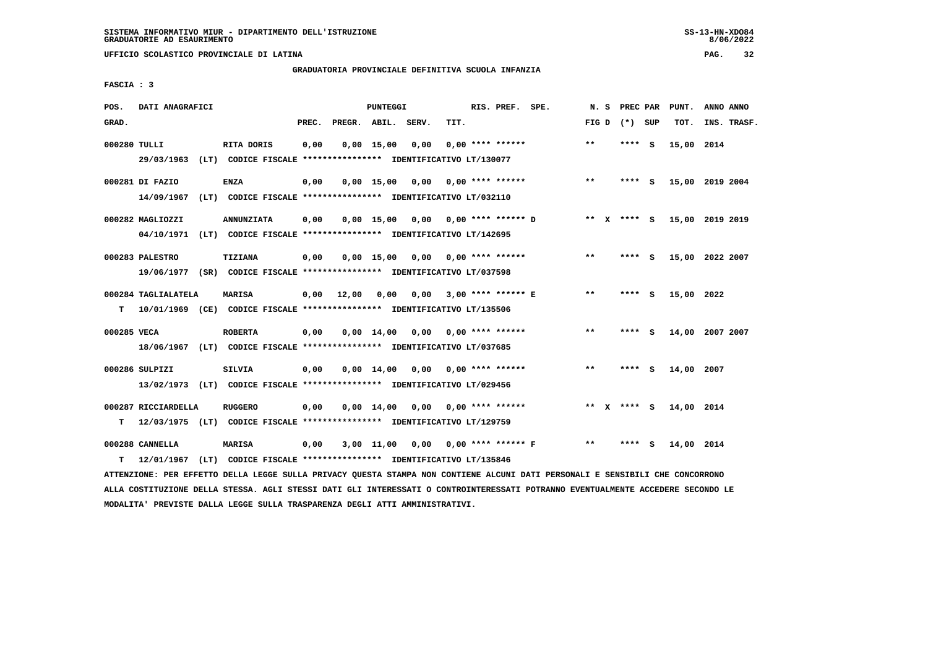**UFFICIO SCOLASTICO PROVINCIALE DI LATINA PAG. 32**

# **GRADUATORIA PROVINCIALE DEFINITIVA SCUOLA INFANZIA**

 **FASCIA : 3**

| POS.         | DATI ANAGRAFICI               |                                                                                              |       |                    | <b>PUNTEGGI</b> |                                      |      | RIS. PREF. SPE.           |                         | N. S  | PREC PAR        |     | PUNT.      | ANNO ANNO       |
|--------------|-------------------------------|----------------------------------------------------------------------------------------------|-------|--------------------|-----------------|--------------------------------------|------|---------------------------|-------------------------|-------|-----------------|-----|------------|-----------------|
| GRAD.        |                               |                                                                                              | PREC. | PREGR. ABIL. SERV. |                 |                                      | TIT. |                           |                         |       | FIG D $(*)$ SUP |     | TOT.       | INS. TRASF.     |
| 000280 TULLI | 29/03/1963                    | RITA DORIS<br>(LT) CODICE FISCALE **************** IDENTIFICATIVO LT/130077                  | 0,00  |                    | 0.00 15.00      | 0,00                                 |      | $0.00$ **** ******        |                         | $**$  | **** S          |     | 15,00 2014 |                 |
|              | 000281 DI FAZIO<br>14/09/1967 | <b>ENZA</b><br>(LT) CODICE FISCALE **************** IDENTIFICATIVO LT/032110                 | 0,00  |                    |                 | $0,00$ 15,00 0,00                    |      | $0.00$ **** ******        |                         | $***$ | **** S          |     |            | 15,00 2019 2004 |
|              | 000282 MAGLIOZZI              | <b>ANNUNZIATA</b><br>04/10/1971 (LT) CODICE FISCALE *************** IDENTIFICATIVO LT/142695 | 0,00  |                    |                 | $0,00$ 15,00 0,00 0,00 **** ****** D |      |                           |                         |       | ** x **** S     |     |            | 15,00 2019 2019 |
|              | 000283 PALESTRO               | <b>TIZIANA</b><br>19/06/1977 (SR) CODICE FISCALE *************** IDENTIFICATIVO LT/037598    | 0,00  |                    | $0.00$ 15.00    |                                      |      | $0,00$ $0,00$ **** ****** |                         | $***$ | **** S          |     |            | 15,00 2022 2007 |
| т            | 000284 TAGLIALATELA           | <b>MARISA</b><br>10/01/1969 (CE) CODICE FISCALE **************** IDENTIFICATIVO LT/135506    | 0,00  | 12,00              | 0,00            |                                      |      | $0.00$ 3.00 **** ****** E |                         | $* *$ | **** S          |     | 15,00 2022 |                 |
| 000285 VECA  |                               | <b>ROBERTA</b><br>18/06/1967 (LT) CODICE FISCALE *************** IDENTIFICATIVO LT/037685    | 0,00  |                    |                 | 0,00 14,00 0,00                      |      | $0.00$ **** ******        |                         | **    | **** S          |     |            | 14,00 2007 2007 |
|              | 000286 SULPIZI                | <b>SILVIA</b><br>13/02/1973 (LT) CODICE FISCALE *************** IDENTIFICATIVO LT/029456     | 0,00  |                    |                 | $0.00$ 14.00 0.00 0.00 **** ******   |      |                           |                         | $* *$ | **** S          |     | 14,00 2007 |                 |
| т            | 000287 RICCIARDELLA           | <b>RUGGERO</b><br>12/03/1975 (LT) CODICE FISCALE **************** IDENTIFICATIVO LT/129759   | 0,00  |                    | $0,00$ $14,00$  |                                      |      | $0.00$ $0.00$ **** ****** |                         |       | ** $X$ **** S   |     | 14,00 2014 |                 |
| т            | 000288 CANNELLA<br>12/01/1967 | <b>MARISA</b><br>(LT) CODICE FISCALE **************** IDENTIFICATIVO LT/135846               | 0,00  |                    | $3,00$ $11,00$  |                                      |      |                           | 0,00 0,00 **** ****** F | $* *$ | ****            | - S | 14,00 2014 |                 |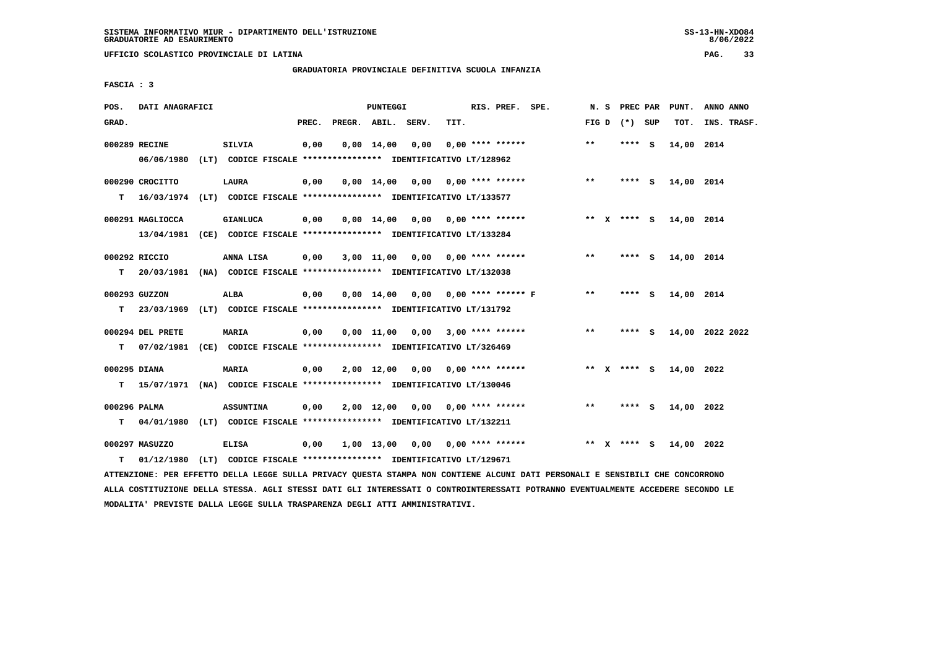**UFFICIO SCOLASTICO PROVINCIALE DI LATINA PAG. 33**

# **GRADUATORIA PROVINCIALE DEFINITIVA SCUOLA INFANZIA**

 **FASCIA : 3**

| POS.         | DATI ANAGRAFICI  |                                                                            |       |                    | PUNTEGGI       |                                      |      | RIS. PREF. SPE.    |                                    | N. S  |                 | PREC PAR PUNT. | ANNO ANNO       |
|--------------|------------------|----------------------------------------------------------------------------|-------|--------------------|----------------|--------------------------------------|------|--------------------|------------------------------------|-------|-----------------|----------------|-----------------|
| GRAD.        |                  |                                                                            | PREC. | PREGR. ABIL. SERV. |                |                                      | TIT. |                    |                                    |       | FIG D $(*)$ SUP | TOT.           | INS. TRASF.     |
|              | 000289 RECINE    | SILVIA                                                                     | 0,00  |                    | $0,00$ $14,00$ | 0,00                                 |      | $0.00$ **** ****** |                                    | $**$  | $***$ S         | 14,00 2014     |                 |
|              | 06/06/1980       | (LT) CODICE FISCALE **************** IDENTIFICATIVO LT/128962              |       |                    |                |                                      |      |                    |                                    |       |                 |                |                 |
|              | 000290 CROCITTO  | LAURA                                                                      | 0,00  |                    |                | $0,00$ 14,00 0,00 0,00 **** ******   |      |                    |                                    | $* *$ | **** S          | 14,00 2014     |                 |
| т            |                  | 16/03/1974 (LT) CODICE FISCALE **************** IDENTIFICATIVO LT/133577   |       |                    |                |                                      |      |                    |                                    |       |                 |                |                 |
|              | 000291 MAGLIOCCA | <b>GIANLUCA</b>                                                            | 0,00  |                    |                | $0,00$ 14,00 0,00 0,00 **** ******   |      |                    |                                    |       | ** X **** S     | 14,00 2014     |                 |
|              |                  | 13/04/1981 (CE) CODICE FISCALE *************** IDENTIFICATIVO LT/133284    |       |                    |                |                                      |      |                    |                                    |       |                 |                |                 |
|              | 000292 RICCIO    | ANNA LISA                                                                  | 0,00  |                    |                | 3,00 11,00 0,00 0,00 **** ******     |      |                    |                                    | $* *$ | **** S          | 14,00 2014     |                 |
| т            |                  | 20/03/1981 (NA) CODICE FISCALE *************** IDENTIFICATIVO LT/132038    |       |                    |                |                                      |      |                    |                                    |       |                 |                |                 |
|              | 000293 GUZZON    | ALBA                                                                       | 0,00  |                    |                | $0,00$ 14,00 0,00 0,00 **** ****** F |      |                    |                                    | $* *$ | **** S          | 14,00 2014     |                 |
| т            |                  | 23/03/1969 (LT) CODICE FISCALE *************** IDENTIFICATIVO LT/131792    |       |                    |                |                                      |      |                    |                                    |       |                 |                |                 |
|              | 000294 DEL PRETE | <b>MARIA</b>                                                               | 0,00  |                    |                |                                      |      |                    | $0,00$ 11,00 0,00 3,00 **** ****** | $***$ | **** S          |                | 14,00 2022 2022 |
|              |                  | T 07/02/1981 (CE) CODICE FISCALE *************** IDENTIFICATIVO LT/326469  |       |                    |                |                                      |      |                    |                                    |       |                 |                |                 |
| 000295 DIANA |                  | MARIA                                                                      | 0,00  |                    |                | $2,00$ 12,00 0,00 0,00 **** ******   |      |                    |                                    |       | ** x **** S     | 14,00 2022     |                 |
|              |                  | T 15/07/1971 (NA) CODICE FISCALE *************** IDENTIFICATIVO LT/130046  |       |                    |                |                                      |      |                    |                                    |       |                 |                |                 |
| 000296 PALMA |                  | <b>ASSUNTINA</b>                                                           | 0,00  |                    |                | $2,00$ 12,00 0,00 0,00 **** ******   |      |                    |                                    | $***$ | **** S          | 14,00 2022     |                 |
|              |                  | T 04/01/1980 (LT) CODICE FISCALE **************** IDENTIFICATIVO LT/132211 |       |                    |                |                                      |      |                    |                                    |       |                 |                |                 |
|              | 000297 MASUZZO   | <b>ELISA</b>                                                               | 0,00  |                    |                | 1,00 13,00 0,00 0,00 **** ******     |      |                    |                                    | ** X  | **** S          | 14,00 2022     |                 |
| т            | 01/12/1980       | (LT) CODICE FISCALE **************** IDENTIFICATIVO LT/129671              |       |                    |                |                                      |      |                    |                                    |       |                 |                |                 |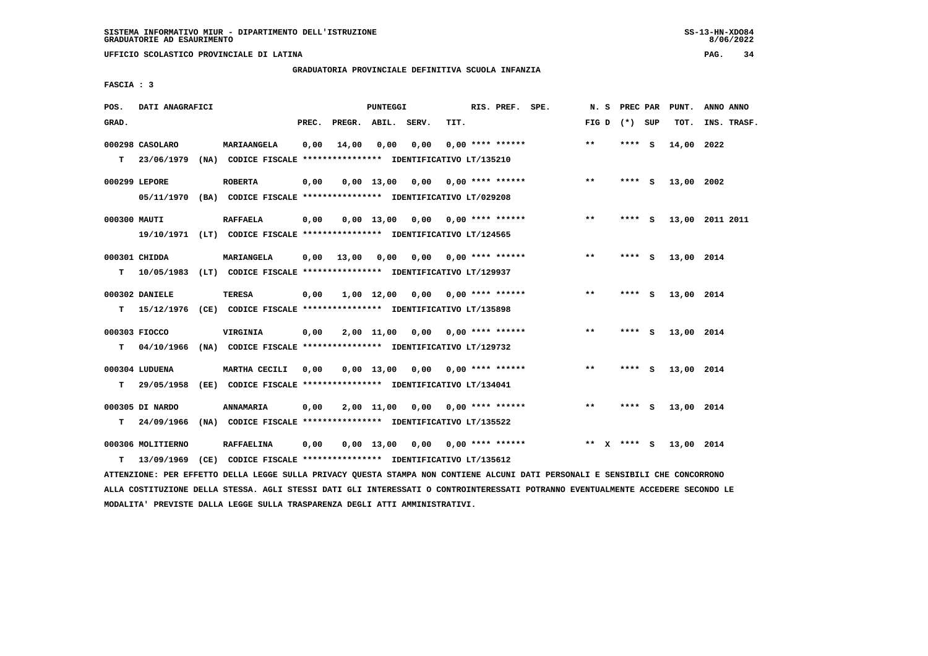**UFFICIO SCOLASTICO PROVINCIALE DI LATINA PAG. 34**

# **GRADUATORIA PROVINCIALE DEFINITIVA SCUOLA INFANZIA**

 **FASCIA : 3**

| POS.         | DATI ANAGRAFICI                 |      |                                                                                            |       |                    | PUNTEGGI     |                                    |      | RIS. PREF. SPE.           | N.S   |              | PREC PAR |     | PUNT.      | ANNO ANNO       |
|--------------|---------------------------------|------|--------------------------------------------------------------------------------------------|-------|--------------------|--------------|------------------------------------|------|---------------------------|-------|--------------|----------|-----|------------|-----------------|
| GRAD.        |                                 |      |                                                                                            | PREC. | PREGR. ABIL. SERV. |              |                                    | TIT. |                           | FIG D |              | (*) SUP  |     | TOT.       | INS. TRASF.     |
| т            | 000298 CASOLARO<br>23/06/1979   |      | <b>MARIAANGELA</b><br>(NA) CODICE FISCALE **************** IDENTIFICATIVO LT/135210        | 0,00  | 14,00              | 0,00         | 0.00                               |      | $0.00$ **** ******        | $***$ |              | ****     | - S | 14,00 2022 |                 |
|              | 000299 LEPORE<br>05/11/1970     |      | <b>ROBERTA</b><br>(BA) CODICE FISCALE **************** IDENTIFICATIVO LT/029208            | 0,00  |                    |              | $0,00$ 13,00 0,00                  |      | $0.00$ **** ******        | $***$ |              | **** S   |     | 13,00 2002 |                 |
| 000300 MAUTI |                                 |      | <b>RAFFAELA</b><br>19/10/1971 (LT) CODICE FISCALE *************** IDENTIFICATIVO LT/124565 | 0,00  |                    | $0.00$ 13,00 | 0,00 0,00 **** ******              |      |                           | $***$ |              | **** S   |     |            | 13,00 2011 2011 |
| т            | 000301 CHIDDA<br>10/05/1983     |      | MARIANGELA<br>(LT) CODICE FISCALE **************** IDENTIFICATIVO LT/129937                | 0,00  | 13,00              | 0,00         |                                    |      | $0.00$ $0.00$ **** ****** | $***$ |              | ****     | - S | 13,00 2014 |                 |
| т            | 000302 DANIELE                  |      | TERESA<br>15/12/1976 (CE) CODICE FISCALE **************** IDENTIFICATIVO LT/135898         | 0,00  |                    | 1,00 12,00   |                                    |      | $0,00$ $0,00$ **** ****** | **    |              | **** S   |     | 13,00 2014 |                 |
| т            | 000303 FIOCCO<br>04/10/1966     |      | VIRGINIA<br>(NA) CODICE FISCALE **************** IDENTIFICATIVO LT/129732                  | 0,00  |                    | 2,00 11,00   |                                    |      | $0,00$ $0,00$ **** ****** | $**$  |              | ****     | - S | 13,00 2014 |                 |
| т            | 000304 LUDUENA<br>29/05/1958    |      | MARTHA CECILI<br>(EE) CODICE FISCALE **************** IDENTIFICATIVO LT/134041             | 0.00  |                    | 0,00 13,00   | 0,00                               |      | 0,00 **** ******          | $***$ |              | ****     | - S | 13,00 2014 |                 |
| т            | 000305 DI NARDO<br>24/09/1966   | (NA) | ANNAMARIA<br>CODICE FISCALE **************** IDENTIFICATIVO LT/135522                      | 0,00  |                    | 2,00 11,00   | 0,00                               |      | $0.00$ **** ******        | **    |              | **** S   |     | 13,00 2014 |                 |
| т            | 000306 MOLITIERNO<br>13/09/1969 |      | <b>RAFFAELINA</b><br>(CE) CODICE FISCALE **************** IDENTIFICATIVO LT/135612         | 0,00  |                    |              | $0.00$ 13.00 0.00 0.00 **** ****** |      |                           | $* *$ | $\mathbf{x}$ | **** S   |     | 13,00 2014 |                 |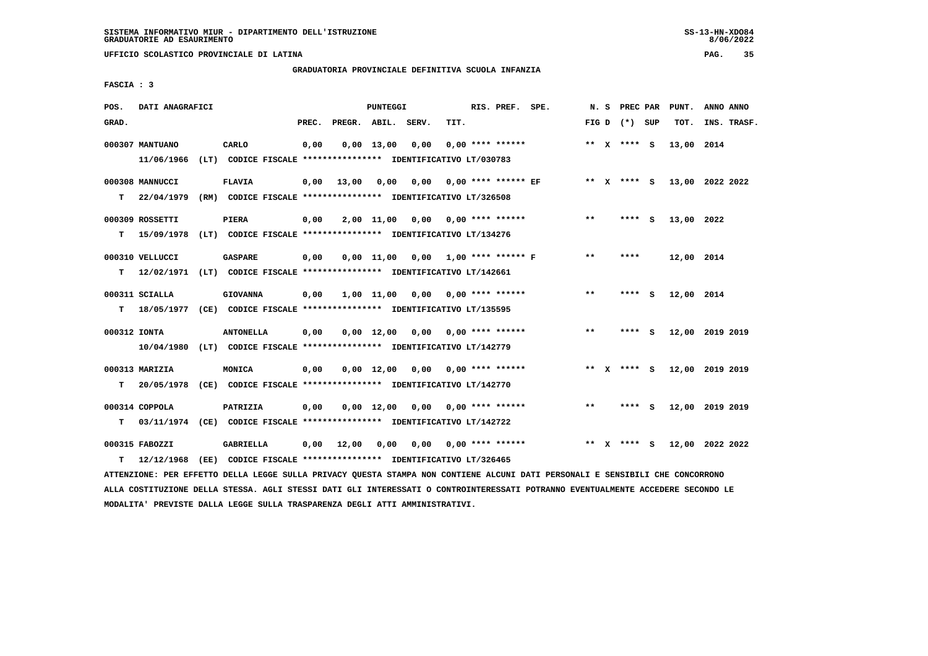**UFFICIO SCOLASTICO PROVINCIALE DI LATINA PAG. 35**

# **GRADUATORIA PROVINCIALE DEFINITIVA SCUOLA INFANZIA**

 **FASCIA : 3**

| POS.  | DATI ANAGRAFICI |                                                                          |       |              | PUNTEGGI           |       |      | RIS. PREF. SPE.            |              |              |                 |     | N. S PREC PAR PUNT. | ANNO ANNO       |
|-------|-----------------|--------------------------------------------------------------------------|-------|--------------|--------------------|-------|------|----------------------------|--------------|--------------|-----------------|-----|---------------------|-----------------|
| GRAD. |                 |                                                                          | PREC. | PREGR. ABIL. |                    | SERV. | TIT. |                            |              |              | FIG D $(*)$ SUP |     | TOT.                | INS. TRASF.     |
|       | 000307 MANTUANO | CARLO                                                                    | 0,00  |              | $0,00$ 13,00       | 0,00  |      | $0.00$ **** ******         |              |              | ** X **** S     |     | 13,00 2014          |                 |
|       | 11/06/1966      | (LT) CODICE FISCALE **************** IDENTIFICATIVO LT/030783            |       |              |                    |       |      |                            |              |              |                 |     |                     |                 |
|       | 000308 MANNUCCI | <b>FLAVIA</b>                                                            | 0,00  | 13,00        | 0,00               |       |      | $0,00$ 0,00 **** ****** EF |              |              | ** X **** S     |     |                     | 13,00 2022 2022 |
| т     | 22/04/1979      | (RM) CODICE FISCALE **************** IDENTIFICATIVO LT/326508            |       |              |                    |       |      |                            |              |              |                 |     |                     |                 |
|       | 000309 ROSSETTI | <b>PIERA</b>                                                             | 0,00  |              | 2,00 11,00         | 0,00  |      | $0.00$ **** ******         | $* *$        |              | **** S          |     | 13,00 2022          |                 |
| т     |                 | 15/09/1978 (LT) CODICE FISCALE *************** IDENTIFICATIVO LT/134276  |       |              |                    |       |      |                            |              |              |                 |     |                     |                 |
|       | 000310 VELLUCCI | <b>GASPARE</b>                                                           | 0,00  |              | $0.00$ 11.00       |       |      | $0.00$ 1.00 **** ****** F  | $**$         |              | ****            |     | 12,00 2014          |                 |
| т     |                 | 12/02/1971 (LT) CODICE FISCALE **************** IDENTIFICATIVO LT/142661 |       |              |                    |       |      |                            |              |              |                 |     |                     |                 |
|       | 000311 SCIALLA  | <b>GIOVANNA</b>                                                          | 0,00  |              | 1,00 11,00         | 0,00  |      | $0.00$ **** ******         | $\star\star$ |              | **** S          |     | 12,00 2014          |                 |
| т     |                 | 18/05/1977 (CE) CODICE FISCALE *************** IDENTIFICATIVO LT/135595  |       |              |                    |       |      |                            |              |              |                 |     |                     |                 |
|       | 000312 IONTA    | <b>ANTONELLA</b>                                                         | 0,00  |              | $0.00 \quad 12.00$ |       |      | $0.00$ $0.00$ **** ******  | $* *$        |              | **** S          |     |                     | 12,00 2019 2019 |
|       |                 | 10/04/1980 (LT) CODICE FISCALE **************** IDENTIFICATIVO LT/142779 |       |              |                    |       |      |                            |              |              |                 |     |                     |                 |
|       | 000313 MARIZIA  | MONICA                                                                   | 0,00  |              | $0,00 \quad 12,00$ | 0,00  |      | $0.00$ **** ******         | **           | $\mathbf{x}$ | **** S          |     |                     | 12,00 2019 2019 |
| т     | 20/05/1978      | (CE) CODICE FISCALE **************** IDENTIFICATIVO LT/142770            |       |              |                    |       |      |                            |              |              |                 |     |                     |                 |
|       | 000314 COPPOLA  | PATRIZIA                                                                 | 0,00  |              | $0,00 \quad 12,00$ | 0,00  |      | $0.00$ **** ******         | $* *$        |              | ****            | - S |                     | 12,00 2019 2019 |
| т     |                 | 03/11/1974 (CE) CODICE FISCALE *************** IDENTIFICATIVO LT/142722  |       |              |                    |       |      |                            |              |              |                 |     |                     |                 |
|       | 000315 FABOZZI  | GABRIELLA                                                                | 0,00  | 12,00        | 0,00               | 0,00  |      | $0.00$ **** ******         |              |              | ** X **** S     |     |                     | 12,00 2022 2022 |
| т     | 12/12/1968      | (EE) CODICE FISCALE **************** IDENTIFICATIVO LT/326465            |       |              |                    |       |      |                            |              |              |                 |     |                     |                 |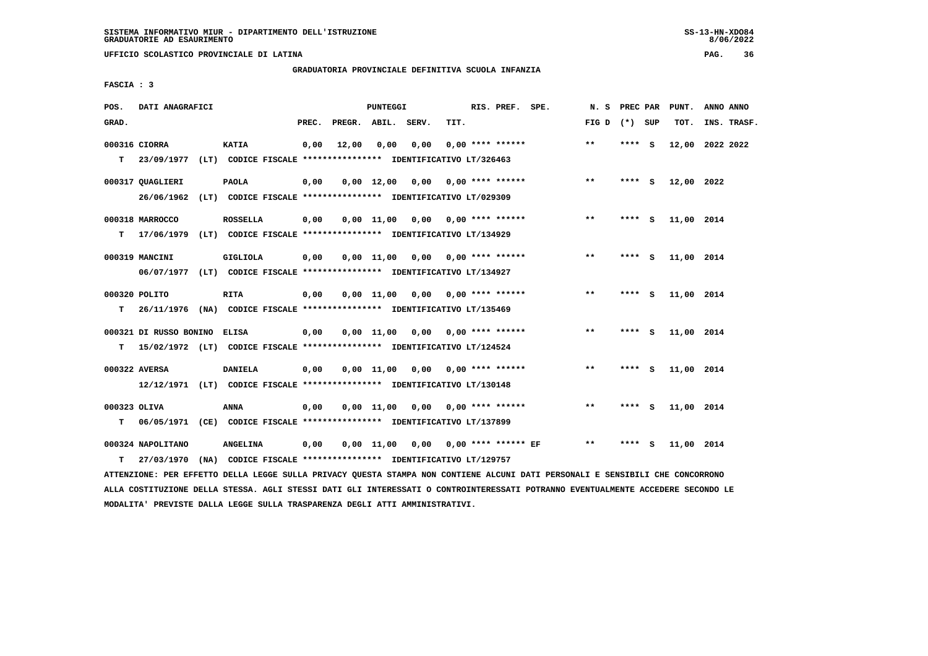**UFFICIO SCOLASTICO PROVINCIALE DI LATINA PAG. 36**

# **GRADUATORIA PROVINCIALE DEFINITIVA SCUOLA INFANZIA**

 **FASCIA : 3**

| POS.              | DATI ANAGRAFICI                                                                                    |                 |       |                    | PUNTEGGI           |                                                                       |      | RIS. PREF. SPE.           |                     | N. S            | PREC PAR |   | PUNT.      | ANNO ANNO   |  |
|-------------------|----------------------------------------------------------------------------------------------------|-----------------|-------|--------------------|--------------------|-----------------------------------------------------------------------|------|---------------------------|---------------------|-----------------|----------|---|------------|-------------|--|
| GRAD.             |                                                                                                    |                 | PREC. | PREGR. ABIL. SERV. |                    |                                                                       | TIT. |                           |                     | FIG D $(*)$ SUP |          |   | TOT.       | INS. TRASF. |  |
| т                 | 000316 CIORRA<br>23/09/1977 (LT) CODICE FISCALE **************** IDENTIFICATIVO LT/326463          | <b>KATIA</b>    | 0,00  | 12,00              | 0,00               | 0,00                                                                  |      | $0.00$ **** ******        |                     | $***$           | **** S   |   | 12,00      | 2022 2022   |  |
|                   | 000317 QUAGLIERI<br>26/06/1962                                                                     | <b>PAOLA</b>    | 0,00  |                    | $0,00$ 12,00       | 0,00<br>(LT) CODICE FISCALE **************** IDENTIFICATIVO LT/029309 |      | $0.00$ **** ******        |                     | $***$           | **** S   |   | 12,00 2022 |             |  |
| т                 | 000318 MARROCCO<br>17/06/1979 (LT) CODICE FISCALE **************** IDENTIFICATIVO LT/134929        | <b>ROSSELLA</b> | 0,00  |                    | $0,00$ 11,00       |                                                                       |      | $0,00$ $0,00$ **** ****** |                     | $* *$           | **** S   |   | 11,00 2014 |             |  |
|                   | 000319 MANCINI<br>06/07/1977 (LT) CODICE FISCALE *************** IDENTIFICATIVO LT/134927          | <b>GIGLIOLA</b> | 0,00  |                    | $0.00$ 11.00       | 0,00                                                                  |      | $0.00$ **** ******        |                     | $***$           | **** S   |   | 11,00 2014 |             |  |
| т                 | 000320 POLITO<br>26/11/1976 (NA) CODICE FISCALE **************** IDENTIFICATIVO LT/135469          | <b>RITA</b>     | 0,00  |                    | $0.00$ 11.00       | 0,00                                                                  |      | $0.00$ **** ******        |                     | $***$           | **** S   |   | 11,00 2014 |             |  |
| т                 | 000321 DI RUSSO BONINO<br>15/02/1972 (LT) CODICE FISCALE **************** IDENTIFICATIVO LT/124524 | <b>ELISA</b>    | 0,00  |                    | $0.00$ 11.00       | 0,00 0,00 **** ******                                                 |      |                           |                     | $**$            | **** S   |   | 11,00 2014 |             |  |
|                   | 000322 AVERSA<br>12/12/1971 (LT) CODICE FISCALE **************** IDENTIFICATIVO LT/130148          | <b>DANIELA</b>  | 0,00  |                    | $0,00$ 11,00       | 0,00                                                                  |      | $0.00$ **** ******        |                     | $* *$           | **** S   |   | 11,00 2014 |             |  |
| 000323 OLIVA<br>т | 06/05/1971 (CE) CODICE FISCALE *************** IDENTIFICATIVO LT/137899                            | ANNA            | 0,00  |                    | $0,00 \quad 11,00$ | 0,00                                                                  |      | $0.00$ **** ******        |                     | $***$           | **** S   |   | 11,00 2014 |             |  |
| т                 | 000324 NAPOLITANO<br>27/03/1970 (NA) CODICE FISCALE **************** IDENTIFICATIVO LT/129757      | <b>ANGELINA</b> | 0,00  |                    | $0,00 \quad 11,00$ | 0,00                                                                  |      |                           | 0,00 **** ****** EF | **              | ****     | s | 11,00      | 2014        |  |